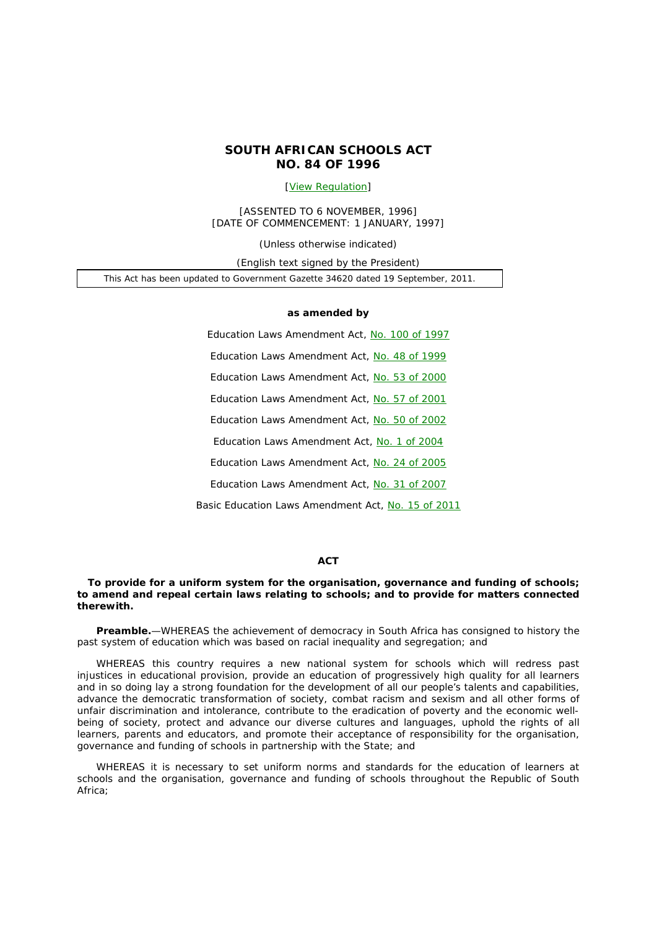## **SOUTH AFRICAN SCHOOLS ACT NO. 84 OF 1996**

## [View Regulation]

[ASSENTED TO 6 NOVEMBER, 1996] [DATE OF COMMENCEMENT: 1 JANUARY, 1997]

(Unless otherwise indicated)

*(English text signed by the President)* 

This Act has been updated to *Government Gazette* 34620 dated 19 September, 2011.

#### **as amended by**

Education Laws Amendment Act, No. 100 of 1997 Education Laws Amendment Act, No. 48 of 1999 Education Laws Amendment Act, No. 53 of 2000 Education Laws Amendment Act, No. 57 of 2001 Education Laws Amendment Act, No. 50 of 2002 Education Laws Amendment Act, No. 1 of 2004 Education Laws Amendment Act, No. 24 of 2005 Education Laws Amendment Act, No. 31 of 2007 Basic Education Laws Amendment Act, No. 15 of 2011

### **ACT**

#### **To provide for a uniform system for the organisation, governance and funding of schools; to amend and repeal certain laws relating to schools; and to provide for matters connected therewith.**

**Preamble.**—WHEREAS the achievement of democracy in South Africa has consigned to history the past system of education which was based on racial inequality and segregation; and

WHEREAS this country requires a new national system for *schools* which will redress past injustices in educational provision, provide an education of progressively high quality for all *learners*  and in so doing lay a strong foundation for the development of all our people's talents and capabilities, advance the democratic transformation of society, combat racism and sexism and all other forms of unfair discrimination and intolerance, contribute to the eradication of poverty and the economic wellbeing of society, protect and advance our diverse cultures and languages, uphold the rights of all *learners*, *parents* and *educators*, and promote their acceptance of responsibility for the organisation, governance and funding of *schools* in partnership with the State; and

WHEREAS it is necessary to set uniform norms and standards for the education of *learners* at *schools* and the organisation, governance and funding of *schools* throughout the Republic of South Africa;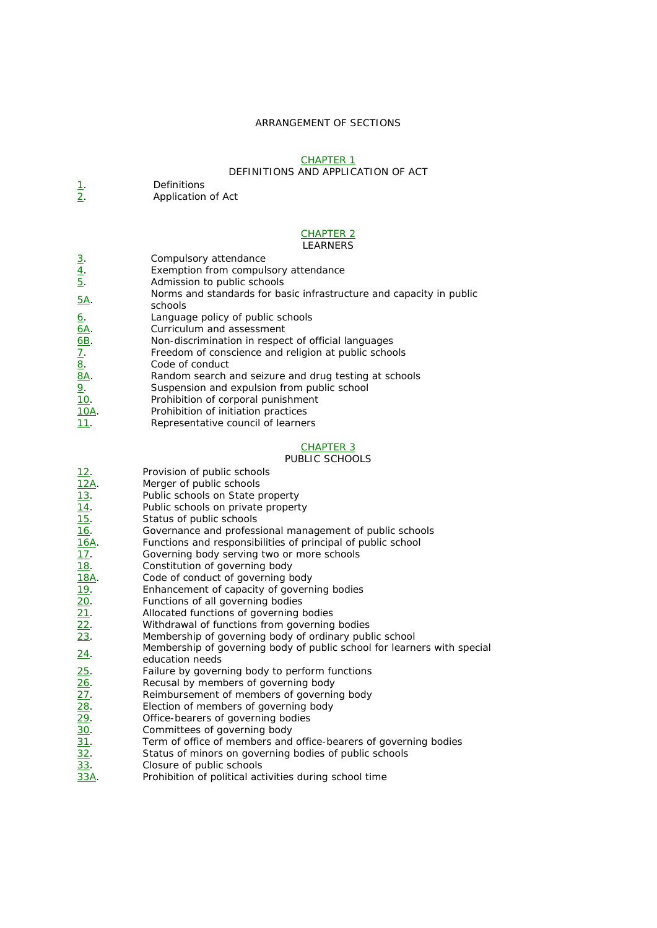#### ARRANGEMENT OF SECTIONS

#### CHAPTER 1

## DEFINITIONS AND APPLICATION OF ACT

# 1. Definitions<br>2. Application

Application of Act

## CHAPTER 2

## LEARNERS

| <u>3</u> . | Compulsory attendance                    |
|------------|------------------------------------------|
| 4.         | Exemption from compulsory attendance     |
| <u>5</u> . | Admission to public schools              |
|            | Norme and standards for hasic infrastruc |

- 5A. Norms and standards for basic infrastructure and capacity in public
- schools
- 6. Language policy of public schools
- 6A. Curriculum and assessment
- 6B. Non-discrimination in respect of official languages
- 7. Freedom of conscience and religion at public schools
- 8. Code of conduct
- 8A. Random search and seizure and drug testing at schools
- 9. Suspension and expulsion from public school
- 10. Prohibition of corporal punishment
- 10A. Prohibition of initiation practices
- 11. Representative council of learners

## CHAPTER 3

#### PUBLIC SCHOOLS

| Provision of public schools |
|-----------------------------|
|                             |

- 12A. Merger of public schools
- 13. Public schools on State property
- 14. Public schools on private property
- 15. Status of public schools
- 16. Governance and professional management of public schools
- 16A. Functions and responsibilities of principal of public school
- 17. Governing body serving two or more schools
- 18. Constitution of governing body
- 18A. Code of conduct of governing body
- 19. Enhancement of capacity of governing bodies
- 20. Functions of all governing bodies
- 21. Allocated functions of governing bodies
- 22. Withdrawal of functions from governing bodies
- 23. Membership of governing body of ordinary public school
- 24. Membership of governing body of public school for learners with special education needs
- 25. Failure by governing body to perform functions
- 26. Recusal by members of governing body
- 27. Reimbursement of members of governing body
- 28. Election of members of governing body
- 29. Office-bearers of governing bodies
- 30. Committees of governing body
- 31. Term of office of members and office-bearers of governing bodies
- 32. Status of minors on governing bodies of public schools
- 33. Closure of public schools
- 33A. Prohibition of political activities during school time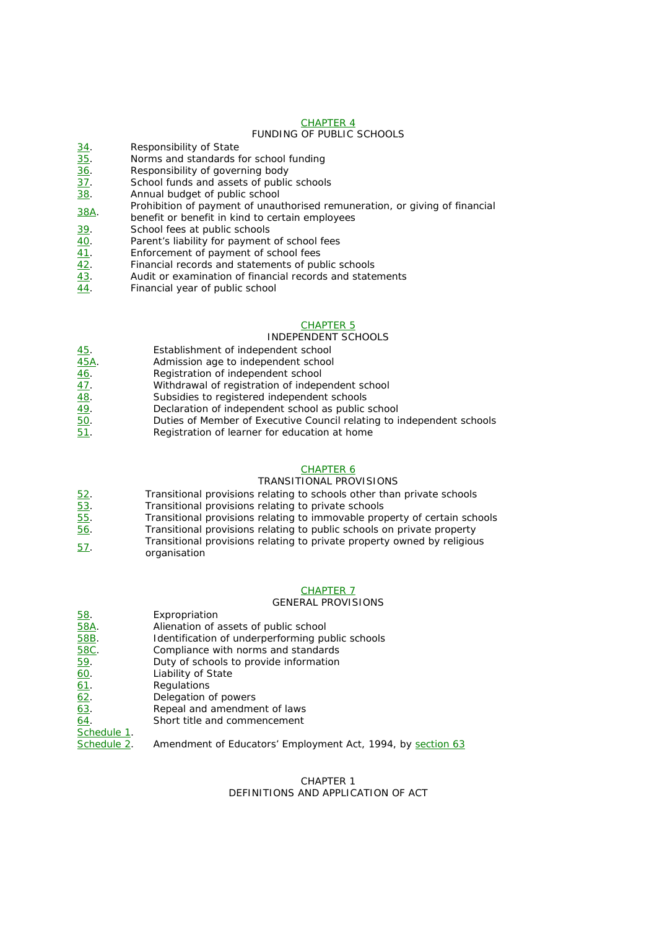#### CHAPTER 4

#### FUNDING OF PUBLIC SCHOOLS

- 34. Responsibility of State
- 35. Norms and standards for school funding
- 36. Responsibility of governing body
- 37. School funds and assets of public schools
- 38. Annual budget of public school
- 38A. Prohibition of payment of unauthorised remuneration, or giving of financial
- benefit or benefit in kind to certain employees
- 39. School fees at public schools
- 40. Parent's liability for payment of school fees
- 41. Enforcement of payment of school fees<br>42. Financial records and statements of pul
- Financial records and statements of public schools
- $\frac{43}{13}$ . Audit or examination of financial records and statements
- 44. Financial year of public school

#### CHAPTER 5

#### INDEPENDENT SCHOOLS

- 45. Establishment of independent school
- 45A. Admission age to independent school
- 46. Registration of independent school
- 47. Withdrawal of registration of independent school
- 48. Subsidies to registered independent schools
- 49. Declaration of independent school as public school
- 50. Duties of Member of Executive Council relating to independent schools
- 51. Registration of learner for education at home

#### CHAPTER 6

## TRANSITIONAL PROVISIONS

- 52. Transitional provisions relating to schools other than private schools
- 53. Transitional provisions relating to private schools
- 55. Transitional provisions relating to immovable property of certain schools
- $\overline{56}$ . Transitional provisions relating to public schools on private property
- 57. Transitional provisions relating to private property owned by religious organisation

#### CHAPTER 7

#### GENERAL PROVISIONS

| <u>58</u> . | Expropriation                                               |
|-------------|-------------------------------------------------------------|
| 58A.        | Alienation of assets of public school                       |
| 58B.        | Identification of underperforming public schools            |
| 58C.        | Compliance with norms and standards                         |
| <u>59</u> . | Duty of schools to provide information                      |
| 60.         | Liability of State                                          |
| 61.         | Regulations                                                 |
| 62.         | Delegation of powers                                        |
| 63.         | Repeal and amendment of laws                                |
| 64.         | Short title and commencement                                |
| Schedule 1. |                                                             |
| Schedule 2. | Amendment of Educators' Employment Act, 1994, by section 63 |

#### CHAPTER 1 DEFINITIONS AND APPLICATION OF ACT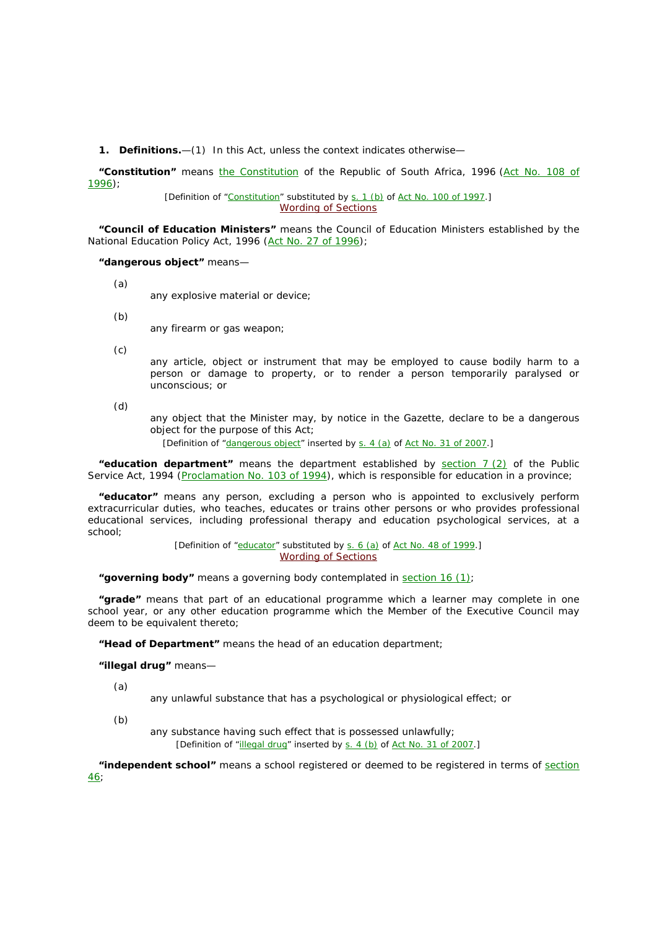**1. Definitions.**—(1) In *this Act*, unless the context indicates otherwise—

**"***Constitution***"** means the *Constitution* of the Republic of South Africa, 1996 (Act No. 108 of 1996);

> [Definition of "*Constitution*" substituted by s. 1 (*b*) of Act No. 100 of 1997.] Wording of Sections

**"***Council of Education Ministers***"** means the *Council of Education Ministers* established by the National Education Policy Act, 1996 (Act No. 27 of 1996);

#### **"dangerous object"** means—

- (*a*)
- any explosive material or device;
- (*b*)
- any firearm or gas weapon;
- (*c*)

any article, object or instrument that may be employed to cause bodily harm to a person or damage to property, or to render a person temporarily paralysed or unconscious; or

(*d*)

any object that the *Minister* may, by notice in the *Gazette*, declare to be a dangerous object for the purpose of this Act;

[Definition of "dangerous object" inserted by s. 4 (*a*) of Act No. 31 of 2007.]

**"***education department***"** means the department established by section 7 (2) of the Public Service Act, 1994 (Proclamation No. 103 of 1994), which is responsible for education in a *province*;

**"***educator***"** means any person, excluding a person who is appointed to exclusively perform extracurricular duties, who teaches, educates or trains other persons or who provides professional educational services, including professional therapy and education psychological services, at a *school*;

> [Definition of "*educator*" substituted by s. 6 (a) of Act No. 48 of 1999.] Wording of Sections

**"***governing body***"** means a *governing body* contemplated in section 16 (1);

**"***grade***"** means that part of an educational programme which a *learner* may complete in one *school* year, or any other education programme which the *Member of the Executive Council* may deem to be equivalent thereto;

**"***Head of Department***"** means the head of an *education department*;

**"illegal drug"** means—

(*a*)

any unlawful substance that has a psychological or physiological effect; or

(*b*)

any substance having such effect that is possessed unlawfully; [Definition of "illegal drug" inserted by s. 4 (*b*) of Act No. 31 of 2007.]

**"***independent school***"** means a *school* registered or deemed to be registered in terms of section 46;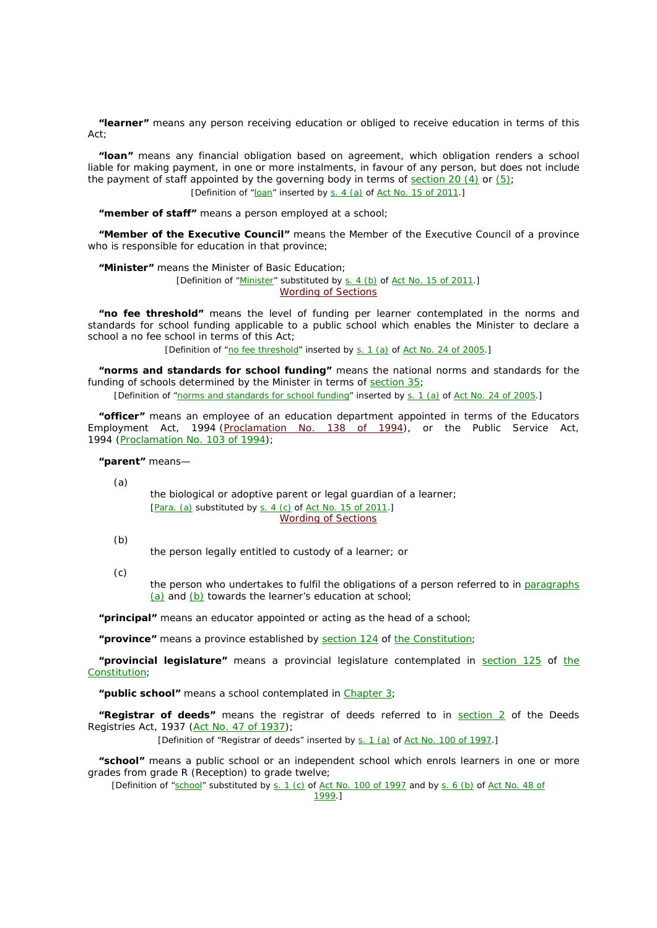**"***learner***"** means any person receiving education or obliged to receive education in terms of this  $Act$ 

*"loan"* means any financial obligation based on agreement, which obligation renders a *school*  liable for making payment, in one or more instalments, in favour of any person, but does not include the payment of staff appointed by the *governing body* in terms of section 20 (4) or (5); [Definition of "*loan*" inserted by s. 4 (*a*) of Act No. 15 of 2011.]

**"***member of staff***"** means a person employed at a *school*;

**"***Member of the Executive Council***"** means the *Member of the Executive Council* of a *province*  who is responsible for education in that *province*;

**"***Minister"* means the *Minister* of Basic Education;

[Definition of "*Minister*" substituted by s. 4 (*b*) of Act No. 15 of 2011.] Wording of Sections

**"***no fee threshold***"** means the level of funding per *learner* contemplated in the *norms and standards* for *school* funding applicable to a *public school* which enables the *Minister* to declare a *school* a no fee *school* in terms of *this Act*;

[Definition of "*no fee threshold*" inserted by s. 1 (*a*) of Act No. 24 of 2005.]

**"***norms and standards for school funding***"** means the national norms and standards for the funding of *schools* determined by the *Minister* in terms of section 35;

[Definition of "*norms and standards for school funding*" inserted by s. 1 (*a*) of Act No. 24 of 2005.]

**"***officer***"** means an employee of an *education department* appointed in terms of the *Educators*  Employment Act, 1994 (Proclamation No. 138 of 1994), or the Public Service Act, 1994 (Proclamation No. 103 of 1994);

**"***parent***"** means—

(*a*)

the biological or adoptive *parent* or legal guardian of a *learner*; [Para. (*a*) substituted by s. 4 (*c*) of Act No. 15 of 2011.] Wording of Sections

(*b*)

the person legally entitled to custody of a *learner*; or

(*c*)

the person who undertakes to fulfil the obligations of a person referred to in paragraphs (*a*) and (*b*) towards the *learner*'*s* education at *school*;

**"***principal***"** means an *educator* appointed or acting as the head of a *school*;

**"***province***"** means a *province* established by section 124 of the *Constitution*;

**"***provincial legislature***"** means a *provincial legislature* contemplated in section 125 of the *Constitution*;

**"***public school***"** means a *school* contemplated in Chapter 3;

**"***Registrar of deeds***"** means the *registrar of deeds* referred to in section 2 of the Deeds Registries Act, 1937 (Act No. 47 of 1937);

[Definition of "Registrar of deeds" inserted by s. 1 (a) of Act No. 100 of 1997.]

**"***school***"** means a *public school* or an independent *school* which enrols *learners* in one or more *grades* from *grade* R (Reception) to *grade* twelve;

[Definition of "*school*" substituted by s. 1 (*c*) of Act No. 100 of 1997 and by s. 6 (*b*) of Act No. 48 of

1999.]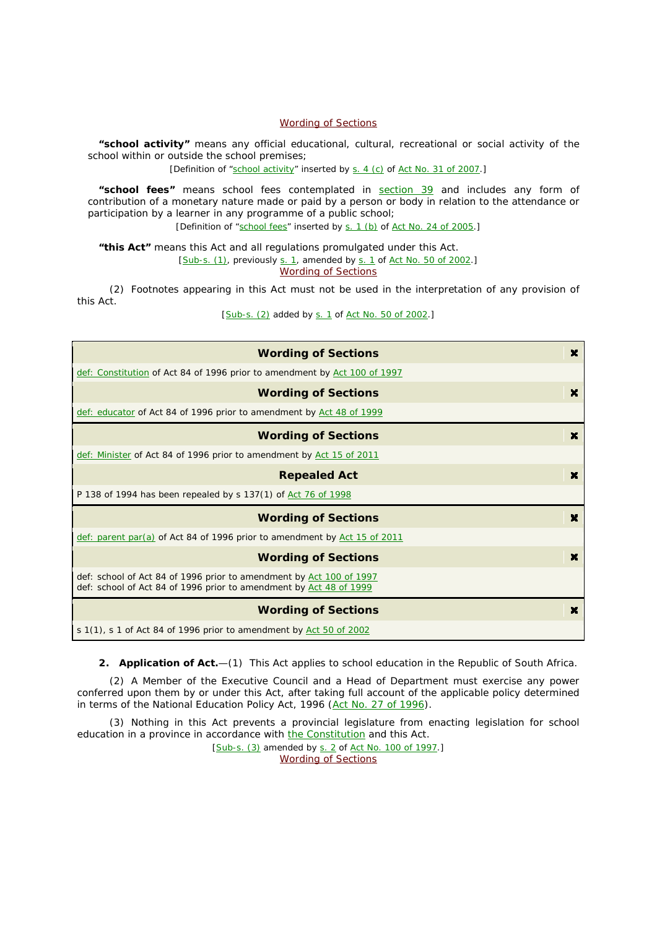#### Wording of Sections

**"school activity"** means any official educational, cultural, recreational or social activity of the *school* within or outside the *school* premises;

[Definition of "school activity" inserted by s. 4 (*c*) of Act No. 31 of 2007.]

**"***school fees***"** means *school fees* contemplated in section 39 and includes any form of contribution of a monetary nature made or paid by a person or body in relation to the attendance or participation by a *learner* in any programme of a *public school*;

[Definition of "*school fees*" inserted by s. 1 (b) of Act No. 24 of 2005.]

**"***this Act***"** means *this Act* and all regulations promulgated under *this Act*.

 $[Sub-s. (1),$  previously  $s. 1$ , amended by  $s. 1$  of  $Act No. 50 of 2002.$ 

Wording of Sections

(2) Footnotes appearing in *this Act* must not be used in the interpretation of any provision of *this Act*.

[Sub-s. (2) added by s. 1 of Act No. 50 of 2002.]

| <b>Wording of Sections</b>                                                                                                                | $\mathbf x$ |
|-------------------------------------------------------------------------------------------------------------------------------------------|-------------|
| def: Constitution of Act 84 of 1996 prior to amendment by Act 100 of 1997                                                                 |             |
| <b>Wording of Sections</b>                                                                                                                | ×           |
| def: educator of Act 84 of 1996 prior to amendment by Act 48 of 1999                                                                      |             |
| <b>Wording of Sections</b>                                                                                                                | ×           |
| def: Minister of Act 84 of 1996 prior to amendment by Act 15 of 2011                                                                      |             |
| <b>Repealed Act</b>                                                                                                                       | ×           |
| P 138 of 1994 has been repealed by s 137(1) of Act 76 of 1998                                                                             |             |
| <b>Wording of Sections</b>                                                                                                                | х           |
| <u>def: parent par(a)</u> of Act 84 of 1996 prior to amendment by Act 15 of 2011                                                          |             |
| <b>Wording of Sections</b>                                                                                                                | ×           |
| def: school of Act 84 of 1996 prior to amendment by Act 100 of 1997<br>def: school of Act 84 of 1996 prior to amendment by Act 48 of 1999 |             |
| <b>Wording of Sections</b>                                                                                                                | ж           |
| s $1(1)$ , s 1 of Act 84 of 1996 prior to amendment by Act 50 of 2002                                                                     |             |

**2. Application of Act.**—(1) *This Act* applies to *school* education in the Republic of South Africa.

(2) A *Member of the Executive Council* and a *Head of Department* must exercise any power conferred upon them by or under *this Act*, after taking full account of the applicable policy determined in terms of the National Education Policy Act, 1996 (Act No. 27 of 1996).

(3) Nothing in *this Act* prevents a *provincial legislature* from enacting legislation for *school*  education in a *province* in accordance with the *Constitution* and *this Act*.

[Sub-s. (3) amended by s. 2 of Act No. 100 of 1997.] Wording of Sections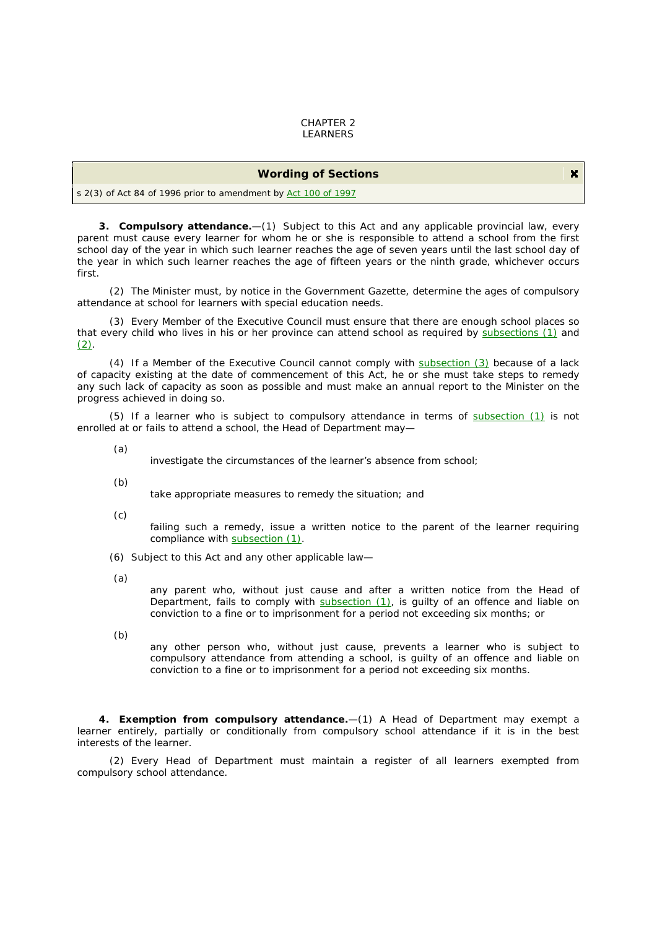#### CHAPTER 2 LEARNERS

#### **Wording of Sections**

s 2(3) of Act 84 of 1996 prior to amendment by Act 100 of 1997

**3. Compulsory attendance.**—(1) Subject to *this Act* and any applicable provincial law, every *parent* must cause every *learner* for whom he or she is responsible to attend a *school* from the first *school* day of the year in which such *learner* reaches the age of seven years until the last *school* day of the year in which such *learner* reaches the age of fifteen years or the ninth *grade*, whichever occurs first.

(2) The *Minister* must, by notice in the Government Gazette, determine the ages of compulsory attendance at *school* for *learners* with special education needs.

(3) Every *Member of the Executive Council* must ensure that there are enough *school* places so that every child who lives in his or her *province* can attend *school* as required by subsections (1) and  $(2)$ .

(4) If a *Member of the Executive Council* cannot comply with subsection (3) because of a lack of capacity existing at the date of commencement of this Act, he or she must take steps to remedy any such lack of capacity as soon as possible and must make an annual report to the *Minister* on the progress achieved in doing so.

(5) If a *learner* who is subject to compulsory attendance in terms of subsection (1) is not enrolled at or fails to attend a *school*, the *Head of Department* may—

(*a*)

investigate the circumstances of the *learner*'*s* absence from *school*;

(*b*)

take appropriate measures to remedy the situation; and

(*c*)

failing such a remedy, issue a written notice to the *parent* of the *learner* requiring compliance with subsection (1).

(6) Subject to *this Act* and any other applicable law—

(*a*)

any *parent* who, without just cause and after a written notice from the *Head of Department*, fails to comply with **subsection (1)**, is guilty of an offence and liable on conviction to a fine or to imprisonment for a period not exceeding six months; or

(*b*)

any other person who, without just cause, prevents a *learner* who is subject to compulsory attendance from attending a *school*, is guilty of an offence and liable on conviction to a fine or to imprisonment for a period not exceeding six months.

**4. Exemption from compulsory attendance.**—(1) A *Head of Department* may exempt a *learner* entirely, partially or conditionally from compulsory *school* attendance if it is in the best interests of the *learner*.

(2) Every *Head of Department* must maintain a register of all *learner*s exempted from compulsory *school* attendance.

 $\mathbf{x}$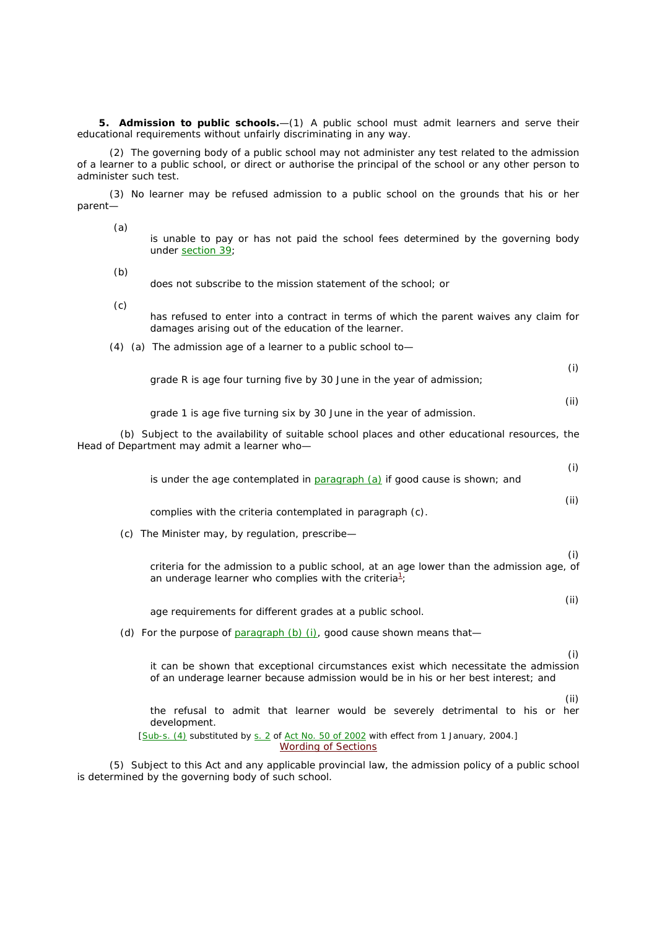**5. Admission to public schools.**—(1) A *public school* must admit *learners* and serve their educational requirements without unfairly discriminating in any way.

(2) The *governing body* of a *public school* may not administer any test related to the admission of a *learner* to a *public school*, or direct or authorise the *principal* of the *school* or any other person to administer such test.

(3) No *learner* may be refused admission to a *public school* on the grounds that his or her *parent*—

(*a*)

is unable to pay or has not paid the *school* fees determined by the *governing body*  under section 39;

(*b*)

*Head of* 

does not subscribe to the mission statement of the *school*; or

- (*c*) has refused to enter into a contract in terms of which the *parent* waives any claim for damages arising out of the education of the *learner*.
- (4) (*a*) The admission age of a *learner* to a *public school* to—

| <i>grade</i> R is age four turning five by 30 June in the year of admission;                                                                                                  | (i)  |
|-------------------------------------------------------------------------------------------------------------------------------------------------------------------------------|------|
| <i>grade</i> 1 is age five turning six by 30 June in the year of admission.                                                                                                   | (ii) |
| (b) Subject to the availability of suitable <i>school</i> places and other educational resources, the<br>Department may admit a learner who-                                  |      |
| is under the age contemplated in $param2$ and $\frac{a}{b}$ if good cause is shown; and                                                                                       | (i)  |
| complies with the criteria contemplated in paragraph $(c)$ .                                                                                                                  | (ii) |
| $(c)$ The <i>Minister</i> may, by regulation, prescribe-                                                                                                                      |      |
| criteria for the admission to a <i>public school</i> , at an age lower than the admission age, of<br>an underage <i>learner</i> who complies with the criteria <sup>1</sup> . | (i)  |

age requirements for different *grades* at a public school.

(*d*) For the purpose of **paragraph** (*b*) (i), good cause shown means that-

(i)

(ii)

it can be shown that exceptional circumstances exist which necessitate the admission of an underage *learner* because admission would be in his or her best interest; and

(ii)

the refusal to admit that *learner* would be severely detrimental to his or her development. [Sub-s. (4) substituted by s. 2 of Act No. 50 of 2002 with effect from 1 January, 2004.]

Wording of Sections

(5) Subject to *this Act* and any applicable provincial law, the admission policy of a *public school*  is determined by the *governing body* of such *school*.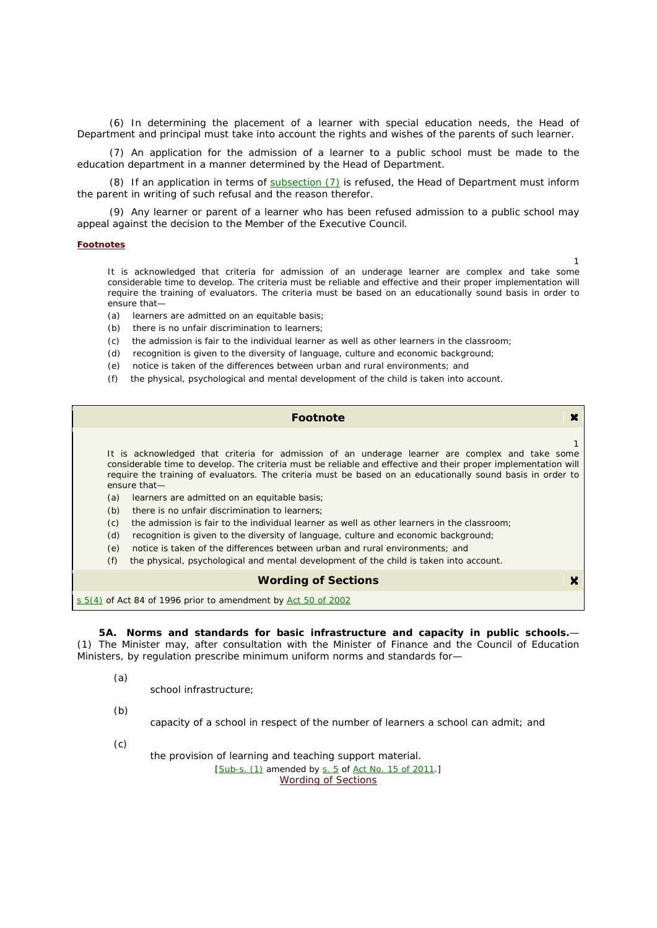(6) In determining the placement of a *learner* with special education needs, the *Head of Department* and *principal* must take into account the rights and wishes of the *parents* of such *learner*.

(7) An application for the admission of a *learner* to a *public school* must be made to the *education department* in a manner determined by the *Head of Department*.

(8) If an application in terms of subsection (7) is refused, the *Head of Department* must inform the *parent* in writing of such refusal and the reason therefor.

(9) Any *learner* or *parent* of a *learner* who has been refused admission to a *public school* may appeal against the decision to the *Member of the Executive Council*.

#### **Footnotes**

It is acknowledged that criteria for admission of an underage learner are complex and take some considerable time to develop. The criteria must be reliable and effective and their proper implementation will require the training of evaluators. The criteria must be based on an educationally sound basis in order to ensure that—

1

1

 $\mathbf{x}$ 

 $\mathbf{x}$ 

(*a*) learners are admitted on an equitable basis;

- (*b*) there is no unfair discrimination to learners;
- (*c*) the admission is fair to the individual learner as well as other learners in the classroom;
- (*d*) recognition is given to the diversity of language, culture and economic background;
- (*e*) notice is taken of the differences between urban and rural environments; and
- (*f*) the physical, psychological and mental development of the child is taken into account.

## **Footnote**

It is acknowledged that criteria for admission of an underage learner are complex and take some considerable time to develop. The criteria must be reliable and effective and their proper implementation will require the training of evaluators. The criteria must be based on an educationally sound basis in order to ensure that—

- (*a*) learners are admitted on an equitable basis;
- (*b*) there is no unfair discrimination to learners;
- (*c*) the admission is fair to the individual learner as well as other learners in the classroom;
- (*d*) recognition is given to the diversity of language, culture and economic background;
- (*e*) notice is taken of the differences between urban and rural environments; and
- (*f*) the physical, psychological and mental development of the child is taken into account.

#### **Wording of Sections**

s 5(4) of Act 84 of 1996 prior to amendment by Act 50 of 2002

**5A. Norms and standards for basic infrastructure and capacity in public schools.**— (1) The *Minister* may, after consultation with the Minister of Finance and the *Council of Education Ministers*, by regulation prescribe minimum uniform norms and standards for—

(*a*)

*school* infrastructure;

(*b*)

capacity of a *school* in respect of the number of *learners* a *school* can admit; and

(*c*)

the provision of learning and teaching support material.

[Sub-s. (1) amended by s. 5 of Act No. 15 of 2011.] Wording of Sections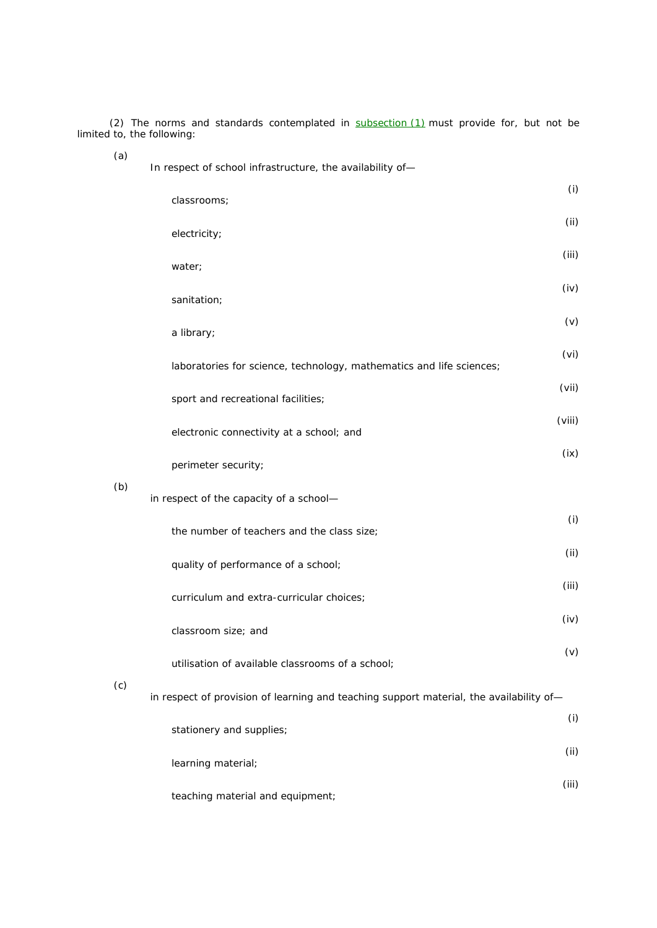(2) The norms and standards contemplated in  $subsection (1)$  must provide for, but not be limited to, the following:

| ×<br>. . |
|----------|

(*b*)

(*c*)

|  | In respect of school infrastructure, the availability of- |  |  |
|--|-----------------------------------------------------------|--|--|
|  |                                                           |  |  |

| classrooms;                                                                             | (i)    |
|-----------------------------------------------------------------------------------------|--------|
| electricity;                                                                            | (ii)   |
| water;                                                                                  | (iii)  |
| sanitation;                                                                             | (iv)   |
| a library;                                                                              | (v)    |
| laboratories for science, technology, mathematics and life sciences;                    | (vi)   |
| sport and recreational facilities;                                                      | (vii)  |
| electronic connectivity at a school; and                                                | (viii) |
| perimeter security;                                                                     | (ix)   |
| in respect of the capacity of a school-                                                 |        |
|                                                                                         | (i)    |
| the number of teachers and the class size;                                              | (ii)   |
| quality of performance of a school;                                                     | (iii)  |
| curriculum and extra-curricular choices;                                                | (iv)   |
| classroom size; and                                                                     | (v)    |
| utilisation of available classrooms of a school;                                        |        |
| in respect of provision of learning and teaching support material, the availability of- | (i)    |
| stationery and supplies;                                                                | (ii)   |
| learning material;                                                                      | (iii)  |

teaching material and equipment;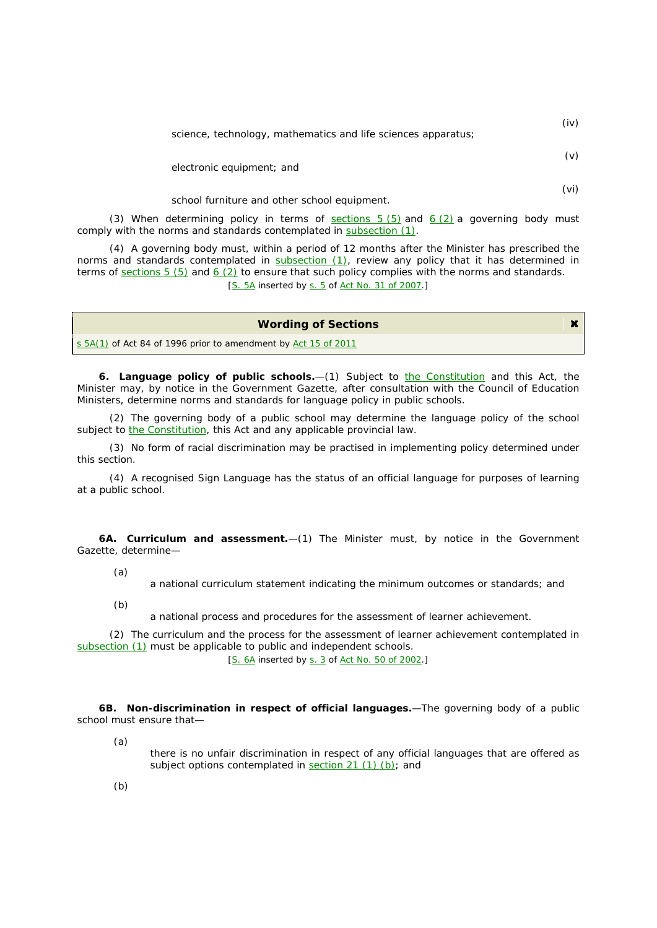science, technology, mathematics and life sciences apparatus;

(v)

(iv)

electronic equipment; and

(vi)

 $\mathbf{x}$ 

school furniture and other school equipment.

(3) When determining policy in terms of  $\frac{\text{sections}}{\text{Section 5}}$  (5) and  $\frac{6}{2}$  a *governing body* must comply with the norms and standards contemplated in subsection (1).

(4) A *governing body* must, within a period of 12 months after the *Minister* has prescribed the norms and standards contemplated in subsection (1), review any policy that it has determined in terms of sections  $5(5)$  and  $6(2)$  to ensure that such policy complies with the norms and standards. [S. 5A inserted by s. 5 of Act No. 31 of 2007.]

**Wording of Sections** 

s 5A(1) of Act 84 of 1996 prior to amendment by Act 15 of 2011

**6. Language policy of public schools.**—(1) Subject to the *Constitution* and *this Act*, the *Minister* may, by notice in the Government Gazette, after consultation with the *Council of Education Ministers*, determine norms and standards for language policy in *public schools*.

(2) The *governing body* of a *public school* may determine the language policy of the *school*  subject to the *Constitution*, this Act and any applicable provincial law.

(3) No form of racial discrimination may be practised in implementing policy determined under this section.

(4) A recognised Sign Language has the status of an official language for purposes of learning at a *public school*.

**6A. Curriculum and assessment.**—(1) The *Minister* must, by notice in the Government Gazette, determine—

(*a*)

a national curriculum statement indicating the minimum outcomes or standards; and

(*b*)

a national process and procedures for the assessment of *learner* achievement.

(2) The curriculum and the process for the assessment of *learner* achievement contemplated in subsection (1) must be applicable to *public* and *independent schools.*

[S. 6A inserted by s. 3 of Act No. 50 of 2002.]

**6B. Non-discrimination in respect of official languages.**—The *governing body* of a *public school* must ensure that—

(*a*)

there is no unfair discrimination in respect of any official languages that are offered as subject options contemplated in section 21 (1) (b); and

(*b*)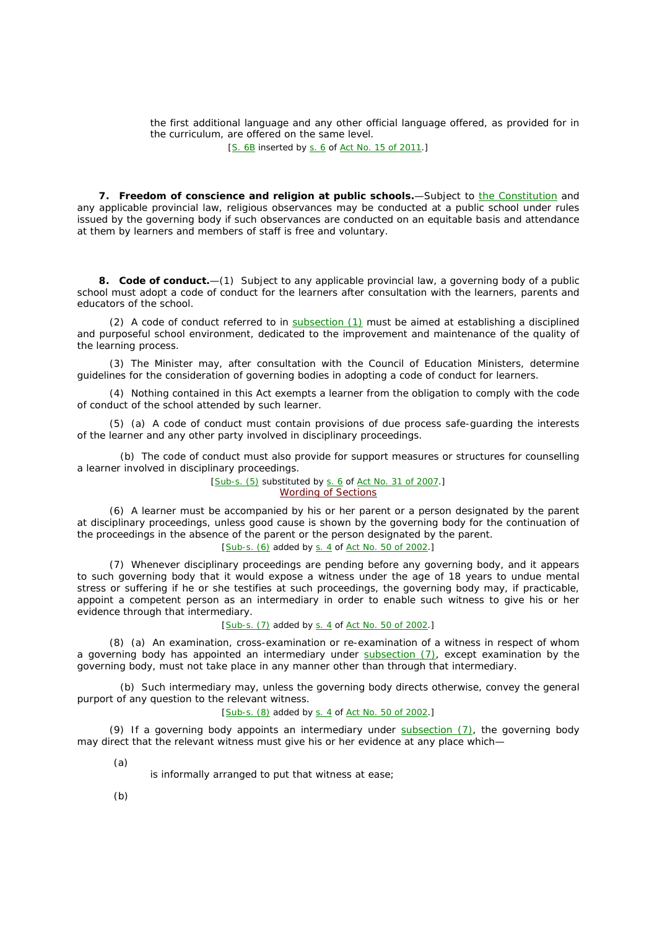the first additional language and any other official language offered, as provided for in the curriculum, are offered on the same level.

[S. 6B inserted by s. 6 of Act No. 15 of 2011.]

**7. Freedom of conscience and religion at public schools.**—Subject to the *Constitution* and any applicable provincial law, religious observances may be conducted at a *public school* under rules issued by the *governing body* if such observances are conducted on an equitable basis and attendance at them by *learner*s and *members* of *staff* is free and voluntary.

**8. Code of conduct.**—(1) Subject to any applicable provincial law, a *governing body* of a *public school* must adopt a code of conduct for the *learners* after consultation with the *learners*, *parent*s and *educators* of the *school*.

(2) A code of conduct referred to in subsection (1) must be aimed at establishing a disciplined and purposeful *school* environment, dedicated to the improvement and maintenance of the quality of the learning process.

(3) The *Minister* may, after consultation with the *Council of Education Ministers*, determine guidelines for the consideration of *governing bodies* in adopting a code of conduct for *learners*.

(4) Nothing contained in *this Act* exempts a *learner* from the obligation to comply with the code of conduct of the *school* attended by such *learner*.

(5) (*a*) A code of conduct must contain provisions of due process safe-guarding the interests of the *learner* and any other party involved in disciplinary proceedings.

(*b*) The code of conduct must also provide for support measures or structures for counselling a *learner* involved in disciplinary proceedings.

> $[Sub-s. (5)$  substituted by s. 6 of Act No. 31 of 2007. Wording of Sections

(6) A *learner* must be accompanied by his or her *parent* or a person designated by the *parent*  at disciplinary proceedings, unless good cause is shown by the *governing body* for the continuation of the proceedings in the absence of the *parent* or the person designated by the *parent.*

[Sub-s. (6) added by s. 4 of Act No. 50 of 2002.]

(7) Whenever disciplinary proceedings are pending before any *governing body*, and it appears to such *governing body* that it would expose a witness under the age of 18 years to undue mental stress or suffering if he or she testifies at such proceedings, the *governing body* may, if practicable, appoint a competent person as an intermediary in order to enable such witness to give his or her evidence through that intermediary.

[Sub-s. (7) added by s. 4 of Act No. 50 of 2002.]

(8) (*a*)An examination, cross-examination or re-examination of a witness in respect of whom a *governing body* has appointed an intermediary under **subsection (7)**, except examination by the *governing body*, must not take place in any manner other than through that intermediary.

(*b*)Such intermediary may, unless the *governing body* directs otherwise, convey the general purport of any question to the relevant witness.

[Sub-s. (8) added by s. 4 of Act No. 50 of 2002.]

(9) If a *governing body* appoints an intermediary under subsection (7), the *governing body*  may direct that the relevant witness must give his or her evidence at any place which—

(*a*)

is informally arranged to put that witness at ease;

(*b*)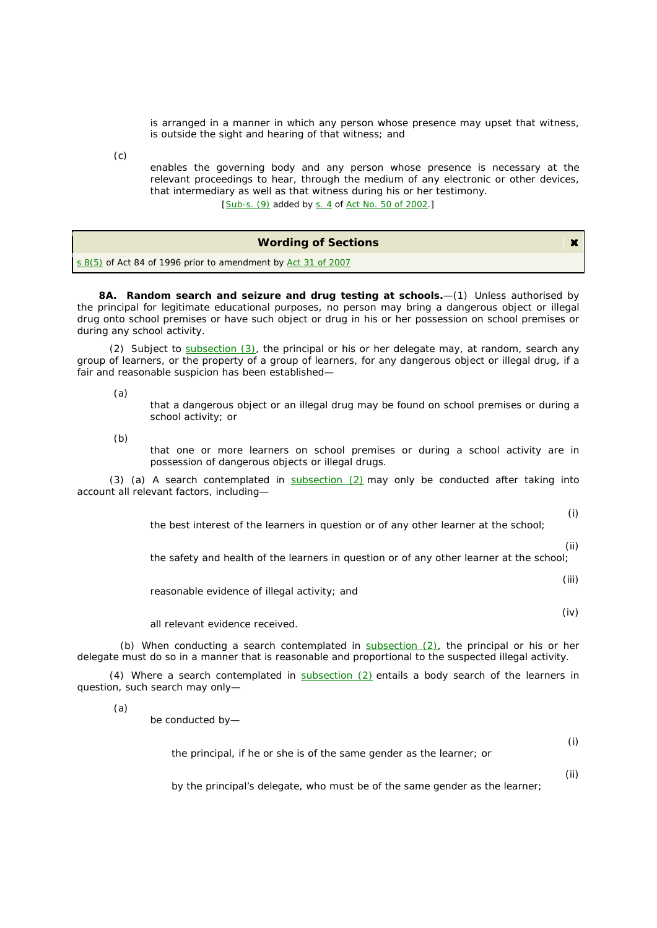is arranged in a manner in which any person whose presence may upset that witness, is outside the sight and hearing of that witness; and

(*c*)

enables the *governing body* and any person whose presence is necessary at the relevant proceedings to hear, through the medium of any electronic or other devices, that intermediary as well as that witness during his or her testimony.

[Sub-s. (9) added by s. 4 of Act No. 50 of 2002.]

| <b>Wording of Sections</b>                                    | × |
|---------------------------------------------------------------|---|
| s 8(5) of Act 84 of 1996 prior to amendment by Act 31 of 2007 |   |

**8A. Random search and seizure and drug testing at schools.**—(1) Unless authorised by the *principal* for legitimate educational purposes, no person may bring a *dangerous object* or *illegal drug* onto *school* premises or have such object or drug in his or her possession on *school* premises or during any *school activity*.

(2) Subject to subsection (3), the *principal* or his or her delegate may, at random, search any group of *learners*, or the property of a group of *learners*, for any *dangerous object* or *illegal drug*, if a fair and reasonable suspicion has been established—

(*a*)

that a *dangerous object* or an *illegal drug* may be found on *school* premises or during a *school activity*; or

(*b*)

that one or more *learners* on *school* premises or during a *school activity* are in possession of *dangerous objects* or *illegal drugs*.

(3) (*a*) A search contemplated in subsection (2) may only be conducted after taking into account all relevant factors, including—

the best interest of the *learners* in question or of any other *learner* at the *school*;

(ii)

(i)

the safety and health of the *learners* in question or of any other *learner* at the *school*;

reasonable evidence of illegal activity; and

(iv)

(iii)

all relevant evidence received.

(*b*) When conducting a search contemplated in subsection (2), the *principal* or his or her delegate must do so in a manner that is reasonable and proportional to the suspected illegal activity.

(4) Where a search contemplated in  $subsection (2)$  entails a body search of the learners in question, such search may only—

(*a*)

be conducted by—

the *principal*, if he or she is of the same gender as the *learner*; or

(ii)

(i)

by the *principal's* delegate, who must be of the same gender as the *learner*;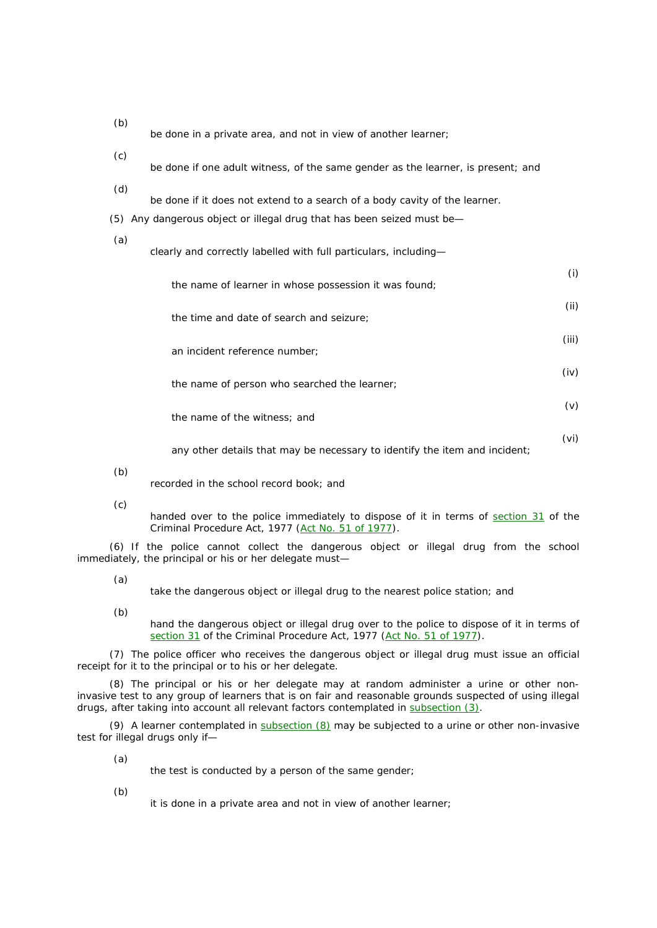|     | be done in a private area, and not in view of another learner,                       |
|-----|--------------------------------------------------------------------------------------|
| (c) | be done if one adult witness, of the same gender as the learner, is present; and     |
| (d) | be done if it does not extend to a search of a body cavity of the learner.           |
|     | (5) Any <i>dangerous object</i> or <i>illegal drug</i> that has been seized must be— |
| (a) |                                                                                      |

clearly and correctly labelled with full particulars, including—

| the name of learner in whose possession it was found; | w     |
|-------------------------------------------------------|-------|
| the time and date of search and seizure;              | (ii)  |
| an incident reference number:                         | (iii) |
| the name of person who searched the <i>learner</i>    | (iv)  |
| the name of the witness; and                          | (v)   |
|                                                       | Vi)   |

 $\langle$ 

any other details that may be necessary to identify the item and incident;

(*b*)

(*b*)

recorded in the school record book; and

(*c*)

handed over to the police immediately to dispose of it in terms of section 31 of the Criminal Procedure Act, 1977 (Act No. 51 of 1977).

(6) If the police cannot collect the *dangerous object* or *illegal drug* from the *school*  immediately, the *principal* or his or her delegate must—

(*a*)

take the *dangerous object* or *illegal drug* to the nearest police station; and

(*b*)

hand the *dangerous object* or *illegal drug* over to the police to dispose of it in terms of section 31 of the Criminal Procedure Act, 1977 (Act No. 51 of 1977).

(7) The police officer who receives the *dangerous object* or *illegal drug* must issue an official receipt for it to the *principal* or to his or her delegate.

(8) The *principal* or his or her delegate may at *random* administer a urine or other noninvasive test to any group of learners that is on fair and reasonable grounds suspected of using *illegal drugs*, after taking into account all relevant factors contemplated in subsection (3).

(9) A *learner* contemplated in subsection (8) may be subjected to a urine or other non-invasive test for *illegal drugs* only if—

(*a*)

the test is conducted by a person of the same gender;

(*b*)

it is done in a private area and not in view of another *learner*;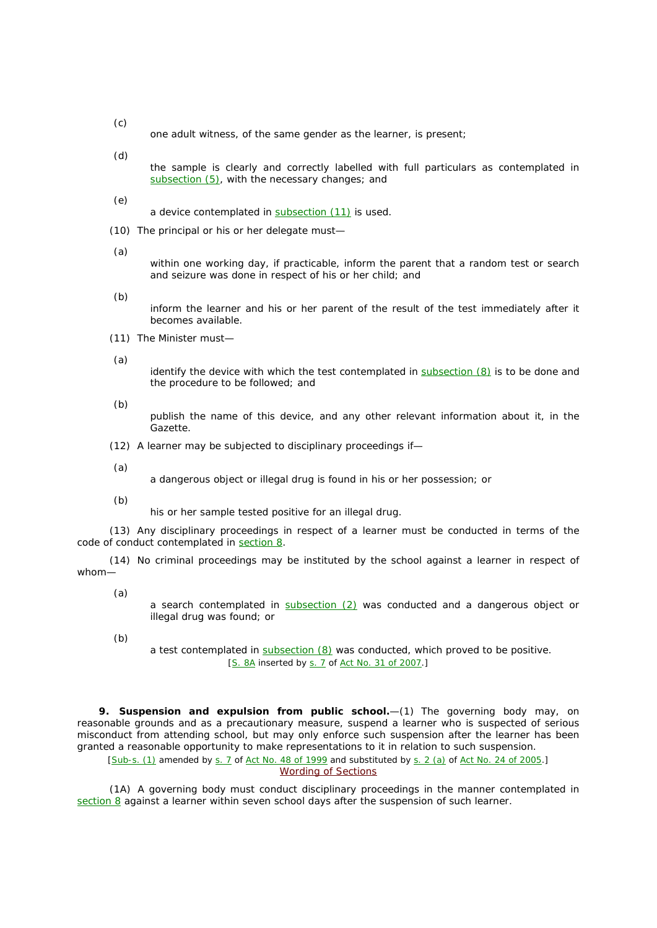one adult witness, of the same gender as the *learner*, is present;

(*d*)

(*c*)

the sample is clearly and correctly labelled with full particulars as contemplated in subsection (5), with the necessary changes; and

- (*e*) a device contemplated in subsection (11) is used.
- (10) The *principal* or his or her delegate must—

(*a*)

within one working day, if practicable, inform the *parent* that a random test or search and seizure was done in respect of his or her child; and

(*b*)

inform the *learner* and his or her *parent* of the result of the test immediately after it becomes available.

(11) The *Minister* must—

(*a*)

identify the device with which the test contemplated in subsection (8) is to be done and the procedure to be followed; and

(*b*)

publish the name of this device, and any other relevant information about it, in the *Gazette*.

- (12) A *learner* may be subjected to disciplinary proceedings if—
- (*a*)

a *dangerous object* or *illegal drug* is found in his or her possession; or

(*b*)

his or her sample tested positive for an *illegal drug*.

(13) Any disciplinary proceedings in respect of a *learner* must be conducted in terms of the code of conduct contemplated in section 8.

(14) No criminal proceedings may be instituted by the *school* against a *learner* in respect of whom—

(*a*)

a search contemplated in subsection (2) was conducted and a *dangerous object* or *illegal drug* was found; or

(*b*)

a test contemplated in subsection (8) was conducted, which proved to be positive. [S. 8A inserted by s. 7 of Act No. 31 of 2007.]

**9. Suspension and expulsion from public school.**—(1) The *governing body* may, on reasonable grounds and as a precautionary measure, suspend a *learner* who is suspected of serious misconduct from attending *school*, but may only enforce such suspension after the *learner* has been granted a reasonable opportunity to make representations to it in relation to such suspension.

## [Sub-s. (1) amended by s. 7 of Act No. 48 of 1999 and substituted by s. 2 (a) of Act No. 24 of 2005.] Wording of Sections

(1A) A *governing body* must conduct disciplinary proceedings in the manner contemplated in section 8 against a *learner* within seven *school* days after the suspension of such *learner*.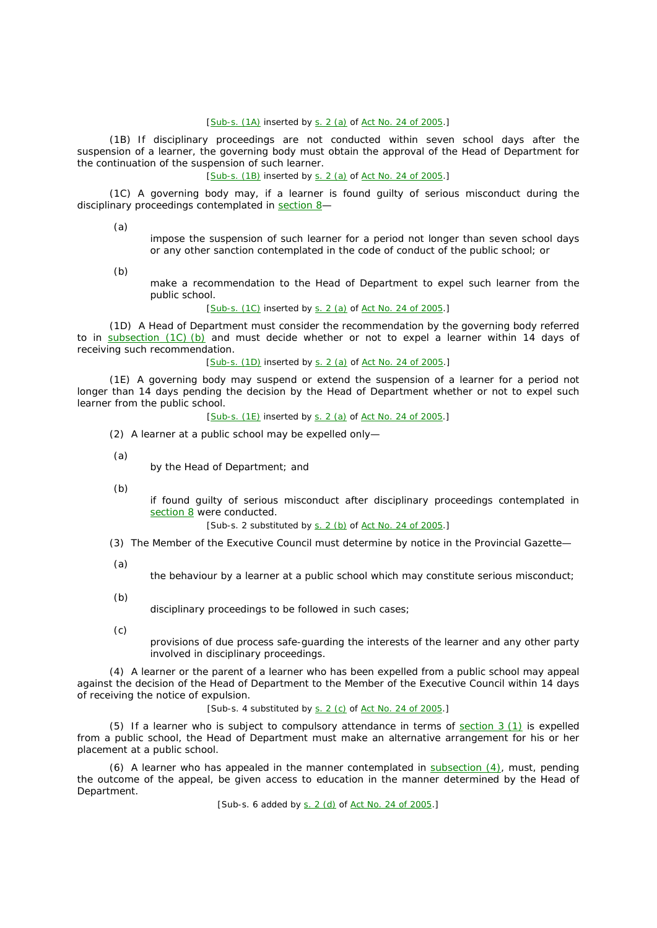#### [Sub-s. (1A) inserted by s. 2 (*a*) of Act No. 24 of 2005.]

(1B) If disciplinary proceedings are not conducted within seven *school* days after the suspension of a *learner*, the *governing body* must obtain the approval of the *Head of Department* for the continuation of the suspension of such *learner*.

[Sub-s. (1B) inserted by s. 2 (*a*) of Act No. 24 of 2005.]

(1C) A *governing body* may, if a *learner* is found guilty of serious misconduct during the disciplinary proceedings contemplated in section 8—

(*a*)

impose the suspension of such *learner* for a period not longer than seven *school* days or any other sanction contemplated in the code of conduct of the *public school*; or

(*b*)

make a recommendation to the *Head of Department* to expel such *learner* from the *public school*.

[Sub-s. (1C) inserted by s. 2 (*a*) of Act No. 24 of 2005.]

(1D) A *Head of Department* must consider the recommendation by the *governing body* referred to in subsection (1C) (*b*) and must decide whether or not to expel a *learner* within 14 days of receiving such recommendation.

[Sub-s. (1D) inserted by s. 2 (*a*) of Act No. 24 of 2005.]

(1E) A *governing body* may suspend or extend the suspension of a *learner* for a period not longer than 14 days pending the decision by the *Head of Department* whether or not to expel such *learner* from the *public school*.

[Sub-s. (1E) inserted by s. 2 (*a*) of Act No. 24 of 2005.]

- (2) A *learner* at a *public school* may be expelled only—
- (*a*)

by the *Head of Department*; and

(*b*)

if found guilty of serious misconduct after disciplinary proceedings contemplated in section 8 were conducted.

[Sub-s. 2 substituted by <u>s. 2 (b)</u> of <u>Act No. 24 of 2005</u>.]

- (3) The *Member of the Executive Council* must determine by notice in the Provincial Gazette—
- (*a*)

the behaviour by a *learner* at a *public school* which may constitute serious misconduct;

(*b*)

disciplinary proceedings to be followed in such cases;

(*c*)

provisions of due process safe-guarding the interests of the *learner* and any other party involved in disciplinary proceedings.

(4) A *learner* or the *parent* of a *learner* who has been expelled from a *public school* may appeal against the decision of the *Head of Department* to the *Member of the Executive Council* within 14 days of receiving the notice of expulsion.

[Sub-s. 4 substituted by s. 2 (*c*) of Act No. 24 of 2005.]

(5) If a *learner* who is subject to compulsory attendance in terms of section 3 (1) is expelled from a *public school*, the *Head of Department* must make an alternative arrangement for his or her placement at a *public school*.

(6) A *learner* who has appealed in the manner contemplated in subsection (4), must, pending the outcome of the appeal, be given access to education in the manner determined by the *Head of Department.*

[Sub-s. 6 added by s. 2 (*d*) of Act No. 24 of 2005.]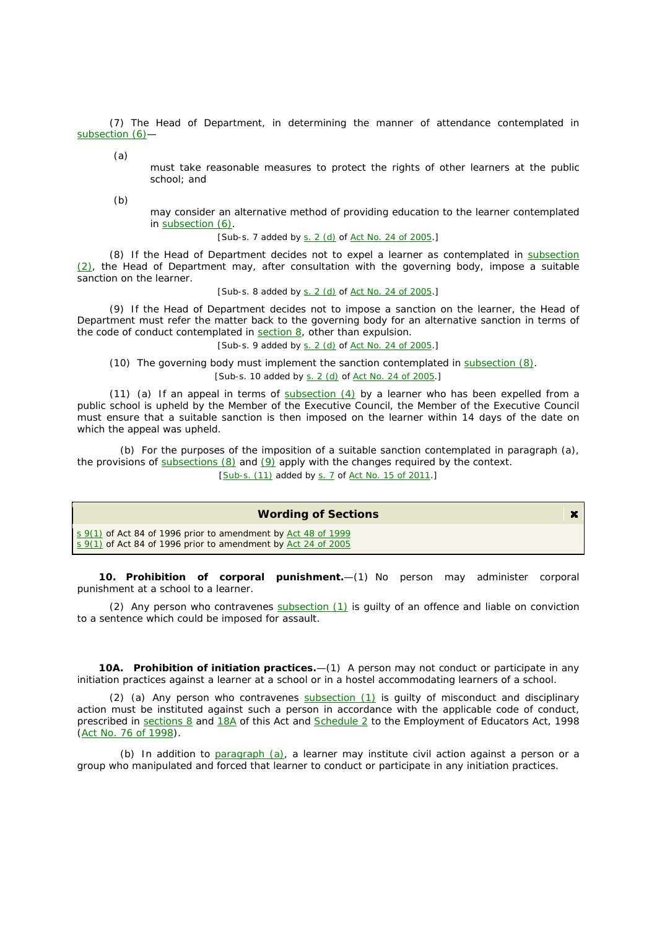(7) The *Head of Department*, in determining the manner of attendance contemplated in subsection (6)-

(*a*)

must take reasonable measures to protect the rights of other *learners* at the *public school*; and

(*b*)

may consider an alternative method of providing education to the *learner* contemplated in subsection (6).

[Sub-s. 7 added by s. 2 (*d*) of Act No. 24 of 2005.]

(8) If the *Head of Department* decides not to expel a *learner* as contemplated in subsection (2), the *Head of Department* may, after consultation with the *governing body*, impose a suitable sanction on the *learner.*

[Sub-s. 8 added by s. 2 (*d*) of Act No. 24 of 2005.]

(9) If the *Head of Department* decides not to impose a sanction on the *learner*, the *Head of Department* must refer the matter back to the *governing body* for an alternative sanction in terms of the code of conduct contemplated in **section 8**, other than expulsion.

[Sub-s. 9 added by s. 2 (*d*) of Act No. 24 of 2005.]

(10) The *governing body* must implement the sanction contemplated in subsection (8). [Sub-s. 10 added by s. 2 (*d*) of Act No. 24 of 2005.]

(11) (*a*) If an appeal in terms of subsection (4) by a *learner* who has been expelled from a *public school* is upheld by the *Member of the Executive Council*, the *Member of the Executive Council*  must ensure that a suitable sanction is then imposed on the *learner* within 14 days of the date on which the appeal was upheld.

(*b*) For the purposes of the imposition of a suitable sanction contemplated in paragraph (*a*), the provisions of subsections  $(8)$  and  $(9)$  apply with the changes required by the context. [Sub-s. (11) added by s. 7 of Act No. 15 of 2011.]

| <b>Wording of Sections</b>                                                                                                                   |  |
|----------------------------------------------------------------------------------------------------------------------------------------------|--|
| s 9(1) of Act 84 of 1996 prior to amendment by Act 48 of 1999<br>$\frac{1}{2}$ S 9(1) of Act 84 of 1996 prior to amendment by Act 24 of 2005 |  |

**10. Prohibition of corporal punishment.**—(1) No person may administer corporal punishment at a *school* to a *learner*.

(2) Any person who contravenes  $subsection (1)$  is guilty of an offence and liable on conviction to a sentence which could be imposed for assault.

**10A. Prohibition of initiation practices.**—(1) A person may not conduct or participate in any initiation practices against a *learner* at a *school* or in a hostel accommodating *learners* of a *school.*

(2) (*a*)Any person who contravenes subsection (1) is guilty of misconduct and disciplinary action must be instituted against such a person in accordance with the applicable code of conduct, prescribed in sections 8 and 18A of *this Act* and Schedule 2 to the Employment of Educators Act, 1998 (Act No. 76 of 1998).

(*b*)In addition to paragraph (*a*), a *learner* may institute civil action against a person or a group who manipulated and forced that *learner* to conduct or participate in any initiation practices.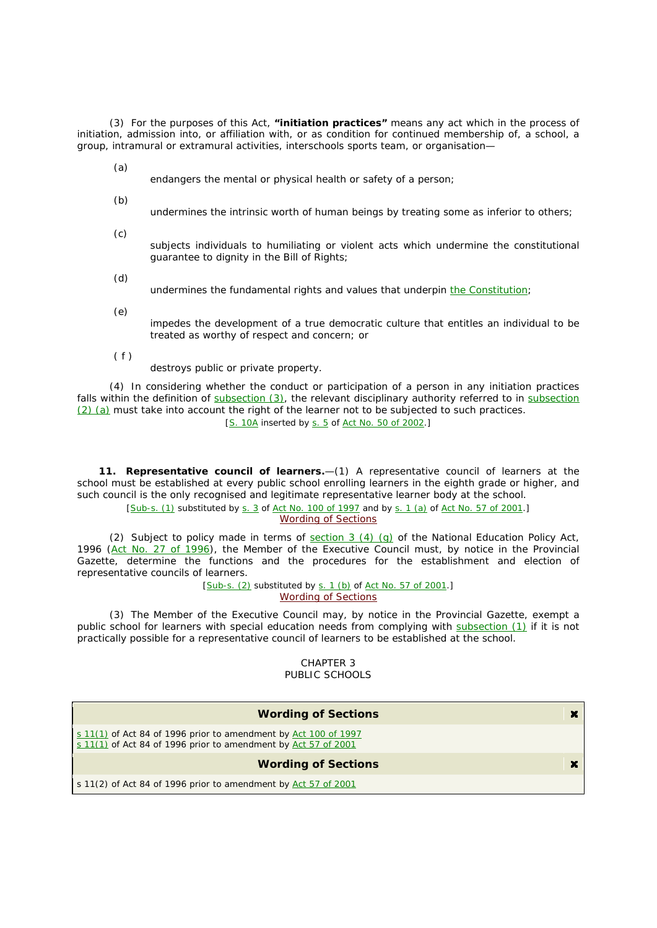(3) For the purposes of *this Act*, **"initiation practices"** means any act which in the process of initiation, admission into, or affiliation with, or as condition for continued membership of, a *school*, a group, intramural or extramural activities, interschools sports team, or organisation—

(*a*)

endangers the mental or physical health or safety of a person;

(*b*) undermines the intrinsic worth of human beings by treating some as inferior to others;

(*c*) subjects individuals to humiliating or violent acts which undermine the constitutional guarantee to dignity in the Bill of Rights;

- (*d*) undermines the fundamental rights and values that underpin the *Constitution*;
- (*e*)

impedes the development of a true democratic culture that entitles an individual to be treated as worthy of respect and concern; or

 $(f)$ 

destroys public or private property.

(4) In considering whether the conduct or participation of a person in any initiation practices falls within the definition of subsection (3), the relevant disciplinary authority referred to in subsection (2) (*a*) must take into account the right of the *learner* not to be subjected to such practices.

[S. 10A inserted by s. 5 of Act No. 50 of 2002.]

**11. Representative council of learners.**—(1) A representative council of *learners* at the *school* must be established at every *public school* enrolling *learners* in the eighth *grade* or higher, and such council is the only recognised and legitimate representative *learner* body at the *school*.

[Sub-s. (1) substituted by s. 3 of Act No. 100 of 1997 and by s. 1 (a) of Act No. 57 of 2001.]

Wording of Sections

(2) Subject to policy made in terms of section 3 (4) (*g*) of the National Education Policy Act, 1996 (Act No. 27 of 1996), the Member of the Executive Council must, by notice in the Provincial Gazette, determine the functions and the procedures for the establishment and election of representative councils of *learners*.

> [Sub-s. (2) substituted by s. 1 (b) of Act No. 57 of 2001.] Wording of Sections

(3) The *Member of the Executive Council* may, by notice in the Provincial Gazette, exempt a *public school* for *learners* with special education needs from complying with subsection (1) if it is not practically possible for a representative council of *learner*s to be established at the *school*.

> CHAPTER 3 PUBLIC SCHOOLS

| <b>Wording of Sections</b>                                                                                                        | × |
|-----------------------------------------------------------------------------------------------------------------------------------|---|
| s 11(1) of Act 84 of 1996 prior to amendment by Act 100 of 1997<br>s 11(1) of Act 84 of 1996 prior to amendment by Act 57 of 2001 |   |
| <b>Wording of Sections</b>                                                                                                        | × |
| s 11(2) of Act 84 of 1996 prior to amendment by Act 57 of 2001                                                                    |   |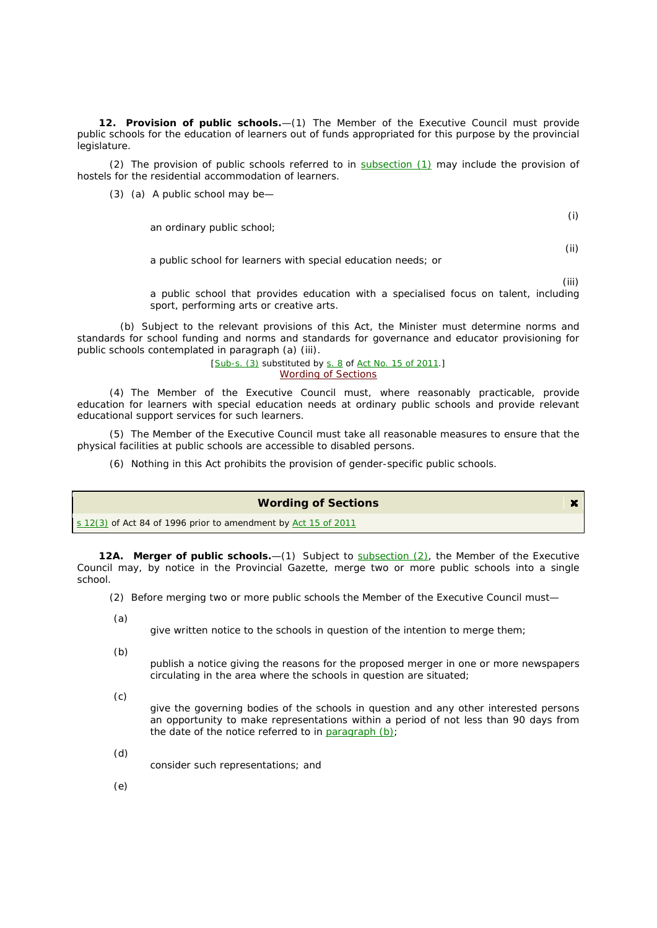**12. Provision of public schools.**—(1) The *Member of the Executive Council* must provide *public schools* for the education of *learners* out of funds appropriated for this purpose by the *provincial legislature*.

(2) The provision of *public schools* referred to in subsection (1) may include the provision of hostels for the residential accommodation of *learners*.

(3) (*a*) A *public school* may be—

an ordinary *public school*;

(i)

(ii)

a *public school* for *learners* with special education needs; or

(iii)

a *public school* that provides education with a specialised focus on talent, including sport, performing arts or creative arts.

(*b*) Subject to the relevant provisions of *this Act*, the *Minister* must determine *norms and standards for school funding* and norms and standards for governance and educator provisioning for *public schools* contemplated in paragraph (*a*) (iii).

[Sub-s. (3) substituted by s. 8 of Act No. 15 of 2011.] Wording of Sections

(4) The *Member of the Executive Council* must, where reasonably practicable, provide education for *learners* with special education needs at ordinary *public schools* and provide relevant educational support services for such *learners*.

(5) The *Member of the Executive Council* must take all reasonable measures to ensure that the physical facilities at *public schools* are accessible to disabled persons.

(6) Nothing in this Act prohibits the provision of gender-specific *public schools*.

| <b>Wording of Sections</b>                                          |  |
|---------------------------------------------------------------------|--|
| $\leq$ 12(3) of Act 84 of 1996 prior to amendment by Act 15 of 2011 |  |

**12A. Merger of public schools.**—(1) Subject to subsection (2), the *Member of the Executive Council* may, by notice in the *Provincial Gazette*, merge two or more *public schools* into a single *school*.

(2) Before merging two or more *public schools* the *Member of the Executive Council* must*—*

(*a*)

give written notice to the *schools* in question of the intention to merge them;

(*b*)

publish a notice giving the reasons for the proposed merger in one or more newspapers circulating in the area where the *schools* in question are situated;

(*c*)

give the *governing bodies* of the *schools* in question and any other interested persons an opportunity to make representations within a period of not less than 90 days from the date of the notice referred to in paragraph (*b*);

(*d*)

consider such representations; and

(*e*)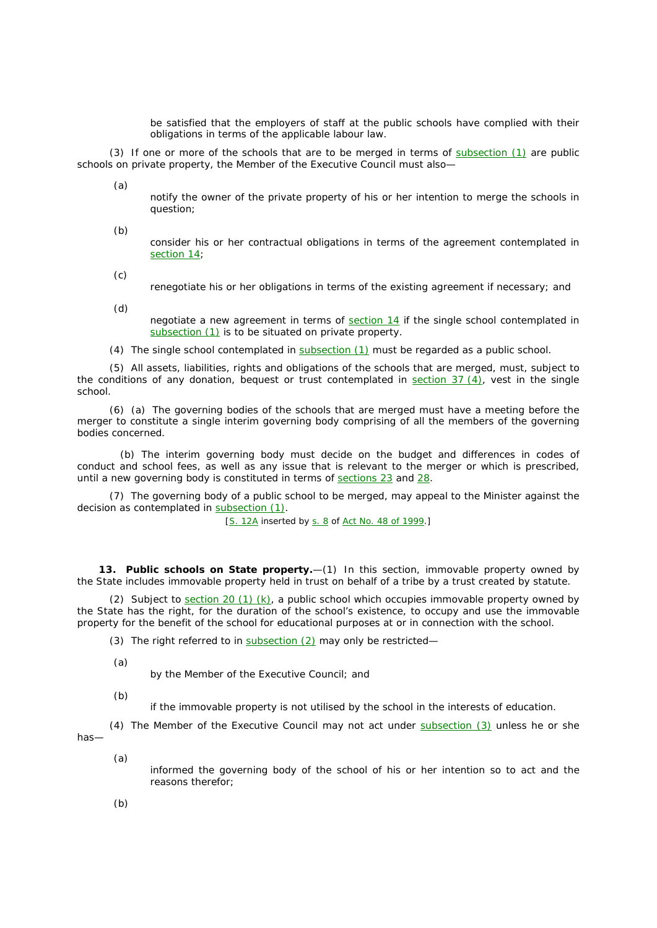be satisfied that the employers of staff at the *public schools* have complied with their obligations in terms of the applicable labour law.

(3) If one or more of the *schools* that are to be merged in terms of subsection (1) are *public schools* on private property, the *Member of the Executive Council* must also—

(*a*)

notify the owner of the private property of his or her intention to merge the *schools* in question;

(*b*)

- consider his or her contractual obligations in terms of the agreement contemplated in section 14;
- (*c*)
- renegotiate his or her obligations in terms of the existing agreement if necessary; and

(*d*)

negotiate a new agreement in terms of section 14 if the single *school* contemplated in subsection (1) is to be situated on private property.

(4) The single *school* contemplated in subsection (1) must be regarded as a *public school*.

(5)All assets, liabilities, rights and obligations of the *schools* that are merged, must, subject to the conditions of any donation, bequest or trust contemplated in section 37 (4), vest in the single *school*.

(6) (*a*)The *governing bodies* of the *schools* that are merged must have a meeting before the merger to constitute a single interim *governing body* comprising of all the members of the *governing bodies* concerned.

(*b*)The interim *governing body* must decide on the budget and differences in codes of conduct and school fees, as well as any issue that is relevant to the merger or which is prescribed, until a new *governing body* is constituted in terms of sections 23 and 28.

(7) The *governing body* of a *public school* to be merged, may appeal to the *Minister* against the decision as contemplated in subsection (1).

[S. 12A inserted by s. 8 of Act No. 48 of 1999.]

**13. Public schools on State property.**—(1) In this section, immovable property owned by the State includes immovable property held in trust on behalf of a tribe by a trust created by statute.

(2) Subject to section 20 (1) (*k*), a *public school* which occupies immovable property owned by the State has the right, for the duration of the *school's* existence, to occupy and use the immovable property for the benefit of the *school* for educational purposes at or in connection with the *school*.

(3) The right referred to in subsection  $(2)$  may only be restricted-

(*a*)

by the *Member of the Executive Council*; and

(*b*)

if the immovable property is not utilised by the *school* in the interests of education.

(4) The *Member of the Executive Council* may not act under subsection (3) unless he or she has—

informed the *governing body* of the *school* of his or her intention so to act and the reasons therefor;

(*b*)

(*a*)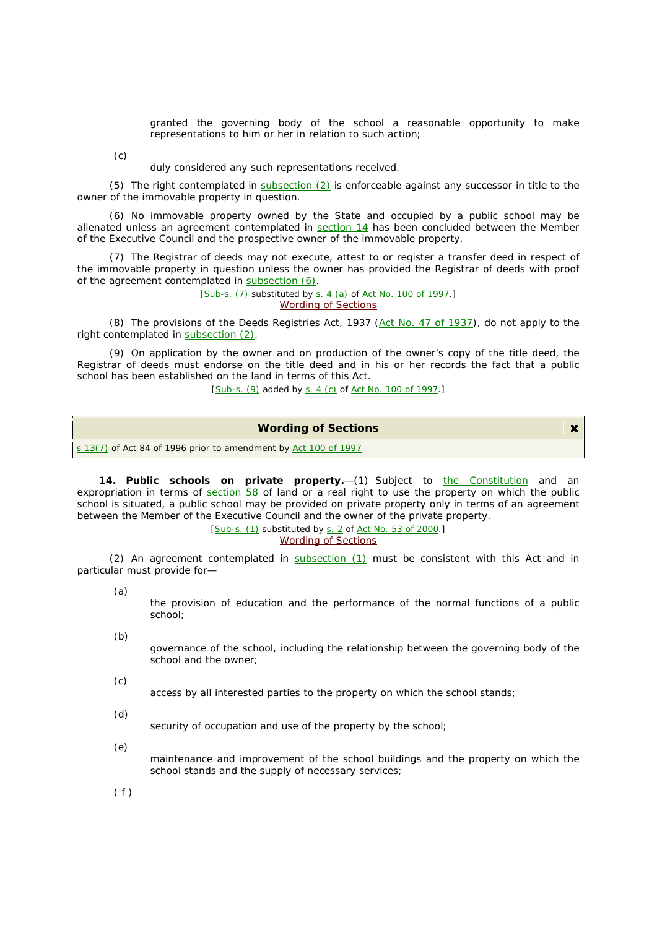granted the *governing body* of the *school* a reasonable opportunity to make representations to him or her in relation to such action;

(*c*)

duly considered any such representations received.

(5) The right contemplated in subsection (2) is enforceable against any successor in title to the owner of the immovable property in question.

(6) No immovable property owned by the State and occupied by a *public school* may be alienated unless an agreement contemplated in section 14 has been concluded between the *Member of the Executive Council* and the prospective owner of the immovable property.

(7) The *Registrar of deeds* may not execute, attest to or register a transfer deed in respect of the immovable property in question unless the owner has provided the *Registrar of deeds* with proof of the agreement contemplated in subsection (6).

> [Sub-s. (7) substituted by s. 4 (*a*) of Act No. 100 of 1997.] Wording of Sections

(8) The provisions of the Deeds Registries Act, 1937 (Act No. 47 of 1937), do not apply to the right contemplated in subsection (2).

(9) On application by the owner and on production of the owner's copy of the title deed, the *Registrar of deeds* must endorse on the title deed and in his or her records the fact that a *public school* has been established on the land in terms of *this Act*.

[Sub-s. (9) added by s. 4 (*c*) of Act No. 100 of 1997.]

 $\mathbf{x}$ 

## **Wording of Sections**

s 13(7) of Act 84 of 1996 prior to amendment by Act 100 of 1997

**14. Public schools on private property.**—(1) Subject to the *Constitution* and an expropriation in terms of section 58 of land or a real right to use the property on which the *public school* is situated, a *public school* may be provided on private property only in terms of an agreement between the *Member of the Executive Council* and the owner of the private property.

[Sub-s. (1) substituted by s. 2 of Act No. 53 of 2000.]

Wording of Sections

(2) An agreement contemplated in subsection (1) must be consistent with *this Act* and in particular must provide for—

(*a*)

the provision of education and the performance of the normal functions of a *public school*;

(*b*)

governance of the *school*, including the relationship between the *governing body* of the *school* and the owner;

(*c*)

access by all interested parties to the property on which the *school* stands;

(*d*)

security of occupation and use of the property by the *school*;

(*e*)

maintenance and improvement of the *school* buildings and the property on which the *school* stands and the supply of necessary services;

 $(f)$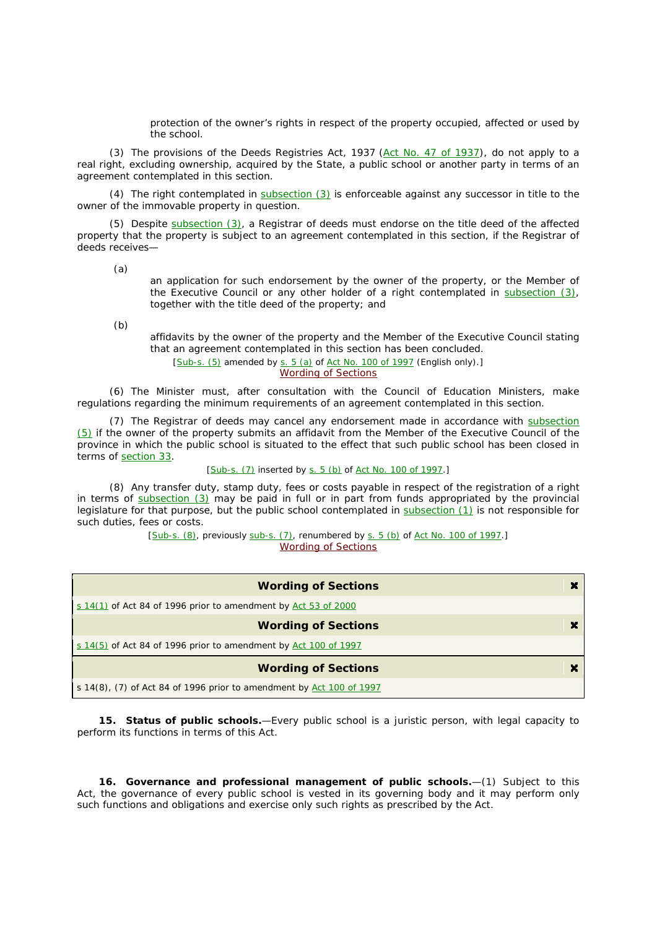protection of the owner's rights in respect of the property occupied, affected or used by the *school*.

(3) The provisions of the Deeds Registries Act, 1937 (Act No. 47 of 1937), do not apply to a real right, excluding ownership, acquired by the State, a *public school* or another party in terms of an agreement contemplated in this section.

(4) The right contemplated in  $subsection (3)$  is enforceable against any successor in title to the owner of the immovable property in question.

(5) Despite subsection (3), a Registrar of deeds must endorse on the title deed of the affected property that the property is subject to an agreement contemplated in this section, if the *Registrar of deeds* receives—

(*a*)

an application for such endorsement by the owner of the property, or the *Member of the Executive Council* or any other holder of a right contemplated in subsection (3), together with the title deed of the property; and

(*b*)

affidavits by the owner of the property and the *Member of the Executive Council* stating that an agreement contemplated in this section has been concluded.

[Sub-s. (5) amended by s. 5 (*a*) of Act No. 100 of 1997 (English only).]

Wording of Sections

(6) The *Minister* must, after consultation with the *Council of Education Ministers*, make regulations regarding the minimum requirements of an agreement contemplated in this section.

(7) The *Registrar of deeds* may cancel any endorsement made in accordance with subsection (5) if the owner of the property submits an affidavit from the *Member of the Executive Council* of the province in which the *public school* is situated to the effect that such *public school* has been closed in terms of section 33.

#### [Sub-s. (7) inserted by s. 5 (b) of Act No. 100 of 1997.]

(8) Any transfer duty, stamp duty, fees or costs payable in respect of the registration of a right in terms of subsection (3) may be paid in full or in part from funds appropriated by the *provincial legislature* for that purpose, but the *public school* contemplated in subsection (1) is not responsible for such duties, fees or costs.

> [Sub-s. (8), previously sub-s. (7), renumbered by s. 5 (b) of Act No. 100 of 1997.] Wording of Sections

| <b>Wording of Sections</b>                                                         |  |  |
|------------------------------------------------------------------------------------|--|--|
| $\frac{1}{2}$ s 14(1) of Act 84 of 1996 prior to amendment by Act 53 of 2000       |  |  |
| <b>Wording of Sections</b>                                                         |  |  |
| $\frac{1}{2}$ s 14(5) of Act 84 of 1996 prior to amendment by Act 100 of 1997      |  |  |
| <b>Wording of Sections</b>                                                         |  |  |
| $\frac{1}{2}$ s 14(8), (7) of Act 84 of 1996 prior to amendment by Act 100 of 1997 |  |  |

**15. Status of public schools.**—Every *public school* is a juristic person, with legal capacity to perform its functions in terms of *this Act*.

**16. Governance and professional management of public schools.**—(1) Subject to this Act, the governance of every public school is vested in its governing body and it may perform only such functions and obligations and exercise only such rights as prescribed by the Act.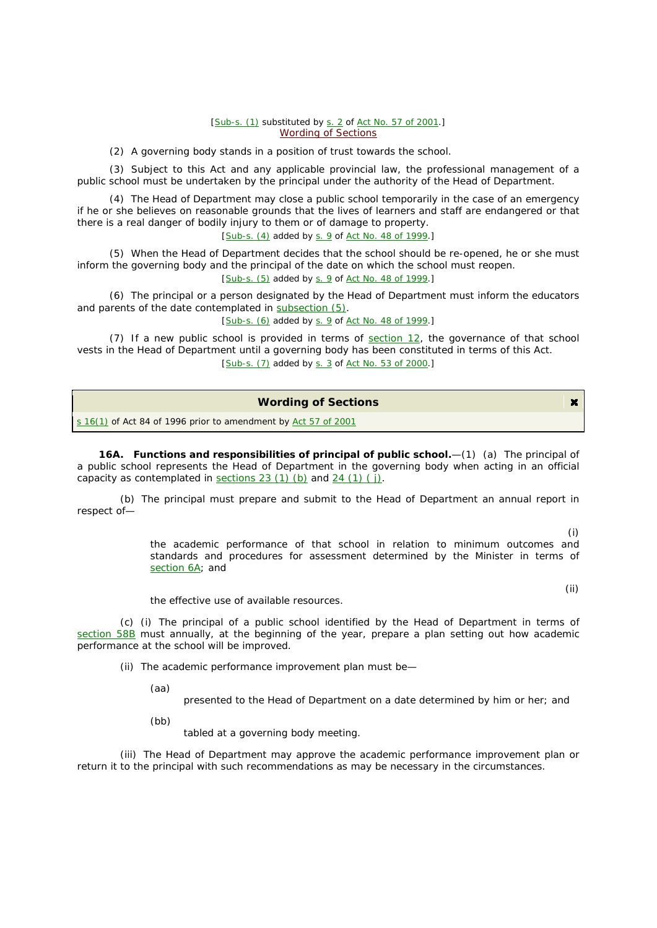#### [Sub-s. (1) substituted by s. 2 of Act No. 57 of 2001.] Wording of Sections

(2) A *governing body* stands in a position of trust towards the *school*.

(3) Subject to *this Act* and any applicable provincial law, the professional management of a *public school* must be undertaken by the *principal* under the authority of the *Head of Department*.

(4)The *Head of Department* may close a *public school* temporarily in the case of an emergency if he or she believes on reasonable grounds that the lives of *learners* and staff are endangered or that there is a real danger of bodily injury to them or of damage to property.

[Sub-s. (4) added by s. 9 of Act No. 48 of 1999.]

(5) When the *Head of Department* decides that the *school* should be re-opened, he or she must inform the *governing body* and the *principal* of the date on which the *school* must reopen. [Sub-s. (5) added by s. 9 of Act No. 48 of 1999.]

(6) The *principal* or a person designated by the *Head of Department* must inform the *educators*  and *parents* of the date contemplated in subsection (5).

[Sub-s. (6) added by s. 9 of Act No. 48 of 1999.]

(7) If a new *public school* is provided in terms of section 12, the governance of that *school*  vests in the *Head of Department* until a *governing body* has been constituted in terms of *this Act*. [Sub-s. (7) added by s. 3 of Act No. 53 of 2000.]

## **Wording of Sections**

s 16(1) of Act 84 of 1996 prior to amendment by Act 57 of 2001

**16A. Functions and responsibilities of principal of public school.**—(1) (*a*) The *principal* of a *public school* represents the *Head of Department* in the *governing body* when acting in an official capacity as contemplated in sections 23 (1) (*b*) and 24 (1) ( *j*).

(*b*)The *principal* must prepare and submit to the *Head of Department* an annual report in respect of—

> the academic performance of that *school* in relation to minimum outcomes and standards and procedures for assessment determined by the *Minister* in terms of section 6A; and

> > (ii)

(i)

 $\mathbf{x}$ 

the effective use of available resources.

(*c*) (i) The *principal* of a *public school* identified by the *Head of Department* in terms of section 58B must annually, at the beginning of the year, prepare a plan setting out how academic performance at the *school* will be improved.

(ii) The academic performance improvement plan must be—

(*aa*)

presented to the *Head of Department* on a date determined by him or her; and

(*bb*)

tabled at a *governing body* meeting.

(iii) The *Head of Department* may approve the academic performance improvement plan or return it to the *principal* with such recommendations as may be necessary in the circumstances.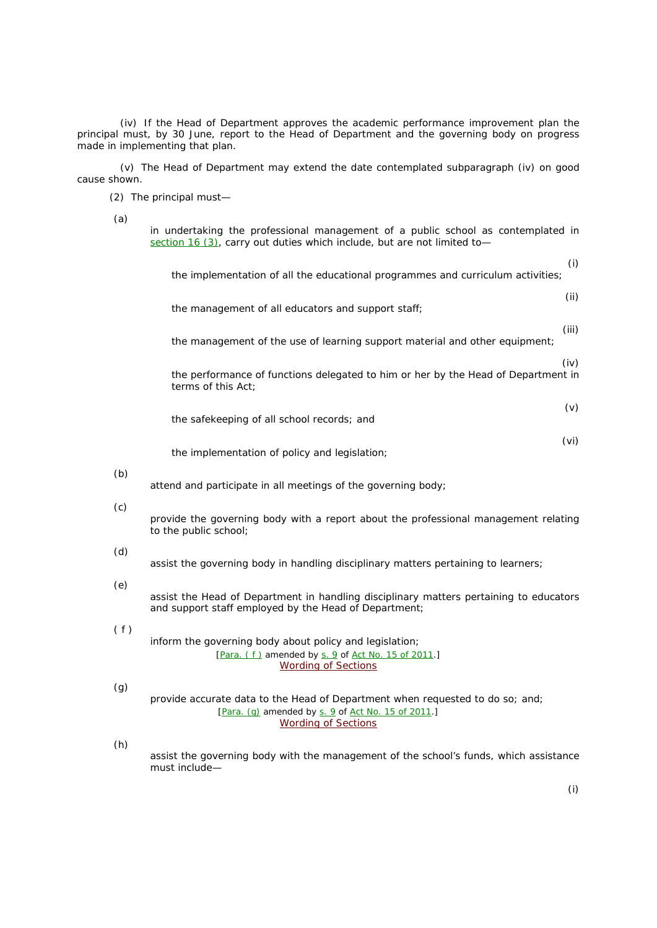(iv) If the *Head of Department* approves the academic performance improvement plan the principal must, by 30 June, report to the *Head of Department* and the *governing* body on progress made in implementing that plan.

(v) The *Head of Department* may extend the date contemplated subparagraph (iv) on good cause shown.

(2) The *principal* must—

(*a*)

in undertaking the professional management of a *public school* as contemplated in section 16 (3), carry out duties which include, but are not limited to-

|     | (i)<br>the implementation of all the educational programmes and curriculum activities;                                                                            |
|-----|-------------------------------------------------------------------------------------------------------------------------------------------------------------------|
|     | (ii)<br>the management of all educators and support staff;                                                                                                        |
|     | (iii)<br>the management of the use of learning support material and other equipment;                                                                              |
|     | (iv)<br>the performance of functions delegated to him or her by the Head of Department in<br>terms of this Act;                                                   |
|     | (v)<br>the safekeeping of all school records; and                                                                                                                 |
|     | (vi)<br>the implementation of policy and legislation;                                                                                                             |
| (b) | attend and participate in all meetings of the governing body;                                                                                                     |
| (c) | provide the <i>governing body</i> with a report about the professional management relating<br>to the public school;                                               |
| (d) | assist the governing body in handling disciplinary matters pertaining to learners;                                                                                |
| (e) | assist the Head of Department in handling disciplinary matters pertaining to educators<br>and support staff employed by the Head of Department;                   |
| (f) | inform the <i>governing body</i> about policy and legislation;<br>[Para. (f) amended by s. 9 of Act No. 15 of 2011.]<br><b>Wording of Sections</b>                |
| (g) | provide accurate data to the Head of Department when requested to do so; and;<br>[Para. (g) amended by s. 9 of Act No. 15 of 2011.]<br><b>Wording of Sections</b> |

(*h*)

assist the *governing body* with the management of the *school*'*s* funds, which assistance must include—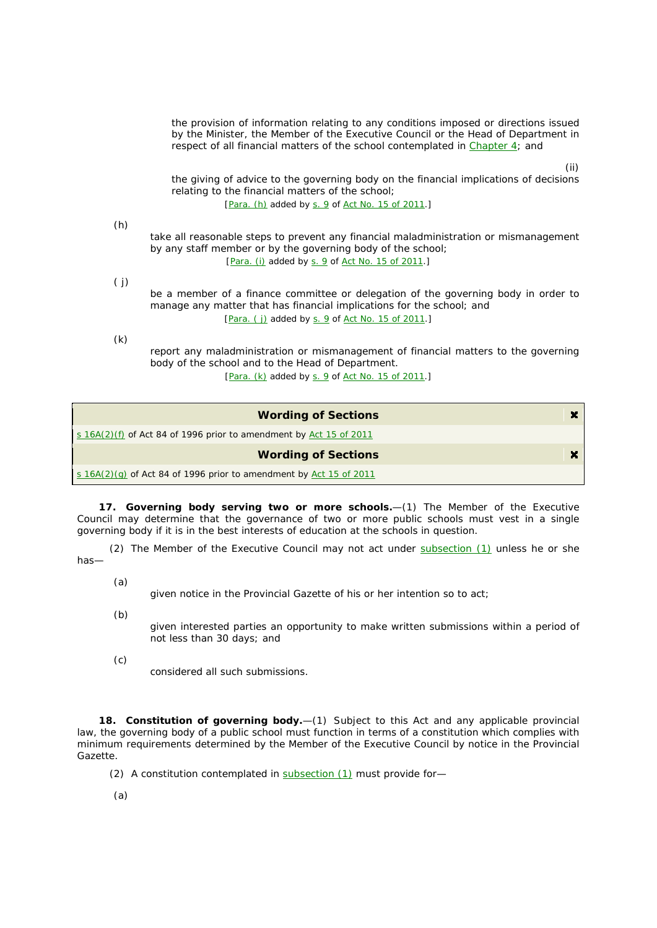the provision of information relating to any conditions imposed or directions issued by the *Minister*, the *Member of the Executive Council* or the *Head of Department* in respect of all financial matters of the *school* contemplated in Chapter 4; and

the giving of advice to the *governing body* on the financial implications of decisions relating to the financial matters of the *school*;

(ii)

[Para. (*h*) added by s. 9 of Act No. 15 of 2011.]

#### (*h*)

take all reasonable steps to prevent any financial maladministration or mismanagement by any staff member or by the *governing body* of the *school*; [Para. (*i*) added by s. 9 of Act No. 15 of 2011.]

 $(j)$ 

be a member of a finance committee or delegation of the *governing body* in order to manage any matter that has financial implications for the *school*; and [Para. (*j*) added by s. 9 of Act No. 15 of 2011.]

(*k*)

report any maladministration or mismanagement of financial matters to the *governing body* of the *school* and to the *Head of Department.* [Para. (*k*) added by s. 9 of Act No. 15 of 2011.]

| <b>Wording of Sections</b>                                                       |  |
|----------------------------------------------------------------------------------|--|
| $\frac{1}{2}$ s 16A(2)(f) of Act 84 of 1996 prior to amendment by Act 15 of 2011 |  |
| <b>Wording of Sections</b>                                                       |  |
| $\frac{\sqrt{5}}{20}$ (d) of Act 84 of 1996 prior to amendment by Act 15 of 2011 |  |

**17. Governing body serving two or more schools.**—(1) The *Member of the Executive Council* may determine that the governance of two or more *public schools* must vest in a single *governing body* if it is in the best interests of education at the *schools* in question.

(2) The *Member of the Executive Council* may not act under subsection (1) unless he or she has—

(*a*)

given notice in the Provincial Gazette of his or her intention so to act;

(*b*)

given interested parties an opportunity to make written submissions within a period of not less than 30 days; and

(*c*)

considered all such submissions.

**18. Constitution of governing body.**—(1) Subject to *this Act* and any applicable provincial law, the *governing body* of a *public school* must function in terms of a constitution which complies with minimum requirements determined by the *Member of the Executive Council* by notice in the Provincial Gazette.

(2) A constitution contemplated in  $subsection (1)$  must provide for-

(*a*)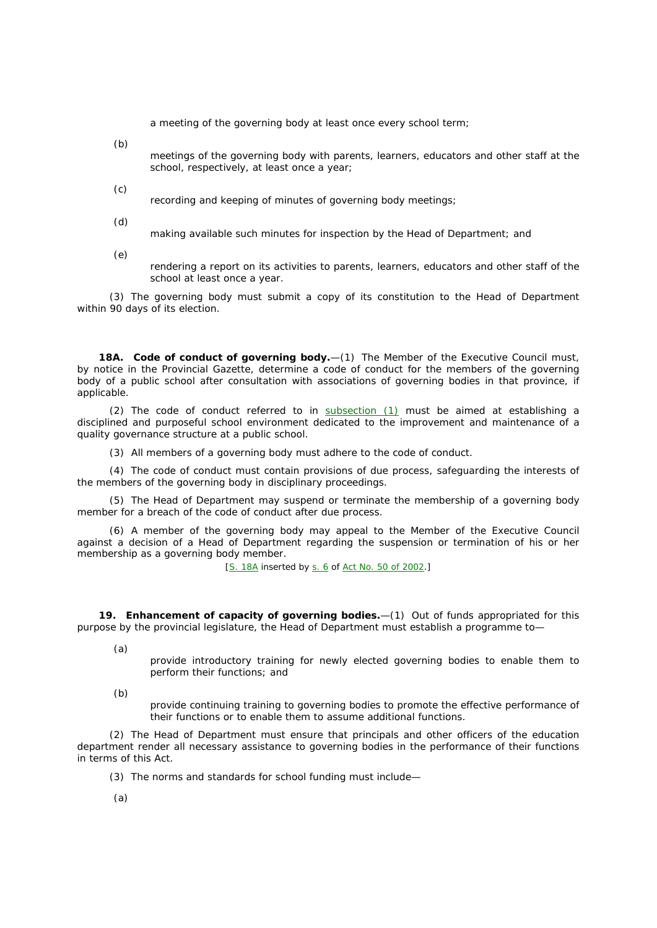a meeting of the *governing body* at least once every *school* term;

- (*b*)
	- meetings of the *governing body* with *parents*, *learner*s, *educator*s and other staff at the *school*, respectively, at least once a year;

(*c*)

recording and keeping of minutes of *governing body* meetings;

(*d*)

- making available such minutes for inspection by the *Head of Department*; and
- (*e*)
- rendering a report on its activities to *parents*, *learners*, *educators* and other staff of the *school* at least once a year.

(3) The *governing body* must submit a copy of its constitution to the *Head of Department*  within 90 days of its election.

**18A. Code of conduct of governing body.**—(1) The *Member of the Executive Council* must, by notice in the Provincial Gazette, determine a code of conduct for the members of the *governing body* of a *public school* after consultation with associations of *governing bodies* in that province, if applicable.

(2) The code of conduct referred to in subsection (1) must be aimed at establishing a disciplined and purposeful *school* environment dedicated to the improvement and maintenance of a quality governance structure at a *public school.*

(3) All members of a *governing body* must adhere to the code of conduct.

(4) The code of conduct must contain provisions of due process, safeguarding the interests of the members of the *governing body* in disciplinary proceedings.

(5) The Head of Department may suspend or terminate the membership of a *governing body*  member for a breach of the code of conduct after due process.

(6) A member of the *governing body* may appeal to the *Member of the Executive Council*  against a decision of a *Head of Department* regarding the suspension or termination of his or her membership as a *governing body* member.

[S. 18A inserted by s. 6 of Act No. 50 of 2002.]

**19. Enhancement of capacity of governing bodies.**—(1) Out of funds appropriated for this purpose by the *provincial legislature*, the *Head of Department* must establish a programme to—

(*a*)

provide introductory training for newly elected *governing bodies* to enable them to perform their functions; and

(*b*)

provide continuing training to *governing bodies* to promote the effective performance of their functions or to enable them to assume additional functions.

(2) The *Head of Department* must ensure that *principals* and other officers of the *education department* render all necessary assistance to *governing bodies* in the performance of their functions in terms of *this Act*.

(3) The *norms and standards for school funding* must include*—*

(*a*)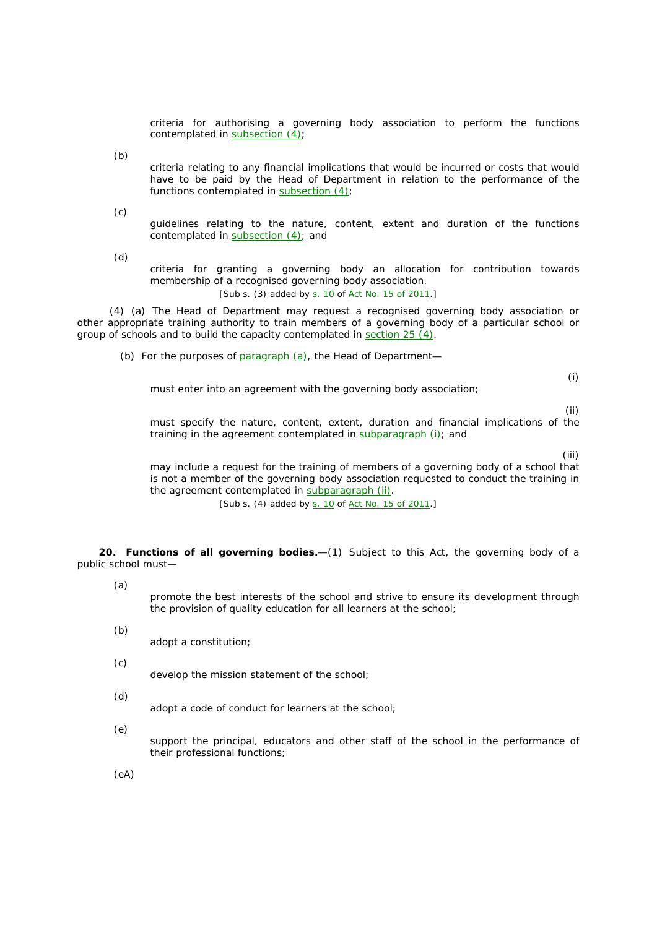criteria for authorising a *governing body* association to perform the functions contemplated in subsection (4);

(*b*)

criteria relating to any financial implications that would be incurred or costs that would have to be paid by the *Head of Department* in relation to the performance of the functions contemplated in subsection (4);

(*c*)

guidelines relating to the nature, content, extent and duration of the functions contemplated in subsection (4); and

(*d*)

criteria for granting a *governing body* an allocation for contribution towards membership of a recognised *governing body* association. [Sub s. (3) added by s. 10 of Act No. 15 of 2011.]

(4) (*a*) The *Head of Department* may request a recognised *governing body* association or other appropriate training authority to train members of a *governing body* of a particular *school* or group of *schools* and to build the capacity contemplated in section 25 (4).

(*b*)For the purposes of paragraph (*a*), the *Head of Department*—

(i)

must enter into an agreement with the *governing body* association;

(ii)

must specify the nature, content, extent, duration and financial implications of the training in the agreement contemplated in subparagraph (i); and

(iii)

may include a request for the training of members of a *governing body* of a *school* that is not a member of the *governing body* association requested to conduct the training in the agreement contemplated in subparagraph (ii).

[Sub s. (4) added by s. 10 of Act No. 15 of 2011.]

**20. Functions of all governing bodies.**—(1) Subject to *this Act*, the *governing body* of a *public school* must—

(*a*)

promote the best interests of the *school* and strive to ensure its development through the provision of quality education for all *learners* at the *school*;

(*b*)

adopt a constitution;

(*c*) develop the mission statement of the *school*;

(*d*)

adopt a code of conduct for *learners* at the *school*;

(*e*)

support the *principal*, *educators* and other staff of the *school* in the performance of their professional functions;

(*e*A)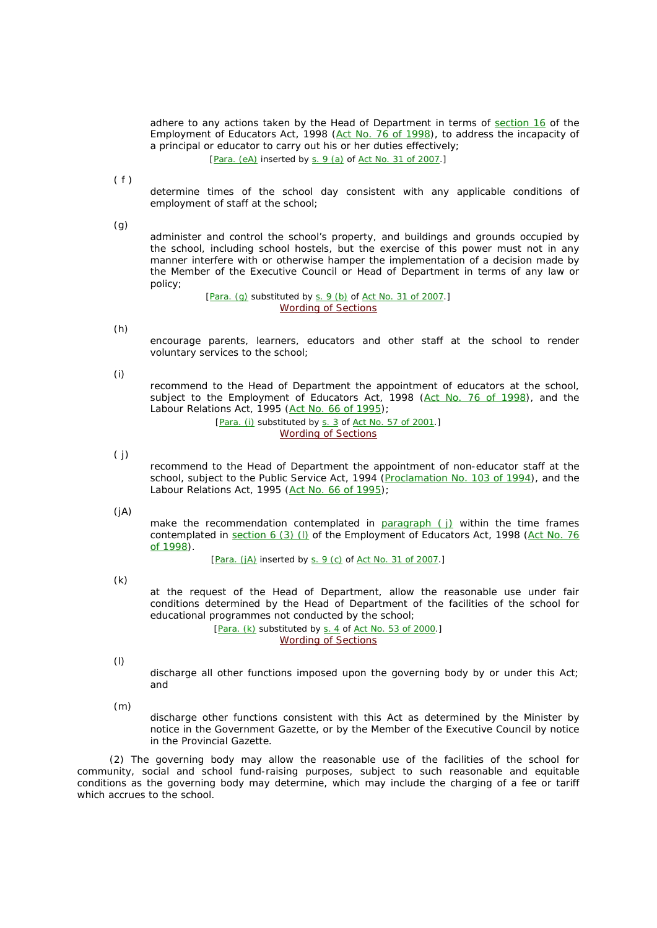adhere to any actions taken by the Head of Department in terms of section 16 of the Employment of Educators Act, 1998 (Act No. 76 of 1998), to address the incapacity of a *principal* or *educator* to carry out his or her duties effectively; [Para. (*e*A) inserted by s. 9 (*a*) of Act No. 31 of 2007.]

 $(f)$ 

determine times of the *school* day consistent with any applicable conditions of employment of staff at the *school*;

(*g*)

administer and control the *school's* property, and buildings and grounds occupied by the *school*, including *school* hostels, but the exercise of this power must not in any manner interfere with or otherwise hamper the implementation of a decision made by the *Member of the Executive Council* or *Head of Department* in terms of any law or policy;

> [Para. (*g*) substituted by s. 9 (*b*) of Act No. 31 of 2007.] Wording of Sections

#### (*h*)

encourage *parents*, *learners*, *educators* and other staff at the *school* to render voluntary services to the *school*;

(*i*)

recommend to the *Head of Department* the appointment of *educators* at the *school*, subject to the Employment of Educators Act, 1998 (Act No. 76 of 1998), and the Labour Relations Act, 1995 (Act No. 66 of 1995);

[*Para. (i*) substituted by s. 3 of Act No. 57 of 2001.] Wording of Sections

( *j*)

recommend to the *Head of Department* the appointment of non-educator staff at the *school*, subject to the Public Service Act, 1994 (Proclamation No. 103 of 1994), and the Labour Relations Act, 1995 (Act No. 66 of 1995);

(*j*A)

make the recommendation contemplated in paragraph  $(\hat{h})$  within the time frames contemplated in section 6 (3) (*l*) of the Employment of Educators Act, 1998 (Act No. 76 of 1998).

[Para. (*j*A) inserted by s. 9 (*c*) of Act No. 31 of 2007.]

(*k*)

at the request of the *Head of Department*, allow the reasonable use under fair conditions determined by the *Head of Department* of the facilities of the *school* for educational programmes not conducted by the *school*;

> [Para. (*k*) substituted by s. 4 of Act No. 53 of 2000.] Wording of Sections

(*l*)

discharge all other functions imposed upon the *governing body* by or under *this Act*; and

(*m*)

discharge other functions consistent with *this Act* as determined by the *Minister* by notice in the Government Gazette, or by the *Member of the Executive Council* by notice in the Provincial Gazette.

(2) The *governing body* may allow the reasonable use of the facilities of the *school* for community, social and *school* fund-raising purposes, subject to such reasonable and equitable conditions as the *governing body* may determine, which may include the charging of a fee or tariff which accrues to the *school*.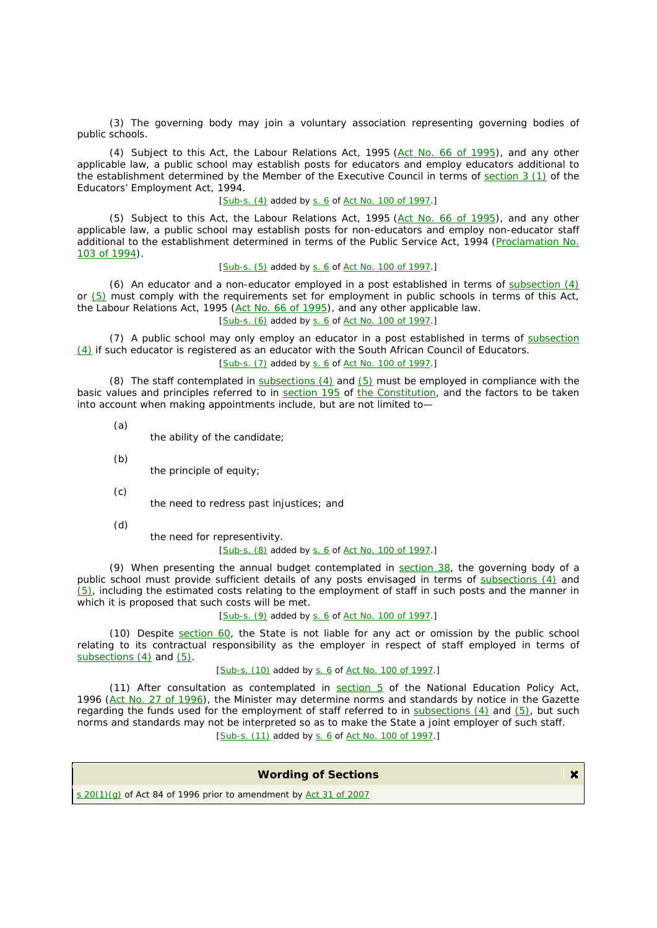(3) The *governing body* may join a voluntary association representing *governing bodies* of *public schools*.

(4) Subject to *this Act*, the Labour Relations Act, 1995 (Act No. 66 of 1995), and any other applicable law, a *public school* may establish posts for *educators* and employ *educators* additional to the establishment determined by the *Member of the Executive Council* in terms of section 3 (1) of the Educators' Employment Act, 1994.

#### [Sub-s. (4) added by s. 6 of Act No. 100 of 1997.]

(5) Subject to *this Act*, the Labour Relations Act, 1995 (Act No. 66 of 1995), and any other applicable law, a *public school* may establish posts for non-educators and employ non-educator staff additional to the establishment determined in terms of the Public Service Act, 1994 (Proclamation No. 103 of 1994).

## [Sub-s. (5) added by s. 6 of Act No. 100 of 1997.]

(6) An *educator* and a non-*educator* employed in a post established in terms of subsection (4) or (5) must comply with the requirements set for employment in *public schools* in terms of *this Act*, the Labour Relations Act, 1995 (Act No. 66 of 1995), and any other applicable law. [Sub-s. (6) added by s. 6 of Act No. 100 of 1997.]

(7) A *public school* may only employ an *educator* in a post established in terms of subsection (4) if such *educator* is registered as an *educator* with the South African Council of Educators. [Sub-s. (7) added by s. 6 of Act No. 100 of 1997.]

(8) The staff contemplated in subsections (4) and (5) must be employed in compliance with the basic values and principles referred to in section 195 of the Constitution, and the factors to be taken into account when making appointments include, but are not limited to—

(*a*)

the ability of the candidate;

(*b*) the principle of equity;

(*c*)

the need to redress past injustices; and

(*d*)

the need for representivity.

[Sub-s. (8) added by s. 6 of Act No. 100 of 1997.]

(9) When presenting the annual budget contemplated in section 38, the *governing body* of a *public school* must provide sufficient details of any posts envisaged in terms of subsections (4) and (5), including the estimated costs relating to the employment of staff in such posts and the manner in which it is proposed that such costs will be met.

[Sub-s. (9) added by s. 6 of Act No. 100 of 1997.]

(10) Despite section 60, the State is not liable for any act or omission by the *public school*  relating to its contractual responsibility as the employer in respect of staff employed in terms of subsections (4) and (5).

#### [Sub-s. (10) added by s. 6 of Act No. 100 of 1997.]

(11) After consultation as contemplated in  $section 5$  of the National Education Policy Act, 1996 (Act No. 27 of 1996), the *Minister* may determine norms and standards by notice in the *Gazette*  regarding the funds used for the employment of staff referred to in subsections (4) and (5), but such norms and standards may not be interpreted so as to make the State a joint employer of such staff. [Sub-s. (11) added by s. 6 of Act No. 100 of 1997.]

#### **Wording of Sections**

 $s$  20(1)(g) of Act 84 of 1996 prior to amendment by Act 31 of 2007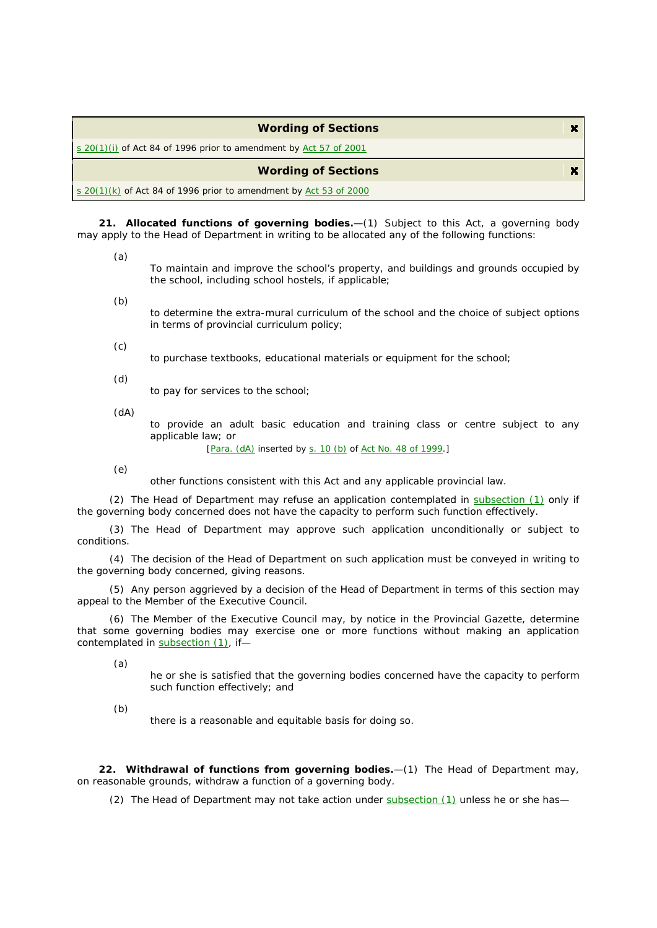## **Wording of Sections**

s 20(1)(i) of Act 84 of 1996 prior to amendment by Act 57 of 2001

**Wording of Sections**

s 20(1)(k) of Act 84 of 1996 prior to amendment by Act 53 of 2000

**21. Allocated functions of governing bodies.**—(1) Subject to *this Act*, a *governing body*  may apply to the *Head of Department* in writing to be allocated any of the following functions:

(*a*)

To maintain and improve the *school*'*s* property, and buildings and grounds occupied by the *school*, including *school* hostels, if applicable;

 $\mathbf{x}$ 

 $\mathbf{x}$ 

(*b*) to determine the extra-mural curriculum of the *school* and the choice of subject options in terms of provincial curriculum policy;

(*c*)

to purchase textbooks, educational materials or equipment for the *school*;

(*d*)

to pay for services to the *school*;

(*d*A)

to provide an adult basic education and training class or centre subject to any applicable law; or

[Para. (*d*A) inserted by s. 10 (*b*) of Act No. 48 of 1999.]

(*e*)

other functions consistent with *this Act* and any applicable provincial law.

(2) The *Head of Department* may refuse an application contemplated in subsection (1) only if the *governing body* concerned does not have the capacity to perform such function effectively.

(3) The *Head of Department* may approve such application unconditionally or subject to conditions.

(4) The decision of the *Head of Department* on such application must be conveyed in writing to the *governing body* concerned, giving reasons.

(5) Any person aggrieved by a decision of the *Head of Department* in terms of this section may appeal to the *Member of the Executive Council*.

(6) The *Member of the Executive Council* may, by notice in the Provincial Gazette, determine that some governing bodies may exercise one or more functions without making an application contemplated in subsection (1), if-

(*a*)

he or she is satisfied that the governing bodies concerned have the capacity to perform such function effectively; and

(*b*)

there is a reasonable and equitable basis for doing so.

**22. Withdrawal of functions from governing bodies.**—(1) The *Head of Department* may, on reasonable grounds, withdraw a function of a *governing body*.

(2) The *Head of Department* may not take action under subsection (1) unless he or she has—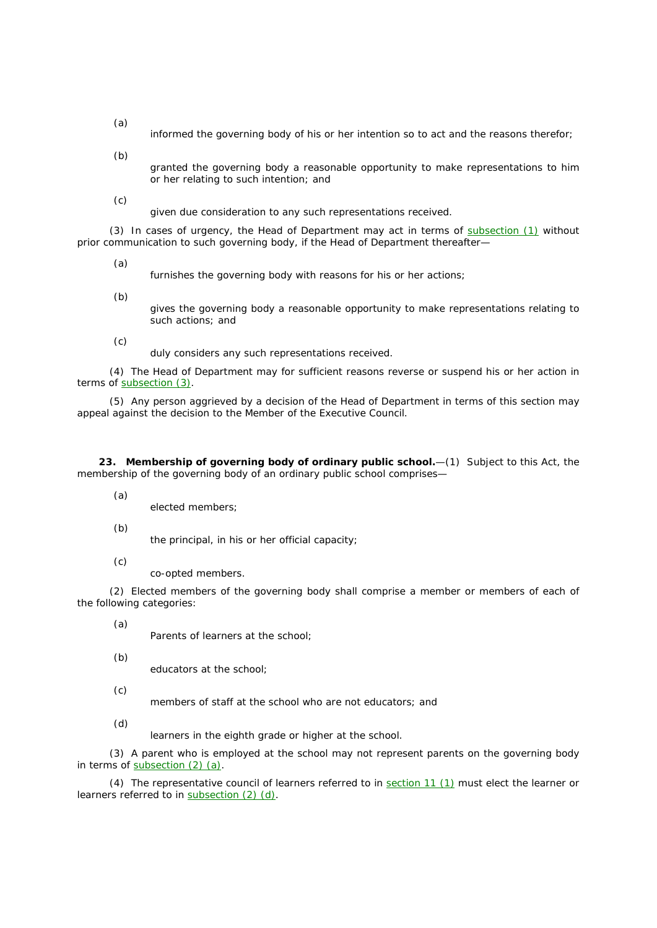- (*a*) informed the *governing body* of his or her intention so to act and the reasons therefor;
- (*b*)

granted the *governing body* a reasonable opportunity to make representations to him or her relating to such intention; and

(*c*)

given due consideration to any such representations received.

(3) In cases of urgency, the *Head of Department* may act in terms of subsection (1) without prior communication to such *governing body*, if the *Head of Department* thereafter—

- (*a*)
- furnishes the *governing body* with reasons for his or her actions;
- (*b*)
- gives the *governing body* a reasonable opportunity to make representations relating to such actions; and

(*c*)

duly considers any such representations received.

(4) The *Head of Department* may for sufficient reasons reverse or suspend his or her action in terms of subsection (3).

(5) Any person aggrieved by a decision of the *Head of Department* in terms of this section may appeal against the decision to the *Member of the Executive Council*.

**23. Membership of governing body of ordinary public school.**—(1) Subject to *this Act*, the membership of the *governing body* of an ordinary *public school* comprises—

(*a*)

elected members;

(*b*)

the *principal*, in his or her official capacity;

(*c*)

co-opted members.

(2) Elected members of the *governing body* shall comprise a member or members of each of the following categories:

(*a*)

*Parents* of *learners* at the *school*;

(*b*)

(*c*)

*educators* at the *school*;

members of staff at the *school* who are not *educators*; and

(*d*)

*learners* in the eighth *grade* or higher at the *school*.

(3) A *parent* who is employed at the *school* may not represent *parents* on the *governing body*  in terms of subsection (2) (*a*).

(4) The representative council of *learners* referred to in section 11 (1) must elect the *learner* or *learners* referred to in subsection (2) (*d*).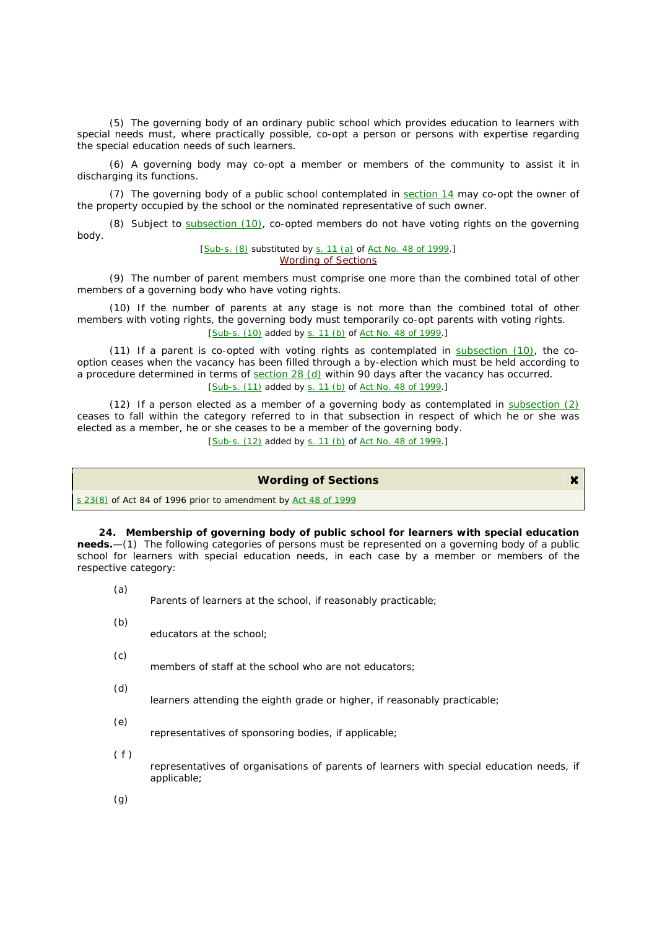(5) The *governing body* of an ordinary *public school* which provides education to *learner*s with special needs must, where practically possible, co-opt a person or persons with expertise regarding the special education needs of such *learners*.

(6) A *governing body* may co-opt a member or members of the community to assist it in discharging its functions.

(7) The *governing body* of a *public school* contemplated in section 14 may co-opt the owner of the property occupied by the *school* or the nominated representative of such owner.

(8) Subject to subsection (10), co-opted members do not have voting rights on the *governing body*.

#### [Sub-s. (8) substituted by s. 11 (*a*) of Act No. 48 of 1999.] Wording of Sections

(9) The number of *parent* members must comprise one more than the combined total of other members of a *governing body* who have voting rights.

(10) If the number of *parents* at any stage is not more than the combined total of other members with voting rights, the *governing body* must temporarily co-opt *parents* with voting rights. [Sub-s. (10) added by s. 11 (*b*) of Act No. 48 of 1999.]

(11) If a *parent* is co-opted with voting rights as contemplated in subsection (10), the cooption ceases when the vacancy has been filled through a by-election which must be held according to a procedure determined in terms of section 28 (*d*) within 90 days after the vacancy has occurred. [Sub-s. (11) added by s. 11 (*b*) of Act No. 48 of 1999.]

(12) If a person elected as a member of a *governing body* as contemplated in subsection (2) ceases to fall within the category referred to in that subsection in respect of which he or she was elected as a member, he or she ceases to be a member of the *governing body*. [Sub-s. (12) added by s. 11 (*b*) of Act No. 48 of 1999.]

## **Wording of Sections**

 $\mathbf{x}$ 

s 23(8) of Act 84 of 1996 prior to amendment by Act 48 of 1999

**24. Membership of governing body of public school for learners with special education needs.**—(1) The following categories of persons must be represented on a *governing body* of a *public school* for *learners* with special education needs, in each case by a member or members of the respective category:

(*a*)

*Parents* of *learners* at the *school*, if reasonably practicable;

(*b*)

*educators* at the *school*;

(*c*)

members of staff at the *school* who are not *educators*;

(*d*)

*learners* attending the eighth *grade* or higher, if reasonably practicable;

(*e*)

representatives of sponsoring bodies, if applicable;

 $(f)$ 

representatives of organisations of *parents* of *learners* with special education needs, if applicable;

(*g*)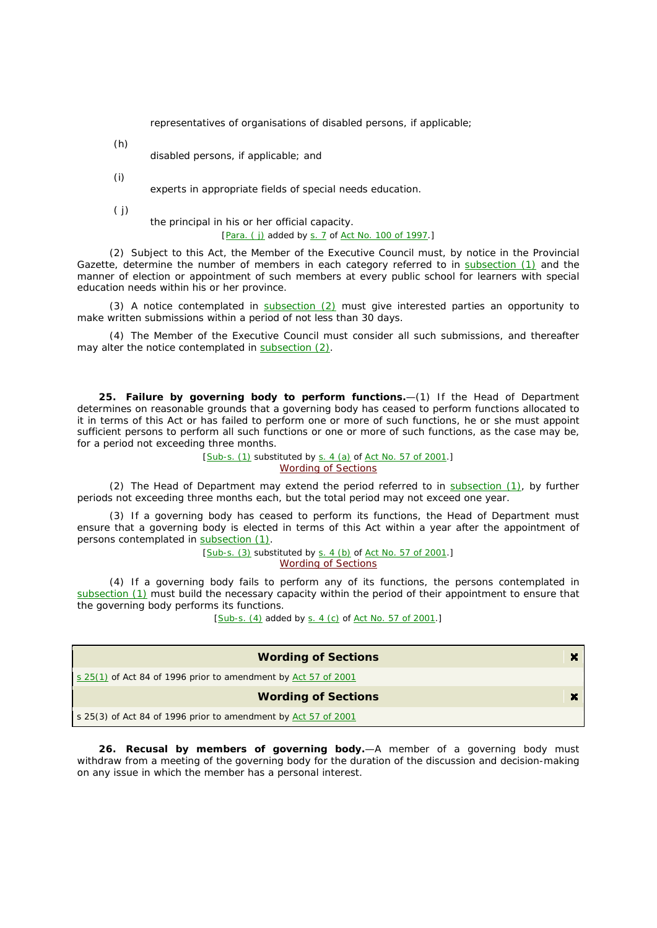representatives of organisations of disabled persons, if applicable;

(*h*)

disabled persons, if applicable; and

(*i*)

experts in appropriate fields of special needs education.

( *j*)

the *principal* in his or her official capacity. [*Para. (*  $\hat{v}$ ) added by s. 7 of Act No. 100 of 1997.]

(2) Subject to *this Act*, the *Member of the Executive Council* must, by notice in the Provincial Gazette, determine the number of members in each category referred to in subsection (1) and the manner of election or appointment of such members at every *public school* for *learners* with special education needs within his or her *province*.

(3) A notice contemplated in subsection (2) must give interested parties an opportunity to make written submissions within a period of not less than 30 days.

(4) The *Member of the Executive Council* must consider all such submissions, and thereafter may alter the notice contemplated in subsection (2).

**25. Failure by governing body to perform functions.**—(1) If the Head of Department determines on reasonable grounds that a *governing body* has ceased to perform functions allocated to it in terms of *this Act* or has failed to perform one or more of such functions, he or she must appoint sufficient persons to perform all such functions or one or more of such functions, as the case may be, for a period not exceeding three months.

> [Sub-s. (1) substituted by s. 4 (*a*) of Act No. 57 of 2001.] Wording of Sections

(2) The *Head of Department* may extend the period referred to in subsection (1), by further periods not exceeding three months each, but the total period may not exceed one year.

(3) If a *governing body* has ceased to perform its functions, the *Head of Department* must ensure that a *governing body* is elected in terms of *this Act* within a year after the appointment of persons contemplated in subsection (1).

> [Sub-s. (3) substituted by s. 4 (b) of Act No. 57 of 2001.] Wording of Sections

(4) If a *governing body* fails to perform any of its functions, the persons contemplated in subsection (1) must build the necessary capacity within the period of their appointment to ensure that the *governing body* performs its functions.

[Sub-s. (4) added by s. 4 (*c*) of Act No. 57 of 2001.]

| <b>Wording of Sections</b>                                       |  |
|------------------------------------------------------------------|--|
| s $25(1)$ of Act 84 of 1996 prior to amendment by Act 57 of 2001 |  |
| <b>Wording of Sections</b>                                       |  |
| s 25(3) of Act 84 of 1996 prior to amendment by Act 57 of 2001   |  |

**26. Recusal by members of governing body.**—A member of a *governing body* must withdraw from a meeting of the *governing body* for the duration of the discussion and decision-making on any issue in which the member has a personal interest.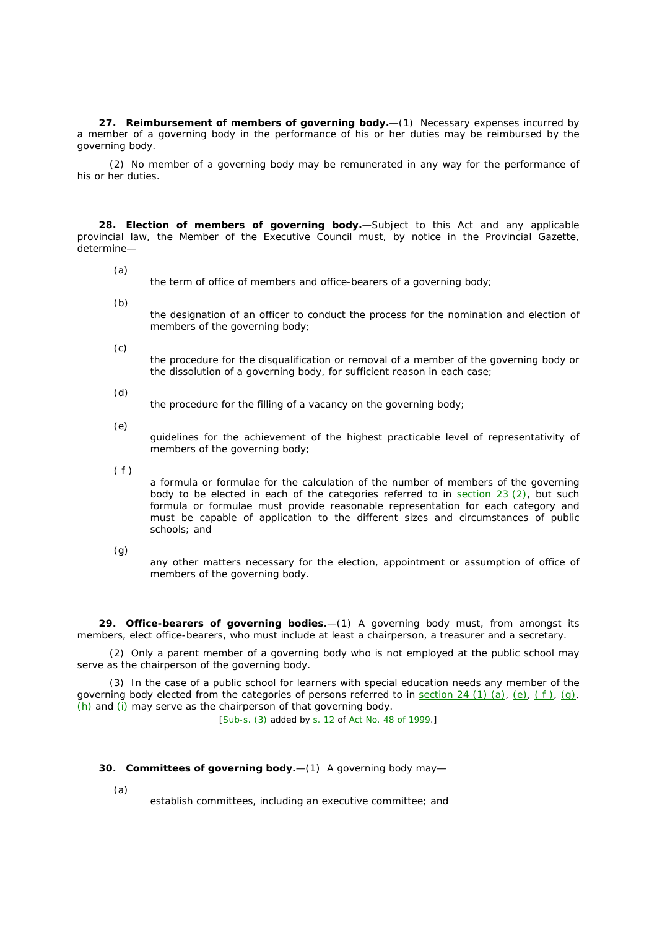**27. Reimbursement of members of governing body.**—(1) Necessary expenses incurred by a member of a *governing body* in the performance of his or her duties may be reimbursed by the *governing body*.

(2) No member of a *governing body* may be remunerated in any way for the performance of his or her duties.

**28. Election of members of governing body.**—Subject to *this Act* and any applicable provincial law, the *Member of the Executive Council* must, by notice in the Provincial Gazette, determine—

- (*a*)
- the term of office of members and office-bearers of a *governing body*;
- (*b*)

the designation of an officer to conduct the process for the nomination and election of members of the *governing body*;

(*c*)

the procedure for the disqualification or removal of a member of the *governing body* or the dissolution of a *governing body*, for sufficient reason in each case;

(*d*) the procedure for the filling of a vacancy on the *governing body*;

(*e*)

guidelines for the achievement of the highest practicable level of representativity of members of the *governing body*;

( *f* )

a formula or formulae for the calculation of the number of members of the *governing*  body to be elected in each of the categories referred to in **section 23 (2)**, but such formula or formulae must provide reasonable representation for each category and must be capable of application to the different sizes and circumstances of *public schools*; and

(*g*)

any other matters necessary for the election, appointment or assumption of office of members of the *governing body*.

**29. Office-bearers of governing bodies.**—(1) A *governing body* must, from amongst its members, elect office-bearers, who must include at least a chairperson, a treasurer and a secretary.

(2) Only a *parent* member of a *governing body* who is not employed at the *public school* may serve as the chairperson of the *governing body*.

(3) In the case of a *public school* for *learners* with special education needs any member of the *governing body* elected from the categories of persons referred to in section 24 (1) (*a*), (*e*), ( *f* ), (*g*), (*h*) and (*i*) may serve as the chairperson of that *governing body*.

[Sub-s. (3) added by s. 12 of Act No. 48 of 1999.]

## **30. Committees of governing body.**—(1) A *governing body* may—

(*a*)

establish committees, including an executive committee; and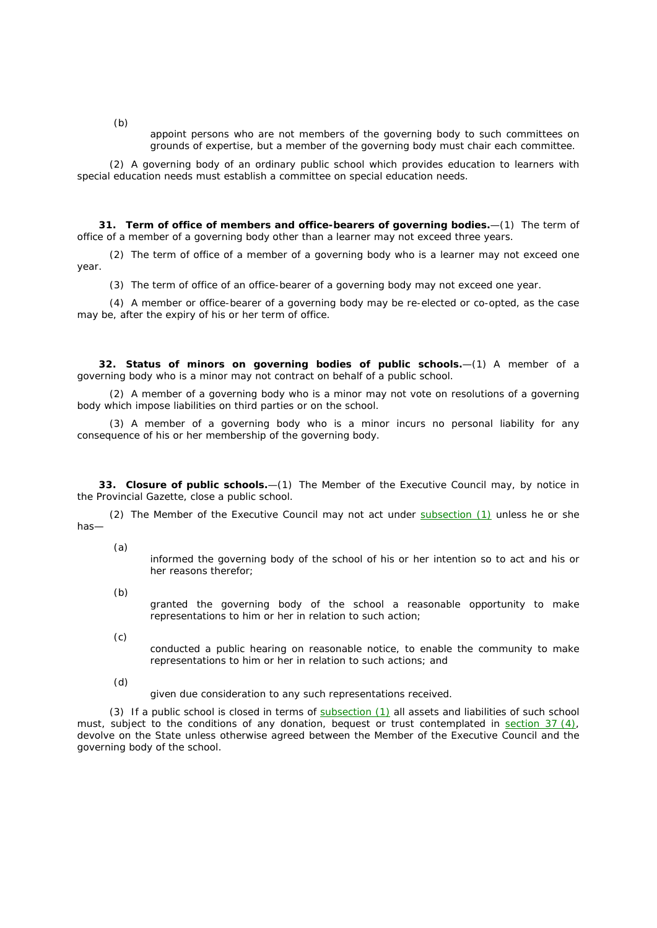appoint persons who are not members of the *governing body* to such committees on grounds of expertise, but a member of the *governing body* must chair each committee.

(2) A *governing body* of an ordinary *public school* which provides education to *learner*s with special education needs must establish a committee on special education needs.

**31. Term of office of members and office-bearers of governing bodies.**—(1) The term of office of a member of a *governing body* other than a *learner* may not exceed three years.

(2) The term of office of a member of a *governing body* who is a *learner* may not exceed one year.

(3) The term of office of an office-bearer of a *governing body* may not exceed one year.

(4) A member or office-bearer of a *governing body* may be re-elected or co-opted, as the case may be, after the expiry of his or her term of office.

**32. Status of minors on governing bodies of public schools.**—(1) A member of a *governing body* who is a minor may not contract on behalf of a *public school*.

(2) A member of a *governing body* who is a minor may not vote on resolutions of a *governing body* which impose liabilities on third parties or on the *school*.

(3) A member of a *governing body* who is a minor incurs no personal liability for any consequence of his or her membership of the *governing body*.

**33. Closure of public schools.**—(1) The *Member of the Executive Council* may, by notice in the Provincial Gazette, close a *public school*.

(2) The *Member of the Executive Council* may not act under subsection (1) unless he or she has—

(*a*)

informed the *governing body* of the *school* of his or her intention so to act and his or her reasons therefor;

- (*b*) granted the *governing body* of the *school* a reasonable opportunity to make representations to him or her in relation to such action;
- (*c*)

conducted a public hearing on reasonable notice, to enable the community to make representations to him or her in relation to such actions; and

(*d*)

given due consideration to any such representations received.

(3) If a *public school* is closed in terms of subsection (1) all assets and liabilities of such *school*  must, subject to the conditions of any donation, bequest or trust contemplated in section 37 (4), devolve on the State unless otherwise agreed between the *Member of the Executive Council* and the *governing body* of the *school*.

(*b*)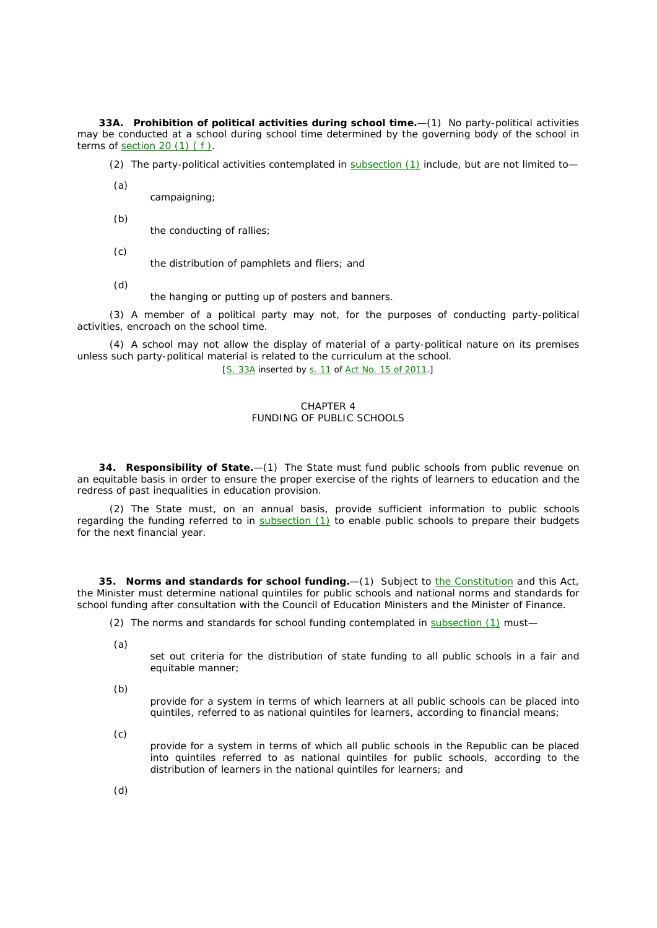**33A. Prohibition of political activities during school time.**—(1) No party-political activities may be conducted at a *school* during *school* time determined by the *governing body* of *the school* in terms of section 20 (1) ( *f* ).

(2) The party-political activities contemplated in subsection (1) include, but are not limited to—

(*a*)

campaigning;

(*b*)

the conducting of rallies;

(*c*)

the distribution of pamphlets and fliers; and

(*d*)

the hanging or putting up of posters and banners.

(3) A member of a political party may not, for the purposes of conducting party-political activities, encroach on the *school* time.

(4) A *school* may not allow the display of material of a party-political nature on its premises unless such party-political material is related to the curriculum at the *school.*

[S. 33A inserted by s. 11 of Act No. 15 of 2011.]

### CHAPTER 4 FUNDING OF PUBLIC SCHOOLS

**34. Responsibility of State.**—(1) The State must fund *public schools* from public revenue on an equitable basis in order to ensure the proper exercise of the rights of *learners* to education and the redress of past inequalities in education provision.

(2) The State must, on an annual basis, provide sufficient information to *public schools*  regarding the funding referred to in subsection (1) to enable *public schools* to prepare their budgets for the next financial year.

**35.** *Norms and standards for school funding***.**—(1) Subject to the *Constitution* and *this Act*, the *Minister* must determine national quintiles for *public schools* and *national norms and standards for school funding* after consultation with the *Council of Education Ministers* and the Minister of Finance.

(2) The *norms and standards for school funding* contemplated in subsection (1) must—

(*a*)

set out criteria for the distribution of state funding to all *public schools* in a fair and equitable manner;

(*b*)

provide for a system in terms of which *learners* at all *public schools* can be placed into quintiles, referred to as national quintiles for *learners*, according to financial means;

(*c*)

provide for a system in terms of which all *public schools* in the Republic can be placed into quintiles referred to as national quintiles for *public schools*, according to the distribution of *learners* in the national quintiles for *learners*; and

(*d*)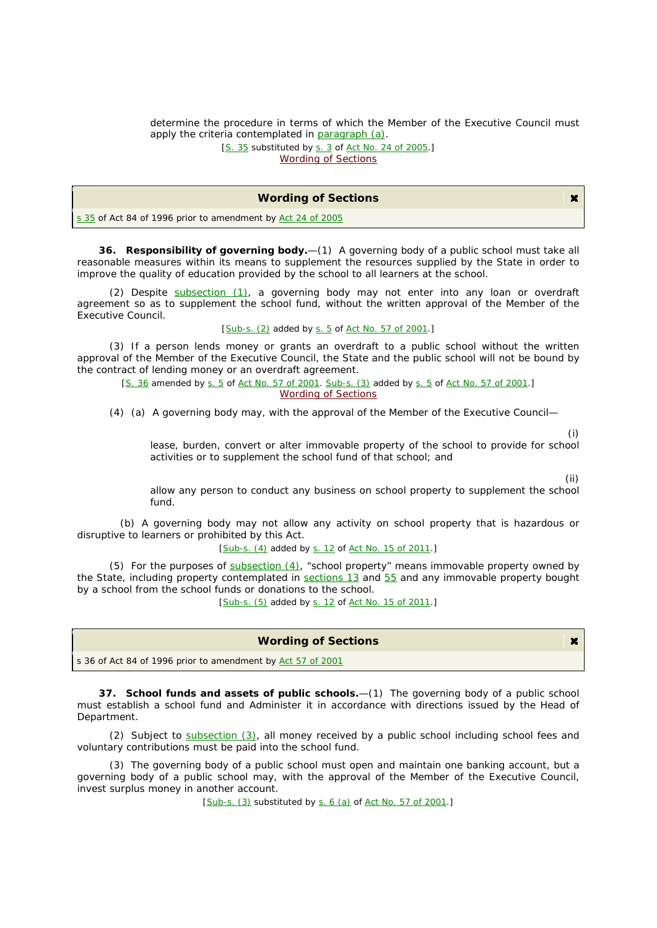## determine the procedure in terms of which the *Member of the Executive Council* must apply the criteria contemplated in paragraph (*a*).

[S. 35 substituted by s. 3 of Act No. 24 of 2005.] Wording of Sections

## **Wording of Sections**  $\mathbf{x}$ s 35 of Act 84 of 1996 prior to amendment by Act 24 of 2005

**36. Responsibility of governing body.**—(1) A *governing body* of a *public school* must take all reasonable measures within its means to supplement the resources supplied by the State in order to improve the quality of education provided by the *school* to all *learners* at the *school*.

(2) Despite subsection (1), a *governing body* may not enter into any loan or overdraft agreement so as to supplement the *school* fund, without the written approval of the *Member of the Executive Council*.

[Sub-s. (2) added by s. 5 of Act No. 57 of 2001.]

(3) If a person lends money or grants an overdraft to a *public school* without the written approval of the *Member of the Executive Council*, the State and the *public school* will not be bound by the contract of lending money or an overdraft agreement.

[S. 36 amended by s. 5 of Act No. 57 of 2001. Sub-s. (3) added by s. 5 of Act No. 57 of 2001.] Wording of Sections

(4) (*a*)A *governing body* may, with the approval of the *Member of the Executive Council*—

(i)

lease, burden, convert or alter immovable property of the *school* to provide for *school activities* or to supplement the *school* fund of that *school*; and

(ii)

 $\mathbf{x}$ 

allow any person to conduct any business on *school* property to supplement the *school*  fund.

(*b*) A *governing body* may not allow any activity on *school* property that is hazardous or disruptive to *learners* or prohibited by *this Act.*

[Sub-s. (4) added by s. 12 of Act No. 15 of 2011.]

(5) For the purposes of subsection (4), "*school* property" means immovable property owned by the State, including property contemplated in sections 13 and 55 and any immovable property bought by a *school* from the *school* funds or donations to the *school.*

[Sub-s. (5) added by s. 12 of Act No. 15 of 2011.]

## **Wording of Sections**

s 36 of Act 84 of 1996 prior to amendment by Act 57 of 2001

**37. School funds and assets of public schools.**—(1) The *governing body* of a *public school*  must establish a *school* fund and Administer it in accordance with directions issued by the *Head of Department*.

(2) Subject to subsection (3), all money received by a *public school* including *school* fees and voluntary contributions must be paid into the *school* fund.

(3) The *governing body* of a *public school* must open and maintain one banking account, but a *governing body* of a *public school* may, with the approval of the *Member of the Executive Council*, invest surplus money in another account.

[Sub-s. (3) substituted by s. 6 (a) of <u>Act No. 57 of 2001</u>.]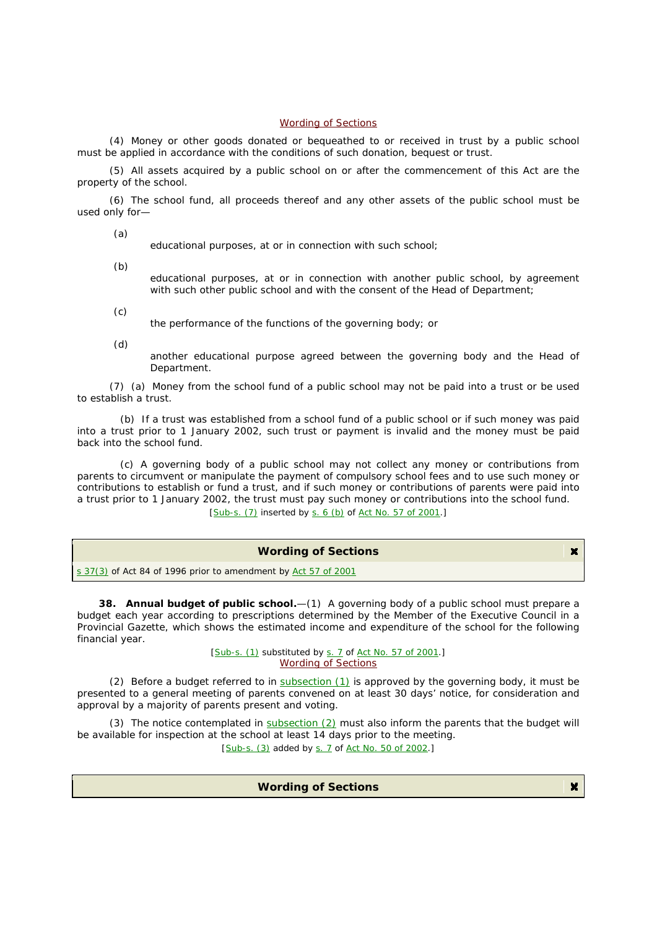## Wording of Sections

(4) Money or other goods donated or bequeathed to or received in trust by a *public school*  must be applied in accordance with the conditions of such donation, bequest or trust.

(5) All assets acquired by a *public school* on or after the commencement of this Act are the property of the *school*.

(6) The *school* fund, all proceeds thereof and any other assets of the *public school* must be used only for—

(*a*)

educational purposes, at or in connection with such *school*;

(*b*)

educational purposes, at or in connection with another *public school*, by agreement with such other *public school* and with the consent of the *Head of Department*;

(*c*)

the performance of the functions of the *governing body*; or

(*d*)

another educational purpose agreed between the *governing body* and the *Head of Department*.

(7) (*a*) Money from the *school* fund of a *public school* may not be paid into a trust or be used to establish a trust.

(*b*) If a trust was established from a *school* fund of a *public school* or if such money was paid into a trust prior to 1 January 2002, such trust or payment is invalid and the money must be paid back into the *school* fund.

(*c*) A *governing body* of a *public school* may not collect any money or contributions from parents to circumvent or manipulate the payment of compulsory school fees and to use such money or contributions to establish or fund a trust, and if such money or contributions of parents were paid into a trust prior to 1 January 2002, the trust must pay such money or contributions into the *school* fund. [Sub-s. (7) inserted by s. 6 (b) of Act No. 57 of 2001.]

## **Wording of Sections**

s 37(3) of Act 84 of 1996 prior to amendment by Act 57 of 2001

**38. Annual budget of public school.**—(1) A governing body of a public school must prepare a budget each year according to prescriptions determined by the Member of the Executive Council in a Provincial Gazette, which shows the estimated income and expenditure of the school for the following financial year.

> [Sub-s. (1) substituted by s. 7 of Act No. 57 of 2001.] Wording of Sections

(2) Before a budget referred to in subsection (1) is approved by the *governing body*, it must be presented to a general meeting of *parents* convened on at least 30 days' notice, for consideration and approval by a majority of *parents* present and voting.

(3) The notice contemplated in subsection (2) must also inform the *parents* that the budget will be available for inspection at the *school* at least 14 days prior to the meeting. [Sub-s. (3) added by s. 7 of Act No. 50 of 2002.]

**Wording of Sections** 

 $\mathbf{x}$ 

 $\mathbf{x}$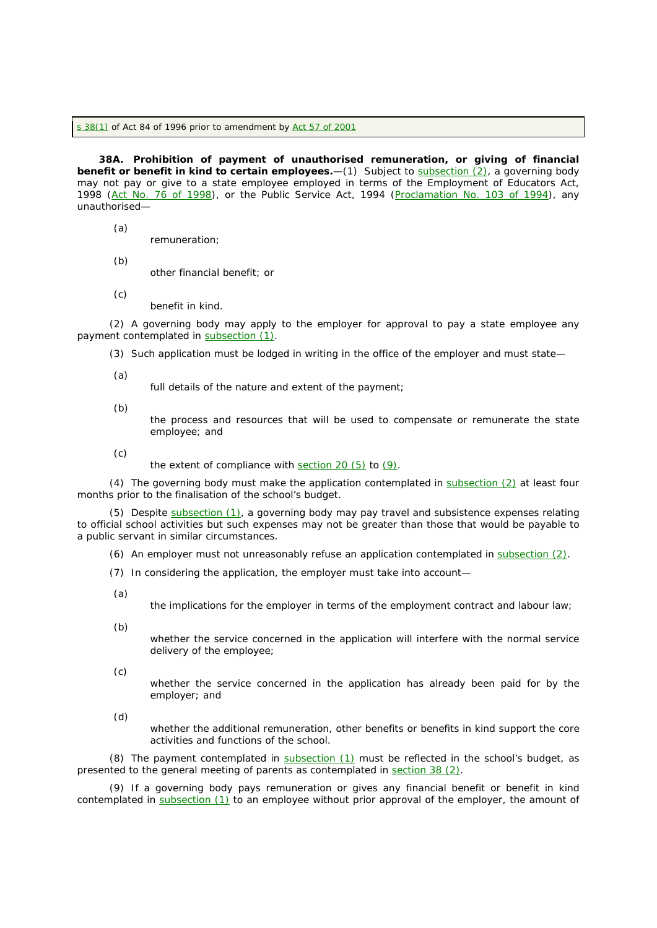s 38(1) of Act 84 of 1996 prior to amendment by Act 57 of 2001

**38A. Prohibition of payment of unauthorised remuneration, or giving of financial benefit or benefit in kind to certain employees.**—(1) Subject to subsection (2), a governing body may not pay or give to a state employee employed in terms of the Employment of Educators Act, 1998 (Act No. 76 of 1998), or the Public Service Act, 1994 (Proclamation No. 103 of 1994), any unauthorised—

(*a*)

remuneration;

- (*b*) other financial benefit; or
- (*c*)
- benefit in kind.

(2) A governing body may apply to the employer for approval to pay a state employee any payment contemplated in subsection (1).

(3) Such application must be lodged in writing in the office of the employer and must state—

(*a*)

full details of the nature and extent of the payment;

(*b*)

the process and resources that will be used to compensate or remunerate the state employee; and

- (*c*)
- the extent of compliance with  $section 20 (5)$  to  $(9)$ .

(4) The governing body must make the application contemplated in subsection  $(2)$  at least four months prior to the finalisation of the school's budget.

(5) Despite subsection (1), a governing body may pay travel and subsistence expenses relating to official school activities but such expenses may not be greater than those that would be payable to a public servant in similar circumstances.

(6) An employer must not unreasonably refuse an application contemplated in subsection (2).

- (7) In considering the application, the employer must take into account—
- (*a*)

the implications for the employer in terms of the employment contract and labour law;

(*b*)

whether the service concerned in the application will interfere with the normal service delivery of the employee;

(*c*)

whether the service concerned in the application has already been paid for by the employer; and

(*d*)

whether the additional remuneration, other benefits or benefits in kind support the core activities and functions of the school.

(8) The payment contemplated in subsection (1) must be reflected in the school's budget, as presented to the general meeting of parents as contemplated in section 38 (2).

(9) If a governing body pays remuneration or gives any financial benefit or benefit in kind contemplated in subsection (1) to an employee without prior approval of the employer, the amount of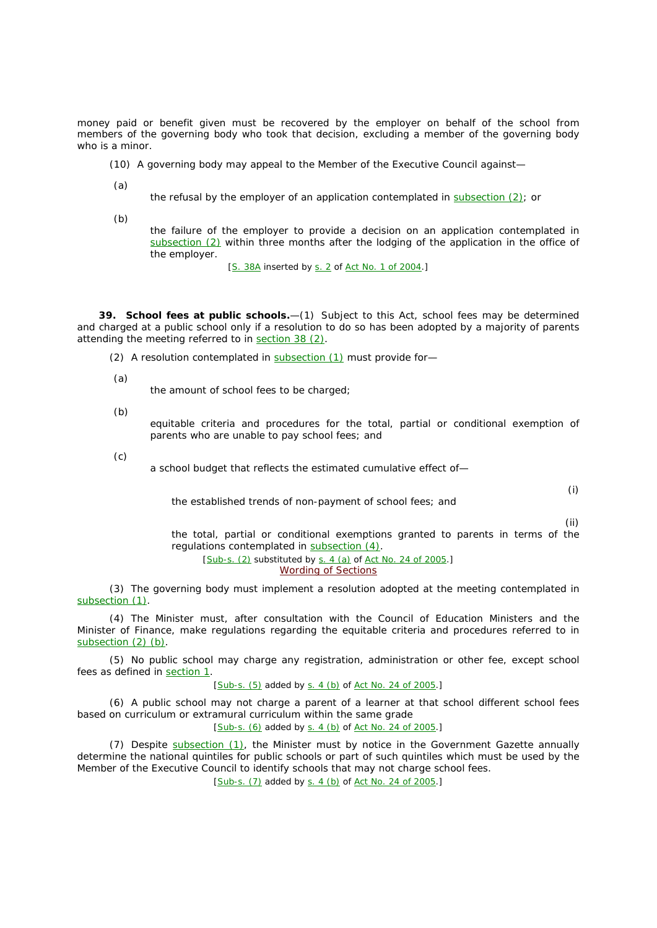money paid or benefit given must be recovered by the employer on behalf of the school from members of the governing body who took that decision, excluding a member of the governing body who is a minor.

(10) A governing body may appeal to the Member of the Executive Council against—

(*a*)

the refusal by the employer of an application contemplated in  $subsection (2)$ ; or

(*b*)

the failure of the employer to provide a decision on an application contemplated in subsection (2) within three months after the lodging of the application in the office of the employer.

[S. 38A inserted by s. 2 of Act No. 1 of 2004.]

**39. School fees at public schools.**—(1) Subject to *this Act*, *school* fees may be determined and charged at a *public school* only if a resolution to do so has been adopted by a majority of *parents*  attending the meeting referred to in section 38 (2).

(2) A resolution contemplated in subsection (1) must provide for-

(*a*)

the amount of *school fees* to be charged;

(*b*)

equitable criteria and procedures for the total, partial or conditional exemption of *parents* who are unable to pay *school fees*; and

(*c*)

a *school* budget that reflects the estimated cumulative effect of—

(i)

the established trends of non-payment of *school fees*; and

(ii)

the total, partial or conditional exemptions granted to *parents* in terms of the regulations contemplated in subsection (4).

[Sub-s. (2) substituted by s. 4 (*a*) of Act No. 24 of 2005.] Wording of Sections

(3) The *governing body* must implement a resolution adopted at the meeting contemplated in subsection (1).

(4) The *Minister* must, after consultation with the *Council of Education Ministers* and the Minister of Finance, make regulations regarding the equitable criteria and procedures referred to in subsection (2) (*b*).

(5) No *public school* may charge any registration, administration or other fee, except *school fees* as defined in section 1.

[Sub-s. (5) added by s. 4 (*b*) of Act No. 24 of 2005.]

(6) A *public school* may not charge a *parent* of a *learner* at that *school* different *school fees*  based on curriculum or extramural curriculum within the same *grade*

[Sub-s. (6) added by s. 4 (*b*) of Act No. 24 of 2005.]

(7) Despite subsection (1), the *Minister* must by notice in the Government Gazette annually determine the national quintiles for *public schools* or part of such quintiles which must be used by the *Member of the Executive Council* to identify *schools* that may not charge *school fees.*

[Sub-s. (7) added by s. 4 (*b*) of Act No. 24 of 2005.]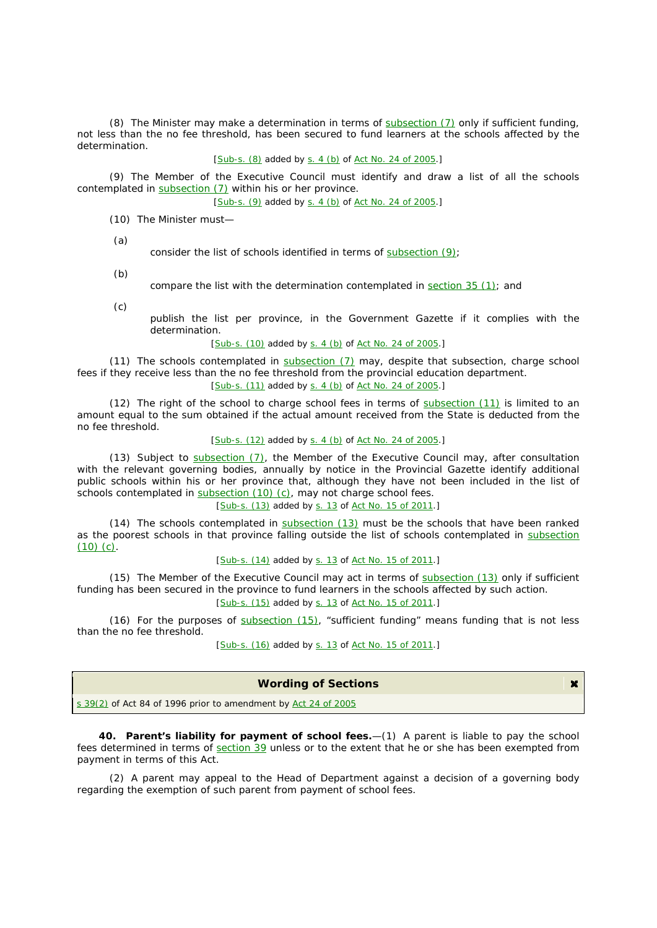(8) The *Minister* may make a determination in terms of subsection (7) only if sufficient funding, not less than the *no fee threshold*, has been secured to fund *learners* at the *schools* affected by the determination.

### [Sub-s. (8) added by s. 4 (b) of Act No. 24 of 2005.]

(9) The *Member of the Executive Council* must identify and draw a list of all the *schools*  contemplated in subsection (7) within his or her *province.*

[Sub-s. (9) added by s. 4 (*b*) of Act No. 24 of 2005.]

(10) The *Minister* must—

(*a*)

consider the list of *schools* identified in terms of **subsection** (9);

(*b*)

compare the list with the determination contemplated in section 35 (1); and

(*c*)

publish the list per *province*, in the Government Gazette if it complies with the determination.

[Sub-s. (10) added by s. 4 (b) of Act No. 24 of 2005.]

(11) The *schools* contemplated in subsection (7) may, despite that subsection, charge *school fees* if they receive less than the *no fee threshold* from the provincial *education department*. [Sub-s. (11) added by s. 4 (b) of Act No. 24 of 2005.]

(12) The right of the *school* to charge *school fees* in terms of subsection (11) is limited to an amount equal to the sum obtained if the actual amount received from the State is deducted from the *no fee threshold*.

## [Sub-s. (12) added by s. 4 (*b*) of Act No. 24 of 2005.]

(13) Subject to subsection (7), the *Member of the Executive Council* may, after consultation with the relevant *governing bodies*, annually by notice in the Provincial Gazette identify additional *public schools* within his or her province that, although they have not been included in the list of *schools* contemplated in subsection (10) (*c*)*,* may not charge *school fees.*

[Sub-s. (13) added by s. 13 of Act No. 15 of 2011.]

(14) The *schools* contemplated in subsection (13) must be the *schools* that have been ranked as the poorest *schools* in that province falling outside the list of *schools* contemplated in subsection (10) (*c*)*.*

[Sub-s. (14) added by s. 13 of Act No. 15 of 2011.]

(15) The *Member of the Executive Council* may act in terms of subsection (13) only if sufficient funding has been secured in the province to fund *learners* in the *schools* affected by such action. [Sub-s. (15) added by s. 13 of Act No. 15 of 2011.]

(16) For the purposes of  $subsection (15)$ , "sufficient funding" means funding that is not less than the *no fee threshold.*

[Sub-s. (16) added by s. 13 of Act No. 15 of 2011.]

## **Wording of Sections**

s 39(2) of Act 84 of 1996 prior to amendment by Act 24 of 2005

**40. Parent's liability for payment of school fees.**—(1) A *parent* is liable to pay the *school*  fees determined in terms of section 39 unless or to the extent that he or she has been exempted from payment in terms of *this Act*.

(2) A *parent* may appeal to the *Head of Department* against a decision of a *governing body*  regarding the exemption of such *parent* from payment of *school* fees.

 $\mathbf{x}$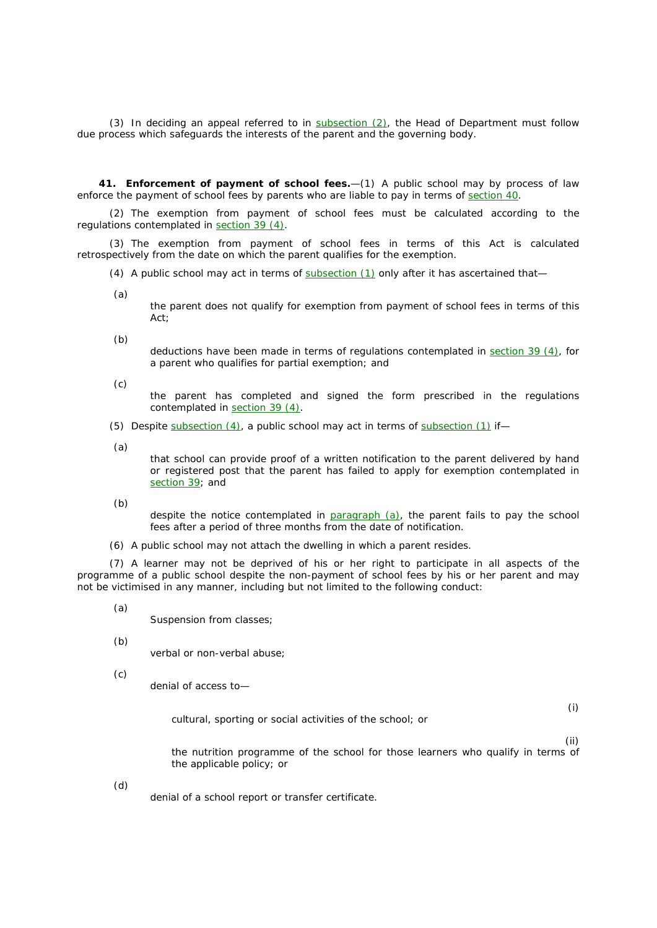(3) In deciding an appeal referred to in subsection (2), the *Head of Department* must follow due process which safeguards the interests of the *parent* and the *governing body*.

**41. Enforcement of payment of** *school fees.*—(1)A *public school* may by process of law enforce the payment of *school fees* by *parents* who are liable to pay in terms of **section 40**.

(2) The exemption from payment of *school fees* must be calculated according to the regulations contemplated in section 39 (4).

(3) The exemption from payment of *school fees* in terms of *this Act* is calculated retrospectively from the date on which the *parent* qualifies for the exemption.

(4) *A public school* may act in terms of subsection (1) only after it has ascertained that—

(*a*)

the *parent* does not qualify for exemption from payment of *school fees* in terms of *this Act*;

(*b*)

deductions have been made in terms of regulations contemplated in section 39 (4), for a *parent* who qualifies for partial exemption; and

(*c*)

the *parent* has completed and signed the form prescribed in the regulations contemplated in section 39 (4).

(5) Despite subsection (4), *a public school* may act in terms of subsection (1) if—

(*a*)

that *school* can provide proof of a written notification to the *parent* delivered by hand or registered post that the *parent* has failed to apply for exemption contemplated in section 39; and

(*b*)

despite the notice contemplated in paragraph (*a*)*,* the *parent* fails to pay the *school fees* after a period of three months from the date of notification.

(6) A *public school* may not attach the dwelling in which a *parent* resides.

(7) A *learner* may not be deprived of his or her right to participate in all aspects of the programme of a *public school* despite the non-payment of *school fees* by his or her *parent* and may not be victimised in any manner, including but not limited to the following conduct:

(*a*)

Suspension from classes;

(*b*)

verbal or non-verbal abuse;

(*c*)

denial of access to—

(i)

cultural, sporting or social activities of the *school;* or

(ii)

the nutrition programme of the school for those *learners* who qualify in terms of the applicable policy; or

(*d*)

denial of a *school* report or transfer certificate.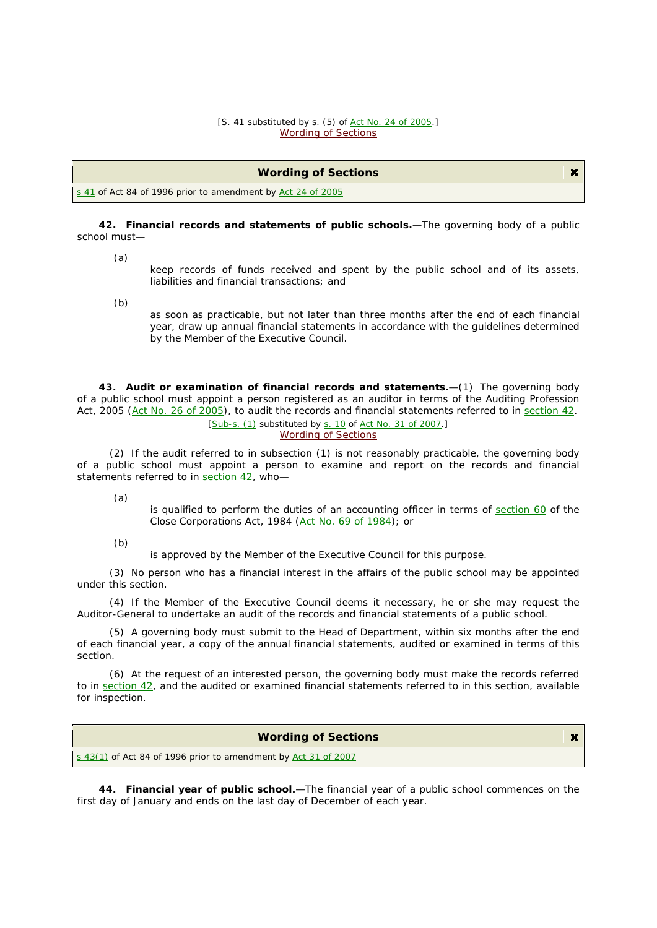#### [S. 41 substituted by s. (5) of Act No. 24 of 2005.] Wording of Sections

#### **Wording of Sections**

s 41 of Act 84 of 1996 prior to amendment by Act 24 of 2005

**42. Financial records and statements of public schools.**—The *governing body* of a *public school* must—

(*a*)

keep records of funds received and spent by the *public school* and of its assets, liabilities and financial transactions; and

 $\pmb{\times}$ 

 $\mathbf{x}$ 

(*b*)

as soon as practicable, but not later than three months after the end of each financial year, draw up annual financial statements in accordance with the guidelines determined by the *Member of the Executive Council*.

**43. Audit or examination of financial records and statements.**—(1) The *governing body*  of a *public school* must appoint a person registered as an auditor in terms of the Auditing Profession Act, 2005 (Act No. 26 of 2005), to audit the records and financial statements referred to in section 42. [Sub-s. (1) substituted by s. 10 of Act No. 31 of 2007.]

#### Wording of Sections

(2) If the audit referred to in subsection (1) is not reasonably practicable, the *governing body*  of a *public school* must appoint a person to examine and report on the records and financial statements referred to in section 42, who-

(*a*)

is qualified to perform the duties of an accounting officer in terms of section  $60$  of the Close Corporations Act, 1984 (Act No. 69 of 1984); or

(*b*)

is approved by the *Member of the Executive Council* for this purpose.

(3) No person who has a financial interest in the affairs of the *public school* may be appointed under this section.

(4) If the *Member of the Executive Council* deems it necessary, he or she may request the Auditor-General to undertake an audit of the records and financial statements of a *public school*.

(5) A *governing body* must submit to the *Head of Department*, within six months after the end of each financial year, a copy of the annual financial statements, audited or examined in terms of this section.

(6) At the request of an interested person, the *governing body* must make the records referred to in section 42, and the audited or examined financial statements referred to in this section, available for inspection.

#### **Wording of Sections**

s 43(1) of Act 84 of 1996 prior to amendment by Act 31 of 2007

**44. Financial year of public school.**—The financial year of a *public school* commences on the first day of January and ends on the last day of December of each year.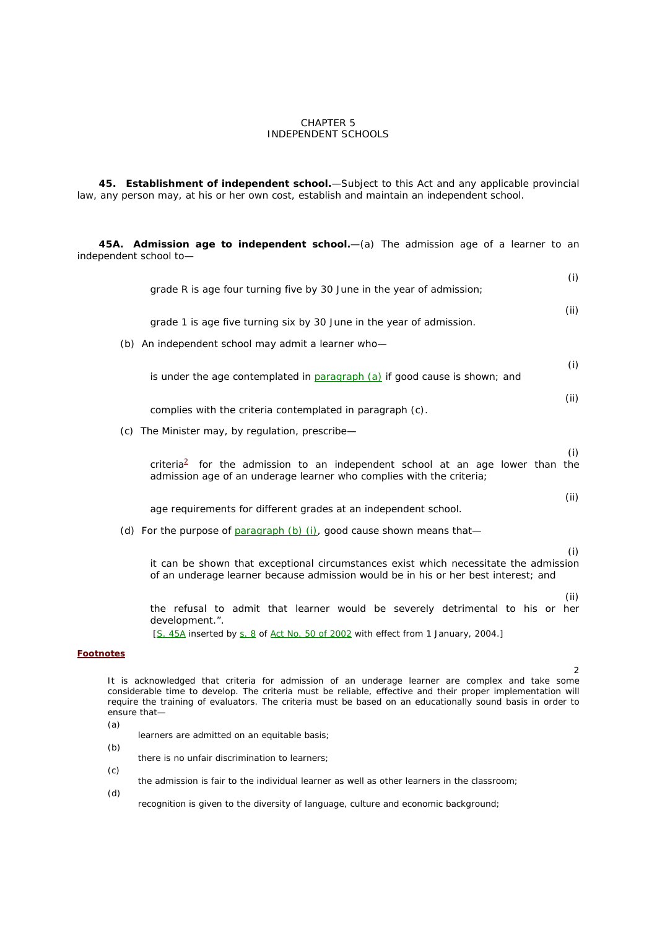#### CHAPTER 5 INDEPENDENT SCHOOLS

**45. Establishment of independent school.**—Subject to this Act and any applicable provincial law, any person may, at his or her own cost, establish and maintain an *independent school*.

**45A. Admission age to independent school.**—(*a*)The admission age of a *learner* to an *independent school* to—

| grade R is age four turning five by 30 June in the year of admission;                                                                                                      | (i)         |
|----------------------------------------------------------------------------------------------------------------------------------------------------------------------------|-------------|
| grade 1 is age five turning six by 30 June in the year of admission.                                                                                                       | (ii)        |
| (b) An independent school may admit a learner who-                                                                                                                         |             |
| is under the age contemplated in paragraph $(a)$ if good cause is shown; and                                                                                               | (i)         |
| complies with the criteria contemplated in paragraph $(c)$ .                                                                                                               | (ii)        |
| (c) The <i>Minister</i> may, by regulation, prescribe-                                                                                                                     |             |
| criteria <sup>2</sup> for the admission to an <i>independent school</i> at an age lower than the<br>admission age of an underage learner who complies with the criteria;   | (i)         |
| age requirements for different grades at an independent school.                                                                                                            | (ii)        |
| (d) For the purpose of paragraph $(b)$ (i), good cause shown means that-                                                                                                   |             |
| it can be shown that exceptional circumstances exist which necessitate the admission<br>of an underage learner because admission would be in his or her best interest; and | (i)         |
| the refusal to admit that <i>learner</i> would be severely detrimental to his or<br>development.".                                                                         | (ii)<br>her |
| [S. 45A inserted by s. 8 of Act No. 50 of 2002 with effect from 1 January, 2004.]                                                                                          |             |

#### **Footnotes**

It is acknowledged that criteria for admission of an underage learner are complex and take some considerable time to develop. The criteria must be reliable, effective and their proper implementation will require the training of evaluators. The criteria must be based on an educationally sound basis in order to ensure that—

2

- (*a*) learners are admitted on an equitable basis;
- (*b*)
- there is no unfair discrimination to learners; (*c*)
- the admission is fair to the individual learner as well as other learners in the classroom;
- (*d*)

recognition is given to the diversity of language, culture and economic background;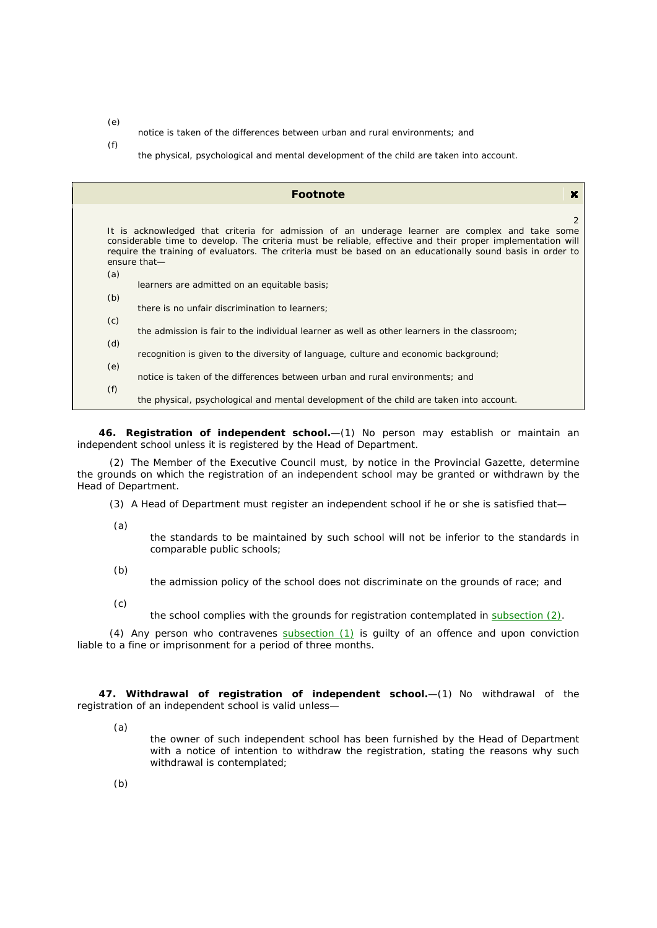(*e*)

notice is taken of the differences between urban and rural environments; and

(*f*)

the physical, psychological and mental development of the child are taken into account.

| <b>Footnote</b>                                                                                                                                                                                                                                                                                                                                                                                                                                                                                                                                                                                                                                                                                                                                                                                                                                           |   |
|-----------------------------------------------------------------------------------------------------------------------------------------------------------------------------------------------------------------------------------------------------------------------------------------------------------------------------------------------------------------------------------------------------------------------------------------------------------------------------------------------------------------------------------------------------------------------------------------------------------------------------------------------------------------------------------------------------------------------------------------------------------------------------------------------------------------------------------------------------------|---|
| It is acknowledged that criteria for admission of an underage learner are complex and take some<br>considerable time to develop. The criteria must be reliable, effective and their proper implementation will<br>require the training of evaluators. The criteria must be based on an educationally sound basis in order to<br>ensure that-<br>(a)<br>learners are admitted on an equitable basis;<br>(b)<br>there is no unfair discrimination to learners:<br>(c)<br>the admission is fair to the individual learner as well as other learners in the classroom;<br>(d)<br>recognition is given to the diversity of language, culture and economic background;<br>(e)<br>notice is taken of the differences between urban and rural environments; and<br>(f)<br>the physical, psychological and mental development of the child are taken into account. | 2 |
|                                                                                                                                                                                                                                                                                                                                                                                                                                                                                                                                                                                                                                                                                                                                                                                                                                                           |   |

**46. Registration of independent school.**—(1) No person may establish or maintain an *independent school* unless it is registered by the *Head of Department*.

(2) The *Member of the Executive Council* must, by notice in the Provincial Gazette, determine the grounds on which the registration of an *independent school* may be granted or withdrawn by the *Head of Department*.

(3) A *Head of Department* must register an *independent school* if he or she is satisfied that—

(*a*)

the standards to be maintained by such *school* will not be inferior to the standards in comparable *public schools*;

(*b*)

the admission policy of the *school* does not discriminate on the grounds of race; and

(*c*)

the *school* complies with the grounds for registration contemplated in **subsection (2)**.

(4) Any person who contravenes subsection  $(1)$  is quilty of an offence and upon conviction liable to a fine or imprisonment for a period of three months.

**47. Withdrawal of registration of independent school.**—(1) No withdrawal of the registration of an *independent school* is valid unless—

- (*a*)
	- the owner of such *independent school* has been furnished by the *Head of Department*  with a notice of intention to withdraw the registration, stating the reasons why such withdrawal is contemplated;
- (*b*)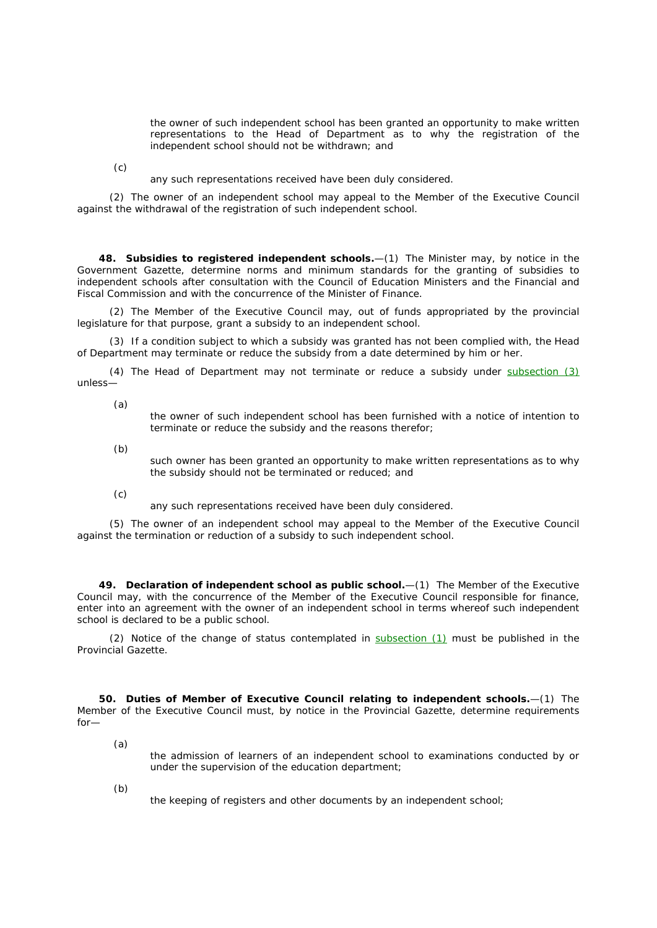the owner of such *independent school* has been granted an opportunity to make written representations to the *Head of Department* as to why the registration of the *independent school* should not be withdrawn; and

(*c*)

any such representations received have been duly considered.

(2) The owner of an *independent school* may appeal to the *Member of the Executive Council*  against the withdrawal of the registration of such *independent school*.

**48. Subsidies to registered independent schools.**—(1) The *Minister* may, by notice in the Government Gazette, determine norms and minimum standards for the granting of subsidies to *independent schools* after consultation with the *Council of Education Ministers* and the Financial and Fiscal Commission and with the concurrence of the Minister of Finance.

(2) The *Member of the Executive Council* may, out of funds appropriated by the *provincial legislature* for that purpose, grant a subsidy to an *independent school*.

(3) If a condition subject to which a subsidy was granted has not been complied with, the *Head of Department* may terminate or reduce the subsidy from a date determined by him or her.

(4) The *Head of Department* may not terminate or reduce a subsidy under subsection (3) unless—

(*a*)

the owner of such *independent school* has been furnished with a notice of intention to terminate or reduce the subsidy and the reasons therefor;

(*b*)

such owner has been granted an opportunity to make written representations as to why the subsidy should not be terminated or reduced; and

(*c*)

any such representations received have been duly considered.

(5) The owner of an *independent school* may appeal to the *Member of the Executive Council*  against the termination or reduction of a subsidy to such *independent school*.

**49. Declaration of independent school as public school.**—(1) The *Member of the Executive Council* may, with the concurrence of the Member of the Executive Council responsible for finance, enter into an agreement with the owner of an *independent school* in terms whereof such *independent school* is declared to be a *public school*.

(2) Notice of the change of status contemplated in  $subsection (1)$  must be published in the Provincial Gazette.

**50. Duties of Member of Executive Council relating to independent schools.**—(1) The *Member of the Executive Council* must, by notice in the Provincial Gazette, determine requirements for—

(*a*)

the admission of *learners* of an *independent school* to examinations conducted by or under the supervision of the *education department*;

(*b*)

the keeping of registers and other documents by an *independent school*;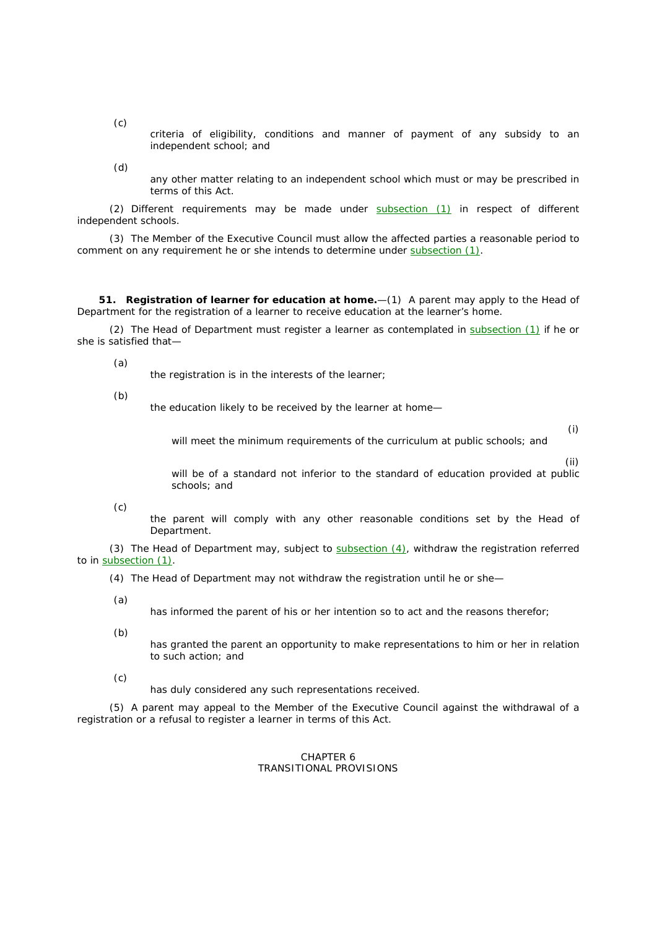criteria of eligibility, conditions and manner of payment of any subsidy to an *independent school*; and

(*d*)

any other matter relating to an *independent school* which must or may be prescribed in terms of *this Act*.

(2) Different requirements may be made under subsection (1) in respect of different *independent schools*.

(3) The *Member of the Executive Council* must allow the affected parties a reasonable period to comment on any requirement he or she intends to determine under subsection (1).

**51. Registration of learner for education at home.**—(1) A *parent* may apply to the *Head of Department* for the registration of a *learner* to receive education at the *learner*'*s* home.

(2) The *Head of Department* must register a *learner* as contemplated in subsection (1) if he or she is satisfied that—

(*a*)

the registration is in the interests of the *learner*;

(*b*)

the education likely to be received by the *learner* at home—

(i)

will meet the minimum requirements of the curriculum at *public schools*; and

(ii)

will be of a standard not inferior to the standard of education provided at *public schools*; and

(*c*)

the *parent* will comply with any other reasonable conditions set by the *Head of Department*.

(3) The *Head of Department* may, subject to subsection (4), withdraw the registration referred to in subsection (1).

(4) The *Head of Department* may not withdraw the registration until he or she—

(*a*)

has informed the *parent* of his or her intention so to act and the reasons therefor;

(*b*)

has granted the *parent* an opportunity to make representations to him or her in relation to such action; and

(*c*)

has duly considered any such representations received.

(5) A *parent* may appeal to the *Member of the Executive Council* against the withdrawal of a registration or a refusal to register a *learner* in terms of *this Act*.

## CHAPTER 6 TRANSITIONAL PROVISIONS

(*c*)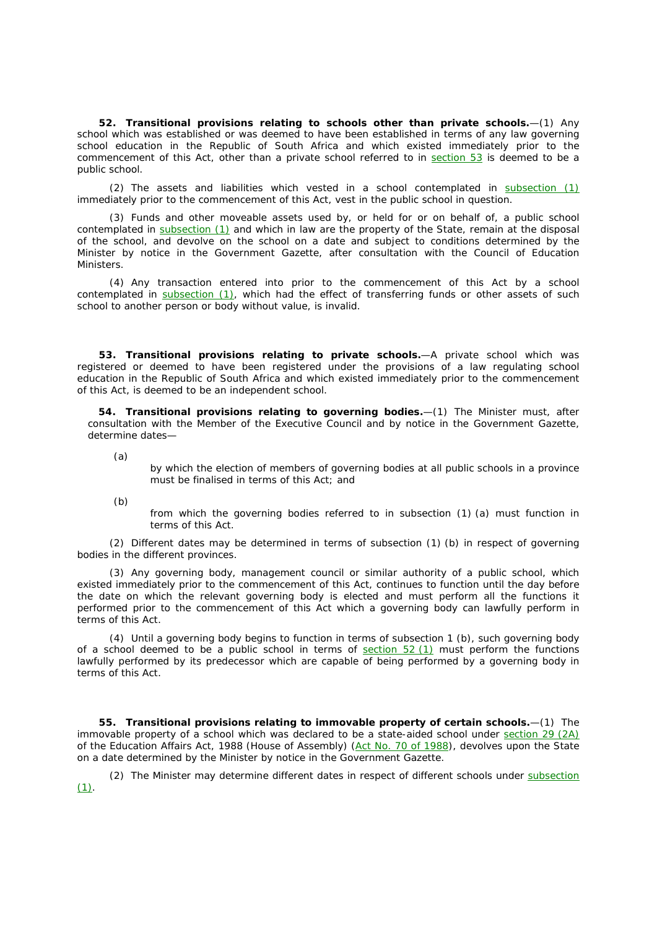**52. Transitional provisions relating to schools other than private schools.**—(1) Any *school* which was established or was deemed to have been established in terms of any law governing *school* education in the Republic of South Africa and which existed immediately prior to the commencement of *this Act*, other than a private *school* referred to in section 53 is deemed to be a *public school*.

(2) The assets and liabilities which vested in a *school* contemplated in subsection (1) immediately prior to the commencement of *this Act*, vest in the *public school* in question.

(3) Funds and other moveable assets used by, or held for or on behalf of, a *public school*  contemplated in subsection (1) and which in law are the property of the State, remain at the disposal of the *school*, and devolve on the *school* on a date and subject to conditions determined by the *Minister* by notice in the Government Gazette, after consultation with the *Council of Education Ministers*.

(4) Any transaction entered into prior to the commencement of *this Act* by a *school*  contemplated in subsection (1), which had the effect of transferring funds or other assets of such *school* to another person or body without value, is invalid.

**53. Transitional provisions relating to private schools.**—A private *school* which was registered or deemed to have been registered under the provisions of a law regulating *school*  education in the Republic of South Africa and which existed immediately prior to the commencement of *this Act*, is deemed to be an *independent school*.

**54. Transitional provisions relating to governing bodies.**—(1) The *Minister* must, after consultation with the *Member of the Executive Council* and by notice in the Government Gazette, determine dates—

(*a*)

by which the election of members of *governing bodies* at all *public schools* in a *province*  must be finalised in terms of *this Act*; and

(*b*)

from which the *governing bodies* referred to in subsection (1) (*a*) must function in terms of this Act.

(2) Different dates may be determined in terms of subsection (1) (*b*) in respect of *governing bodies* in the different provinces.

(3) Any *governing body*, management council or similar authority of a *public school*, which existed immediately prior to the commencement of *this Act*, continues to function until the day before the date on which the relevant *governing body* is elected and must perform all the functions it performed prior to the commencement of this Act which a *governing body* can lawfully perform in terms of *this Act*.

(4) Until a *governing body* begins to function in terms of subsection 1 (*b*), such *governing body*  of a *school* deemed to be a *public school* in terms of section 52 (1) must perform the functions lawfully performed by its predecessor which are capable of being performed by a *governing body* in terms of *this Act*.

**55. Transitional provisions relating to immovable property of certain schools.**—(1) The immovable property of a *school* which was declared to be a state-aided *school* under section 29 (2A) of the Education Affairs Act, 1988 (House of Assembly) (Act No. 70 of 1988), devolves upon the State on a date determined by the *Minister* by notice in the Government Gazette.

(2) The *Minister* may determine different dates in respect of different *schools* under subsection  $(1).$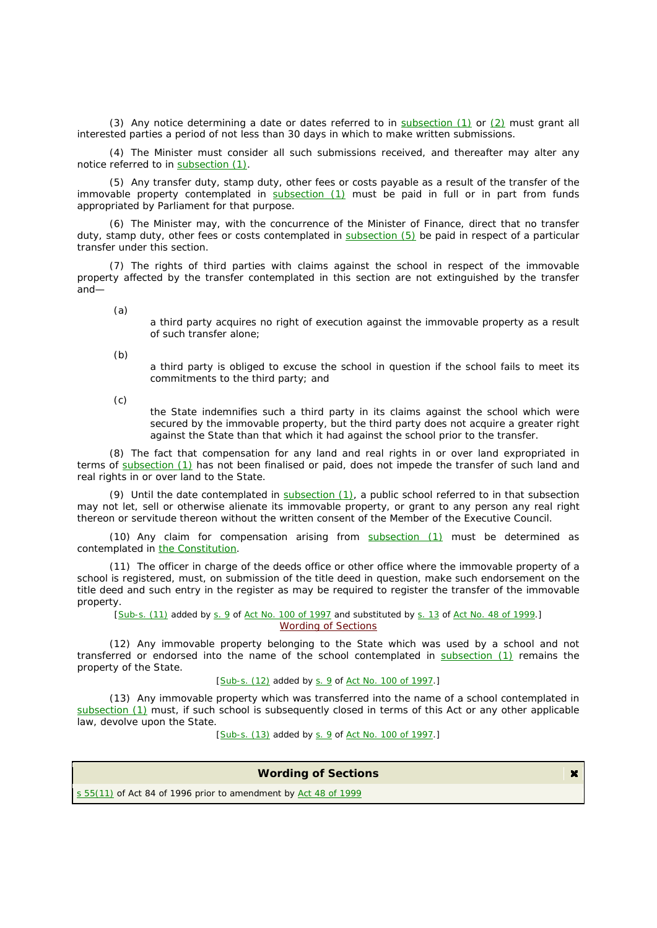(3) Any notice determining a date or dates referred to in  $subsection (1)$  or  $(2)$  must grant all interested parties a period of not less than 30 days in which to make written submissions.

(4) The *Minister* must consider all such submissions received, and thereafter may alter any notice referred to in subsection (1).

(5) Any transfer duty, stamp duty, other fees or costs payable as a result of the transfer of the immovable property contemplated in subsection (1) must be paid in full or in part from funds appropriated by Parliament for that purpose.

(6) The *Minister* may, with the concurrence of the Minister of Finance, direct that no transfer duty, stamp duty, other fees or costs contemplated in subsection (5) be paid in respect of a particular transfer under this section.

(7) The rights of third parties with claims against the *school* in respect of the immovable property affected by the transfer contemplated in this section are not extinguished by the transfer and—

(*a*)

a third party acquires no right of execution against the immovable property as a result of such transfer alone;

(*b*)

a third party is obliged to excuse the *school* in question if the *school* fails to meet its commitments to the third party; and

(*c*)

the State indemnifies such a third party in its claims against the *school* which were secured by the immovable property, but the third party does not acquire a greater right against the State than that which it had against the *school* prior to the transfer.

(8) The fact that compensation for any land and real rights in or over land expropriated in terms of subsection (1) has not been finalised or paid, does not impede the transfer of such land and real rights in or over land to the State.

(9) Until the date contemplated in subsection (1), a *public school* referred to in that subsection may not let, sell or otherwise alienate its immovable property, or grant to any person any real right thereon or servitude thereon without the written consent of the *Member of the Executive Council*.

(10) Any claim for compensation arising from  $subsection$  (1) must be determined as contemplated in the *Constitution*.

(11) The officer in charge of the deeds office or other office where the immovable property of a *school* is registered, must, on submission of the title deed in question, make such endorsement on the title deed and such entry in the register as may be required to register the transfer of the immovable property.

[Sub-s. (11) added by s. 9 of Act No. 100 of 1997 and substituted by s. 13 of Act No. 48 of 1999.] Wording of Sections

(12) Any immovable property belonging to the State which was used by a *school* and not transferred or endorsed into the name of the *school* contemplated in subsection (1) remains the property of the State.

#### [Sub-s. (12) added by s. 9 of Act No. 100 of 1997.]

(13) Any immovable property which was transferred into the name of a *school* contemplated in subsection (1) must, if such *school* is subsequently closed in terms of *this Act* or any other applicable law, devolve upon the State.

[Sub-s. (13) added by s. 9 of Act No. 100 of 1997.]

## **Wording of Sections**

s 55(11) of Act 84 of 1996 prior to amendment by Act 48 of 1999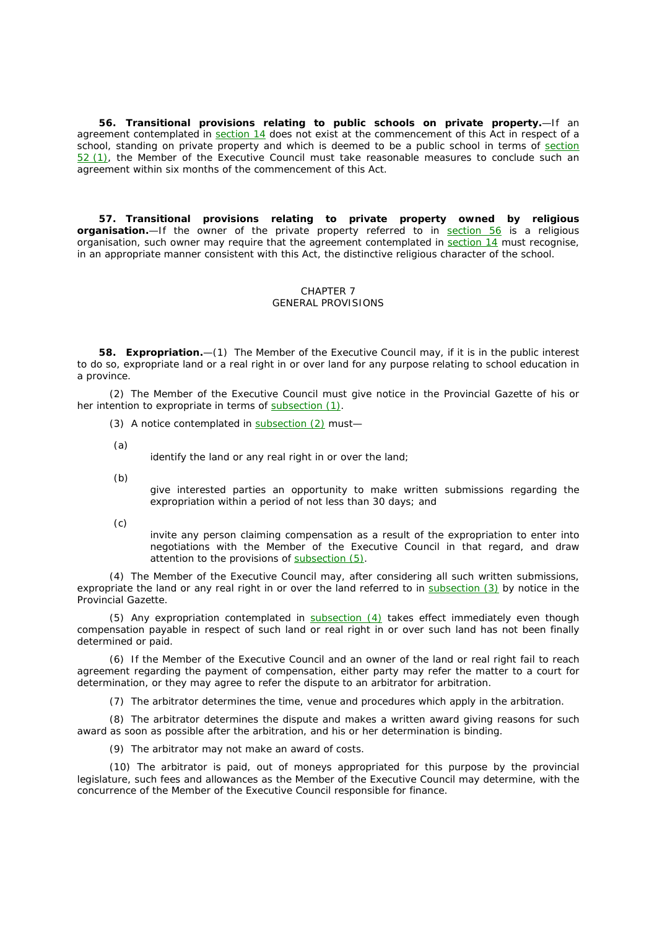**56. Transitional provisions relating to public schools on private property.**—If an agreement contemplated in section 14 does not exist at the commencement of *this Act* in respect of a *school*, standing on private property and which is deemed to be a *public school* in terms of section 52 (1), the *Member of the Executive Council* must take reasonable measures to conclude such an agreement within six months of the commencement of *this Act*.

**57. Transitional provisions relating to private property owned by religious organisation.**—If the owner of the private property referred to in section 56 is a religious organisation, such owner may require that the agreement contemplated in section 14 must recognise, in an appropriate manner consistent with *this Act*, the distinctive religious character of the *school*.

#### CHAPTER 7 GENERAL PROVISIONS

**58. Expropriation.**—(1) The *Member of the Executive Council* may, if it is in the public interest to do so, expropriate land or a real right in or over land for any purpose relating to *school* education in a *province*.

(2) The *Member of the Executive Council* must give notice in the Provincial Gazette of his or her intention to expropriate in terms of subsection (1).

(3) A notice contemplated in subsection (2) must—

(*a*)

identify the land or any real right in or over the land;

(*b*)

give interested parties an opportunity to make written submissions regarding the expropriation within a period of not less than 30 days; and

(*c*)

invite any person claiming compensation as a result of the expropriation to enter into negotiations with the *Member of the Executive Council* in that regard, and draw attention to the provisions of subsection (5).

(4) The *Member of the Executive Council* may, after considering all such written submissions, expropriate the land or any real right in or over the land referred to in subsection (3) by notice in the Provincial Gazette.

(5) Any expropriation contemplated in subsection (4) takes effect immediately even though compensation payable in respect of such land or real right in or over such land has not been finally determined or paid.

(6) If the *Member of the Executive Council* and an owner of the land or real right fail to reach agreement regarding the payment of compensation, either party may refer the matter to a court for determination, or they may agree to refer the dispute to an arbitrator for arbitration.

(7) The arbitrator determines the time, venue and procedures which apply in the arbitration.

(8) The arbitrator determines the dispute and makes a written award giving reasons for such award as soon as possible after the arbitration, and his or her determination is binding.

(9) The arbitrator may not make an award of costs.

(10) The arbitrator is paid, out of moneys appropriated for this purpose by the *provincial legislature*, such fees and allowances as the *Member of the Executive Council* may determine, with the concurrence of the Member of the Executive Council responsible for finance.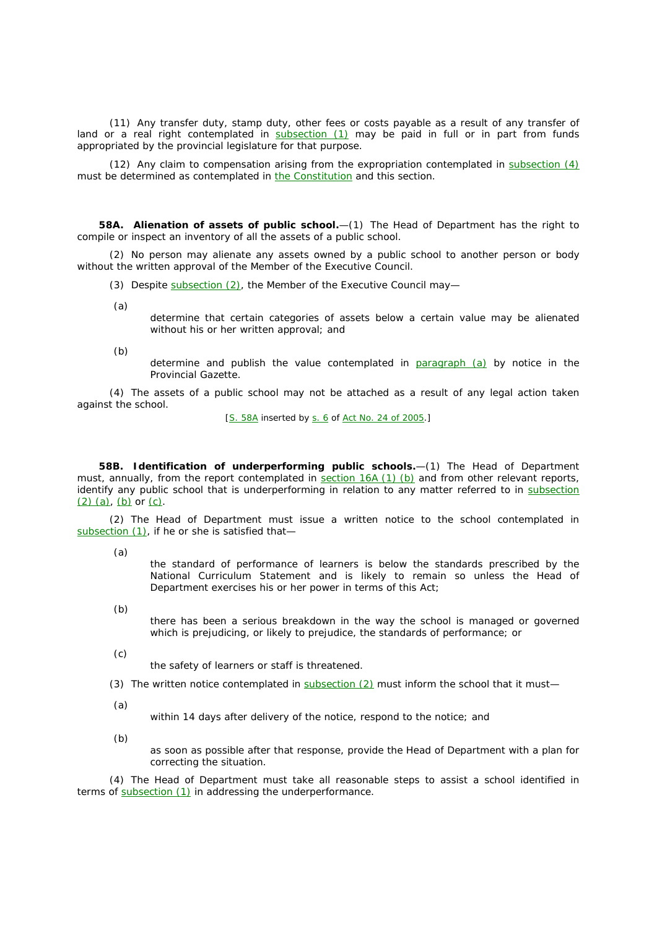(11) Any transfer duty, stamp duty, other fees or costs payable as a result of any transfer of land or a real right contemplated in subsection (1) may be paid in full or in part from funds appropriated by the *provincial legislature* for that purpose.

(12) Any claim to compensation arising from the expropriation contemplated in subsection (4) must be determined as contemplated in the *Constitution* and this section.

**58A. Alienation of assets of** *public school.*—(1) The *Head of Department* has the right to compile or inspect an inventory of all the assets of a *public school.*

(2) No person may alienate any assets owned by a *public school* to another person or body without the written approval of the *Member of the Executive Council.*

- (3) Despite subsection (2), the *Member of the Executive Council* may—
- (*a*)
- determine that certain categories of assets below a certain value may be alienated without his or her written approval; and
- (*b*)

determine and publish the value contemplated in paragraph (*a*) by notice in the Provincial Gazette.

(4) The assets of a *public school* may not be attached as a result of any legal action taken against the *school*.

[S. 58A inserted by s. 6 of Act No. 24 of 2005.]

**58B. Identification of underperforming public schools.**—(1) The *Head of Department*  must, annually, from the report contemplated in section 16A (1) (*b*) and from other relevant reports, identify any *public school* that is underperforming in relation to any matter referred to in subsection (2) (*a*), (*b*) or (*c*).

(2) The *Head of Department* must issue a written notice to the *school* contemplated in subsection (1), if he or she is satisfied that—

(*a*)

the standard of performance of *learners* is below the standards prescribed by the National Curriculum Statement and is likely to remain so unless the *Head of Department* exercises his or her power in terms of *this Act*;

(*b*)

there has been a serious breakdown in the way the *school* is managed or governed which is prejudicing, or likely to prejudice, the standards of performance; or

(*c*)

the safety of *learners* or staff is threatened.

(3) The written notice contemplated in subsection (2) must inform the *school* that it must—

(*a*)

within 14 days after delivery of the notice, respond to the notice; and

(*b*)

as soon as possible after that response, provide the *Head of Department* with a plan for correcting the situation.

(4) The *Head of Department* must take all reasonable steps to assist a *school* identified in terms of subsection (1) in addressing the underperformance.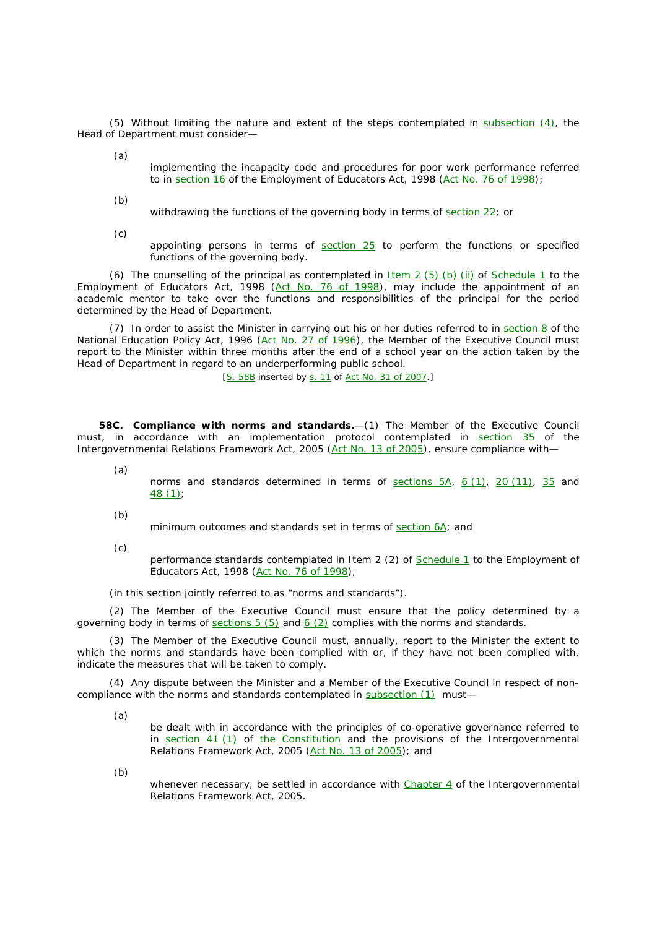(5) Without limiting the nature and extent of the steps contemplated in  $subsection (4)$ , the *Head of Department* must consider—

(*a*)

implementing the incapacity code and procedures for poor work performance referred to in section 16 of the Employment of Educators Act, 1998 (Act No. 76 of 1998);

(*b*) withdrawing the functions of the *governing body* in terms of section 22; or

(*c*)

appointing persons in terms of  $section 25$  to perform the functions or specified functions of the *governing body*.

(6) The counselling of the *principal* as contemplated in Item 2 (5) (*b*) (ii) of Schedule 1 to the Employment of Educators Act, 1998 (Act No. 76 of 1998), may include the appointment of an academic mentor to take over the functions and responsibilities of the *principal* for the period determined by the *Head of Department*.

(7) In order to assist the *Minister* in carrying out his or her duties referred to in section 8 of the National Education Policy Act, 1996 (Act No. 27 of 1996), the *Member of the Executive Council* must report to the *Minister* within three months after the end of a *school* year on the action taken by the *Head of Department* in regard to an underperforming *public school*.

[S. 58B inserted by s. 11 of Act No. 31 of 2007.]

**58C. Compliance with norms and standards.**—(1) The *Member of the Executive Council*  must, in accordance with an implementation protocol contemplated in section 35 of the Intergovernmental Relations Framework Act, 2005 (Act No. 13 of 2005), ensure compliance with-

(*a*)

norms and standards determined in terms of sections 5A, 6 (1), 20 (11), 35 and 48 (1);

(*b*)

minimum outcomes and standards set in terms of section 6A; and

(*c*)

performance standards contemplated in Item 2 (2) of Schedule 1 to the Employment of Educators Act, 1998 (Act No. 76 of 1998),

(in this section jointly referred to as "norms and standards").

(2) The *Member of the Executive Council* must ensure that the policy determined by a *governing body* in terms of sections 5 (5) and 6 (2) complies with the norms and standards.

(3) The *Member of the Executive Council* must, annually, report to the *Minister* the extent to which the norms and standards have been complied with or, if they have not been complied with, indicate the measures that will be taken to comply.

(4) Any dispute between the *Minister* and a *Member of the Executive Council* in respect of noncompliance with the norms and standards contemplated in subsection (1) must—

(*a*)

be dealt with in accordance with the principles of co-operative governance referred to in section 41 (1) of the Constitution and the provisions of the Intergovernmental Relations Framework Act, 2005 (Act No. 13 of 2005); and

(*b*)

whenever necessary, be settled in accordance with Chapter 4 of the Intergovernmental Relations Framework Act, 2005.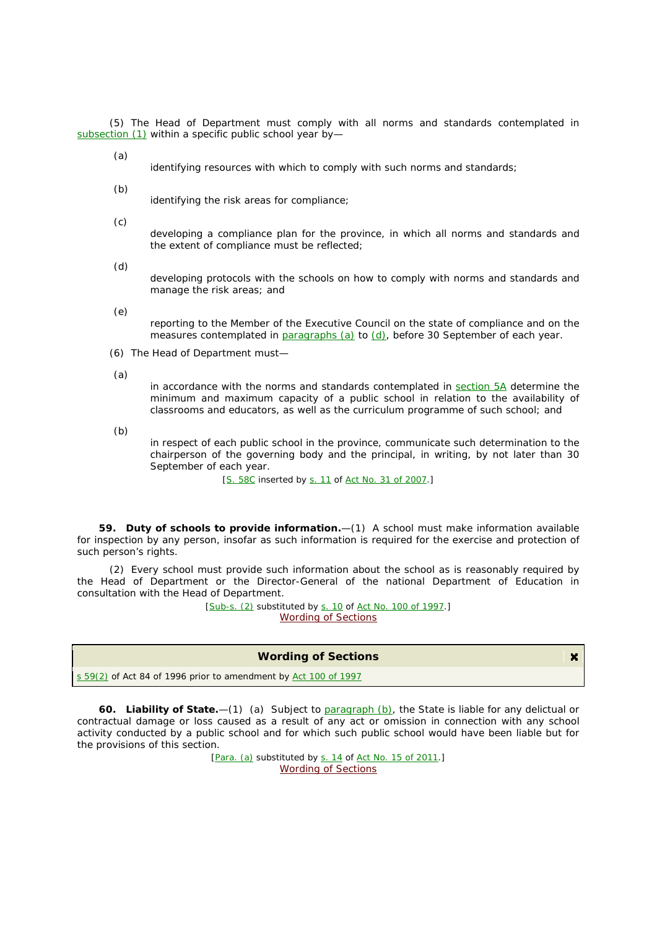(5) The *Head of Department* must comply with all norms and standards contemplated in subsection (1) within a specific *public school* year by—

(*a*)

identifying resources with which to comply with such norms and standards;

(*b*)

identifying the risk areas for compliance;

(*c*)

developing a compliance plan for the province, in which all norms and standards and the extent of compliance must be reflected;

(*d*)

developing protocols with the *schools* on how to comply with norms and standards and manage the risk areas; and

(*e*)

reporting to the *Member of the Executive Council* on the state of compliance and on the measures contemplated in paragraphs (a) to  $(d)$ , before 30 September of each year.

(6) The *Head of Department* must—

(*a*)

in accordance with the norms and standards contemplated in section 5A determine the minimum and maximum capacity of a *public school* in relation to the availability of classrooms and *educators*, as well as the curriculum programme of such *school*; and

(*b*)

in respect of each *public school* in the province, communicate such determination to the chairperson of the *governing body* and the *principal*, in writing, by not later than 30 September of each year.

 $\mathbf{M}$ 

[S. 58C inserted by s. 11 of Act No. 31 of 2007.]

**59. Duty of schools to provide information.**—(1) A *school* must make information available for inspection by any person, insofar as such information is required for the exercise and protection of such person's rights.

(2) Every *school* must provide such information about the *school* as is reasonably required by the *Head of Department* or the Director-General of the national Department of Education in consultation with the *Head of Department*.

> [Sub-s. (2) substituted by s. 10 of Act No. 100 of 1997.] Wording of Sections

## **Wording of Sections**

s 59(2) of Act 84 of 1996 prior to amendment by Act 100 of 1997

**60. Liability of State.**—(1) (*a*) Subject to paragraph (*b*), the State is liable for any delictual or contractual damage or loss caused as a result of any act or omission in connection with any school activity conducted by a public school and for which such public school would have been liable but for the provisions of this section.

> [Para. (a) substituted by s. 14 of Act No. 15 of 2011.] Wording of Sections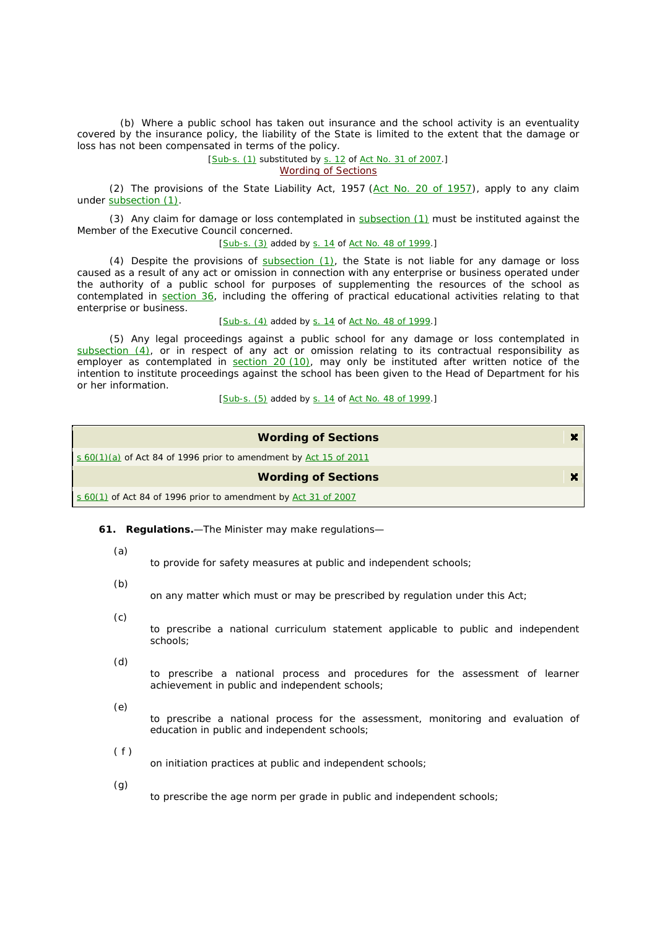(*b*)Where a *public school* has taken out insurance and the *school* activity is an eventuality covered by the insurance policy, the liability of the State is limited to the extent that the damage or loss has not been compensated in terms of the policy.

> [Sub-s. (1) substituted by s. 12 of Act No. 31 of 2007.] Wording of Sections

(2) The provisions of the State Liability Act, 1957 (Act No. 20 of 1957), apply to any claim under subsection (1).

(3) Any claim for damage or loss contemplated in subsection (1) must be instituted against the *Member of the Executive Council* concerned.

[Sub-s. (3) added by s. 14 of Act No. 48 of 1999.]

(4) Despite the provisions of subsection (1), the State is not liable for any damage or loss caused as a result of any act or omission in connection with any enterprise or business operated under the authority of a *public school* for purposes of supplementing the resources of the *school* as contemplated in section 36, including the offering of practical educational activities relating to that enterprise or business.

[Sub-s. (4) added by s. 14 of Act No. 48 of 1999.]

(5) Any legal proceedings against a *public school* for any damage or loss contemplated in subsection (4), or in respect of any act or omission relating to its contractual responsibility as employer as contemplated in section 20 (10), may only be instituted after written notice of the intention to institute proceedings against the *school* has been given to the *Head of Department* for his or her information.

[Sub-s. (5) added by s. 14 of Act No. 48 of 1999.]

| <b>Wording of Sections</b>                                          | × |
|---------------------------------------------------------------------|---|
| s $60(1)(a)$ of Act 84 of 1996 prior to amendment by Act 15 of 2011 |   |
| <b>Wording of Sections</b>                                          |   |
| $\leq 60(1)$ of Act 84 of 1996 prior to amendment by Act 31 of 2007 |   |

## **61. Regulations.**—The *Minister* may make regulations—

(*a*)

to provide for safety measures at *public* and *independent schools*;

(*b*)

on any matter which must or may be prescribed by regulation under *this Act*;

(*c*)

to prescribe a national curriculum statement applicable to *public* and *independent schools*;

(*d*)

to prescribe a national process and procedures for the assessment of *learner*  achievement in *public* and *independent schools*;

- (*e*) to prescribe a national process for the assessment, monitoring and evaluation of education in *public* and *independent schools*;
	- ( *f* )

on initiation practices at *public* and *independent schools*;

(*g*)

to prescribe the age norm per grade in *public* and *independent schools*;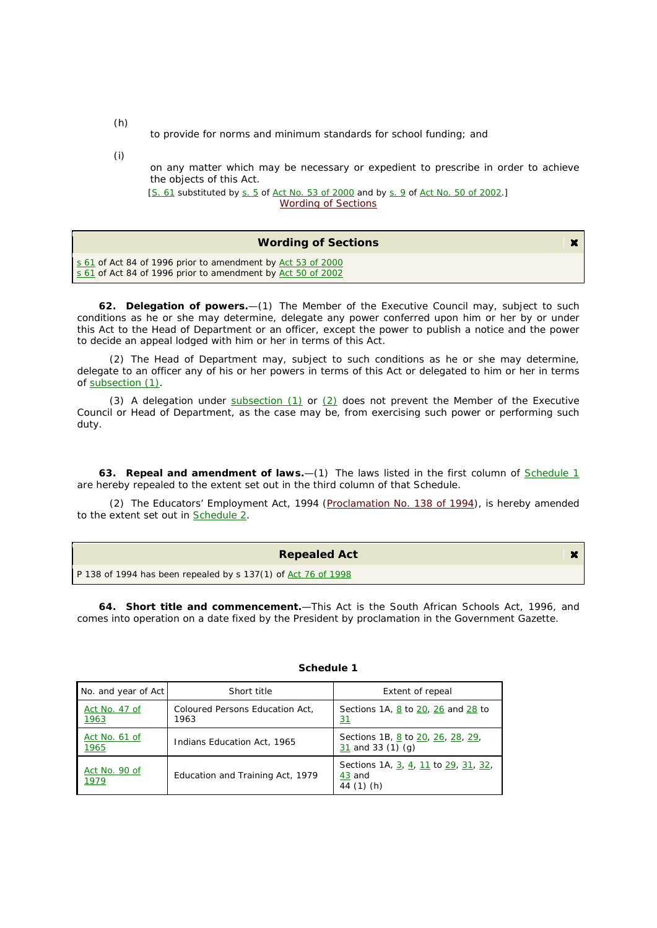to provide for norms and minimum standards for *school* funding; and

(*i*)

(*h*)

on any matter which may be necessary or expedient to prescribe in order to achieve the objects of *this Act.*

[S. 61 substituted by s. 5 of Act No. 53 of 2000 and by s. 9 of Act No. 50 of 2002.] Wording of Sections

| <b>Wording of Sections</b>                                                                                                 |  |
|----------------------------------------------------------------------------------------------------------------------------|--|
| s 61 of Act 84 of 1996 prior to amendment by Act 53 of 2000<br>s 61 of Act 84 of 1996 prior to amendment by Act 50 of 2002 |  |

**62. Delegation of powers.**—(1) The *Member of the Executive Council* may, subject to such conditions as he or she may determine, delegate any power conferred upon him or her by or under *this Act* to the *Head of Department* or an *officer*, except the power to publish a notice and the power to decide an appeal lodged with him or her in terms of *this Act*.

(2) The *Head of Department* may, subject to such conditions as he or she may determine, delegate to an *officer* any of his or her powers in terms of *this Act* or delegated to him or her in terms of subsection (1).

(3) A delegation under subsection (1) or (2) does not prevent the *Member of the Executive Council* or *Head of Department*, as the case may be, from exercising such power or performing such duty.

**63. Repeal and amendment of laws.**—(1) The laws listed in the first column of Schedule 1 are hereby repealed to the extent set out in the third column of that Schedule.

(2) The Educators' Employment Act, 1994 (Proclamation No. 138 of 1994), is hereby amended to the extent set out in Schedule 2.

| <b>Repealed Act</b>                                           |  |
|---------------------------------------------------------------|--|
| P 138 of 1994 has been repealed by s 137(1) of Act 76 of 1998 |  |

**64. Short title and commencement.**—*This Act* is the South African Schools Act, 1996, and comes into operation on a date fixed by the President by proclamation in the Government Gazette.

| No. and year of Act   | <b>Short title</b>                      | Extent of repeal                                                 |
|-----------------------|-----------------------------------------|------------------------------------------------------------------|
| Act No. 47 of<br>1963 | Coloured Persons Education Act,<br>1963 | Sections 1A, 8 to 20, 26 and 28 to<br><u>31</u>                  |
| Act No. 61 of<br>1965 | Indians Education Act, 1965             | Sections 1B, 8 to 20, 26, 28, 29,<br>31 and 33 $(1)$ $(q)$       |
| Act No. 90 of<br>1979 | Education and Training Act, 1979        | Sections 1A, 3, 4, 11 to 29, 31, 32,<br>43 and<br>44 $(1)$ $(h)$ |

#### **Schedule 1**